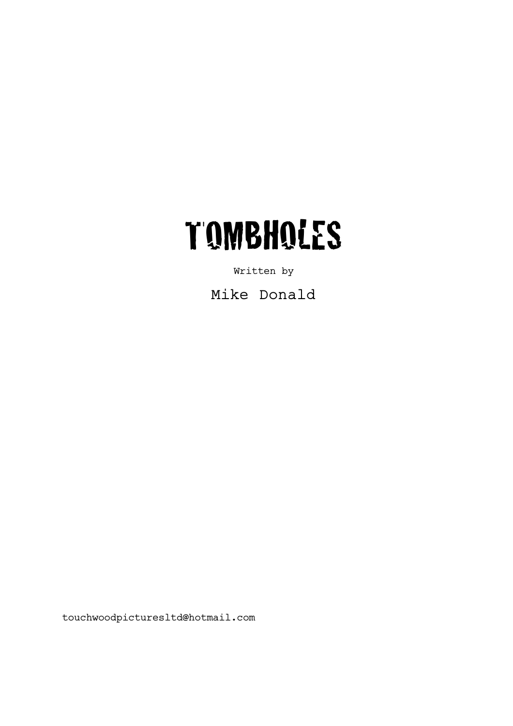

Written by

Mike Donald

touchwoodpicturesltd@hotmail.com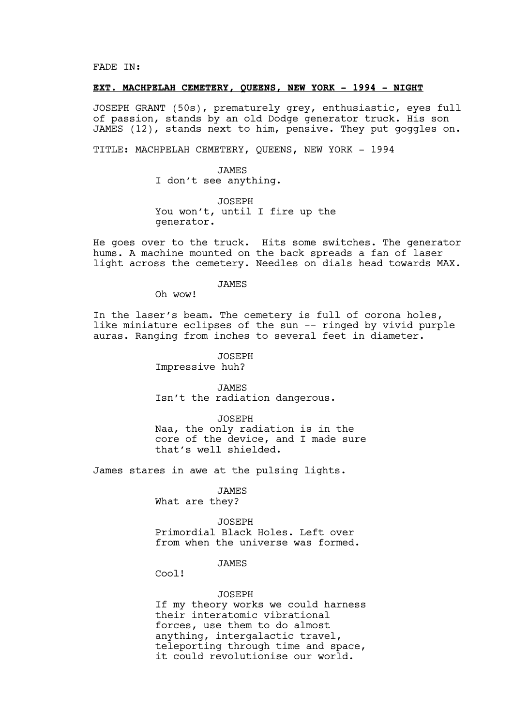FADE IN:

#### **EXT. MACHPELAH CEMETERY, QUEENS, NEW YORK - 1994 - NIGHT**

JOSEPH GRANT (50s), prematurely grey, enthusiastic, eyes full of passion, stands by an old Dodge generator truck. His son JAMES (12), stands next to him, pensive. They put goggles on.

TITLE: MACHPELAH CEMETERY, QUEENS, NEW YORK - 1994

JAMES I don't see anything.

JOSEPH You won't, until I fire up the generator.

He goes over to the truck. Hits some switches. The generator hums. A machine mounted on the back spreads a fan of laser light across the cemetery. Needles on dials head towards MAX.

JAMES

Oh wow!

In the laser's beam. The cemetery is full of corona holes, like miniature eclipses of the sun -- ringed by vivid purple auras. Ranging from inches to several feet in diameter.

JOSEPH

Impressive huh?

JAMES

Isn't the radiation dangerous.

JOSEPH Naa, the only radiation is in the core of the device, and I made sure that's well shielded.

James stares in awe at the pulsing lights.

JAMES

What are they?

JOSEPH

Primordial Black Holes. Left over from when the universe was formed.

#### JAMES

Cool!

## JOSEPH

If my theory works we could harness their interatomic vibrational forces, use them to do almost anything, intergalactic travel, teleporting through time and space, it could revolutionise our world.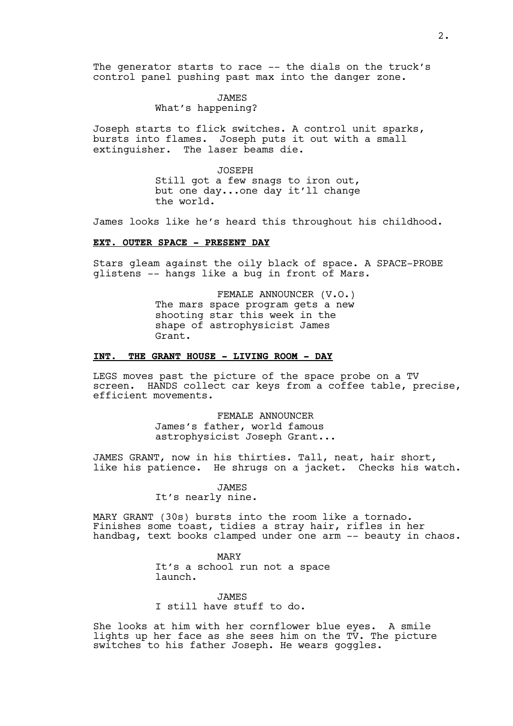The generator starts to race -- the dials on the truck's control panel pushing past max into the danger zone.

## JAMES

# What's happening?

Joseph starts to flick switches. A control unit sparks, bursts into flames. Joseph puts it out with a small extinguisher. The laser beams die.

> JOSEPH Still got a few snags to iron out, but one day...one day it'll change the world.

James looks like he's heard this throughout his childhood.

## **EXT. OUTER SPACE - PRESENT DAY**

Stars gleam against the oily black of space. A SPACE-PROBE glistens -- hangs like a bug in front of Mars.

> FEMALE ANNOUNCER (V.O.) The mars space program gets a new shooting star this week in the shape of astrophysicist James Grant.

## **INT. THE GRANT HOUSE - LIVING ROOM - DAY**

LEGS moves past the picture of the space probe on a TV screen. HANDS collect car keys from a coffee table, precise, efficient movements.

> FEMALE ANNOUNCER James's father, world famous astrophysicist Joseph Grant...

JAMES GRANT, now in his thirties. Tall, neat, hair short, like his patience. He shrugs on a jacket. Checks his watch.

> **JAMES** It's nearly nine.

MARY GRANT (30s) bursts into the room like a tornado. Finishes some toast, tidies a stray hair, rifles in her handbag, text books clamped under one arm  $-$  beauty in chaos.

> MARY It's a school run not a space launch.

**JAMES** I still have stuff to do.

She looks at him with her cornflower blue eyes. A smile lights up her face as she sees him on the TV. The picture switches to his father Joseph. He wears goggles.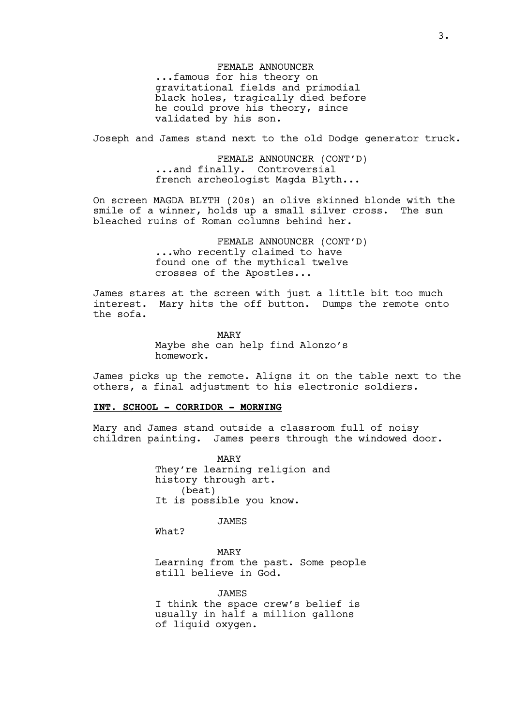FEMALE ANNOUNCER ...famous for his theory on gravitational fields and primodial black holes, tragically died before he could prove his theory, since validated by his son.

Joseph and James stand next to the old Dodge generator truck.

FEMALE ANNOUNCER (CONT'D) ...and finally. Controversial french archeologist Magda Blyth...

On screen MAGDA BLYTH (20s) an olive skinned blonde with the smile of a winner, holds up a small silver cross. The sun bleached ruins of Roman columns behind her.

> FEMALE ANNOUNCER (CONT'D) ...who recently claimed to have found one of the mythical twelve crosses of the Apostles...

James stares at the screen with just a little bit too much interest. Mary hits the off button. Dumps the remote onto the sofa.

> MARY Maybe she can help find Alonzo's homework.

James picks up the remote. Aligns it on the table next to the others, a final adjustment to his electronic soldiers.

## **INT. SCHOOL - CORRIDOR - MORNING**

Mary and James stand outside a classroom full of noisy children painting. James peers through the windowed door.

> MARY They're learning religion and history through art. (beat) It is possible you know.

> > JAMES

What?

MARY Learning from the past. Some people still believe in God.

**JAMES** I think the space crew's belief is usually in half a million gallons of liquid oxygen.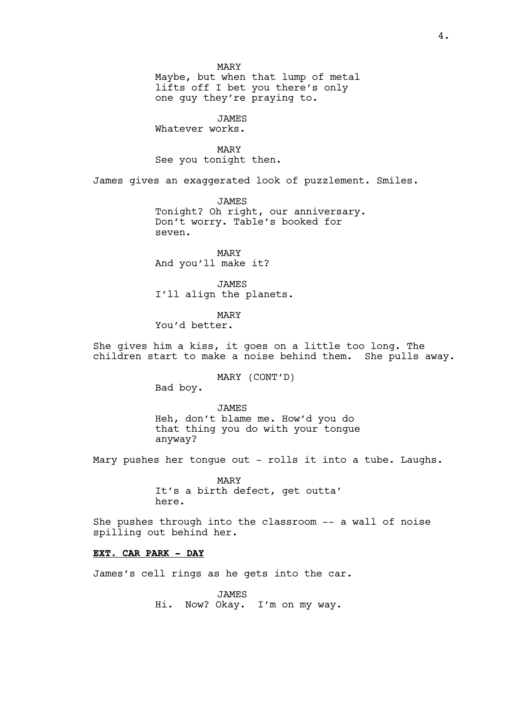Maybe, but when that lump of metal lifts off I bet you there's only one guy they're praying to.

JAMES Whatever works.

MARY See you tonight then.

James gives an exaggerated look of puzzlement. Smiles.

JAMES Tonight? Oh right, our anniversary. Don't worry. Table's booked for seven.

MARY And you'll make it?

JAMES I'll align the planets.

MARY

You'd better.

She gives him a kiss, it goes on a little too long. The children start to make a noise behind them. She pulls away.

MARY (CONT'D)

Bad boy.

JAMES Heh, don't blame me. How'd you do that thing you do with your tongue

anyway?

Mary pushes her tongue out - rolls it into a tube. Laughs.

MARY It's a birth defect, get outta' here.

She pushes through into the classroom –- a wall of noise spilling out behind her.

## **EXT. CAR PARK - DAY**

James's cell rings as he gets into the car.

JAMES Hi. Now? Okay. I'm on my way.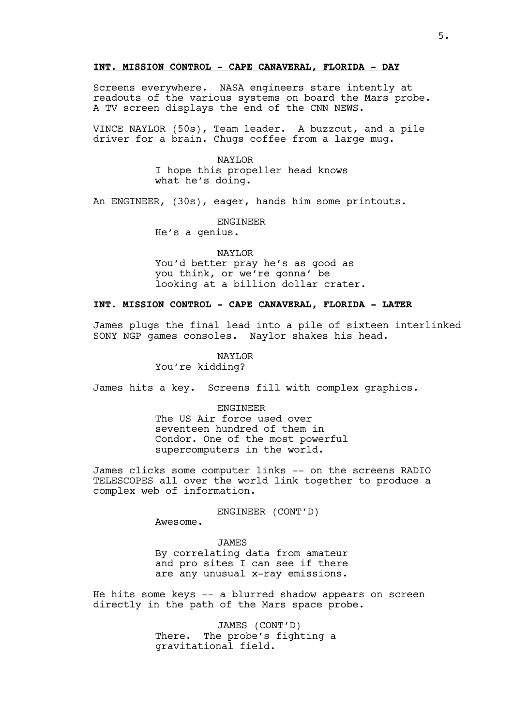### **INT. MISSION CONTROL - CAPE CANAVERAL, FLORIDA - DAY**

Screens everywhere. NASA engineers stare intently at readouts of the various systems on board the Mars probe. A TV screen displays the end of the CNN NEWS.

VINCE NAYLOR (50s), Team leader. A buzzcut, and a pile driver for a brain. Chugs coffee from a large mug.

> NAYLOR I hope this propeller head knows what he's doing.

An ENGINEER, (30s), eager, hands him some printouts.

ENGINEER

He's a genius.

NAYLOR You'd better pray he's as good as you think, or we're gonna' be looking at a billion dollar crater.

### **INT. MISSION CONTROL - CAPE CANAVERAL, FLORIDA - LATER**

James plugs the final lead into a pile of sixteen interlinked SONY NGP games consoles. Naylor shakes his head.

NAYLOR

You're kidding?

James hits a key. Screens fill with complex graphics.

ENGINEER The US Air force used over seventeen hundred of them in Condor. One of the most powerful

supercomputers in the world.

James clicks some computer links -- on the screens RADIO TELESCOPES all over the world link together to produce a complex web of information.

ENGINEER (CONT'D)

Awesome.

**JAMES** By correlating data from amateur and pro sites I can see if there are any unusual x-ray emissions.

He hits some keys -- a blurred shadow appears on screen directly in the path of the Mars space probe.

> JAMES (CONT'D) There. The probe's fighting a gravitational field.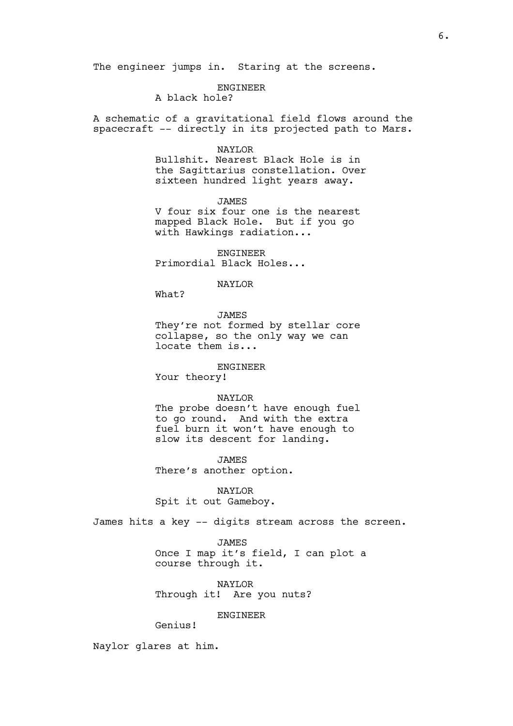#### ENGINEER

A black hole?

A schematic of a gravitational field flows around the spacecraft -- directly in its projected path to Mars.

#### NAYLOR

Bullshit. Nearest Black Hole is in the Sagittarius constellation. Over sixteen hundred light years away.

JAMES V four six four one is the nearest mapped Black Hole. But if you go with Hawkings radiation...

ENGINEER Primordial Black Holes...

## NAYLOR

What?

#### JAMES

They're not formed by stellar core collapse, so the only way we can locate them is...

### ENGINEER

Your theory!

#### NAYLOR

The probe doesn't have enough fuel to go round. And with the extra fuel burn it won't have enough to slow its descent for landing.

JAMES

There's another option.

NAYLOR Spit it out Gameboy.

James hits a key -- digits stream across the screen.

**JAMES** Once I map it's field, I can plot a course through it.

NAYLOR Through it! Are you nuts?

### **ENGINEER**

Genius!

Naylor glares at him.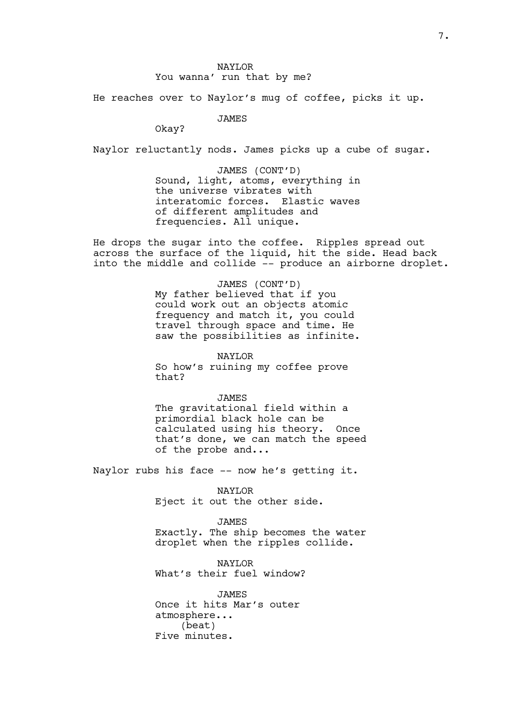## NAYLOR You wanna' run that by me?

He reaches over to Naylor's mug of coffee, picks it up.

JAMES

Okay?

Naylor reluctantly nods. James picks up a cube of sugar.

JAMES (CONT'D) Sound, light, atoms, everything in the universe vibrates with interatomic forces. Elastic waves of different amplitudes and frequencies. All unique.

He drops the sugar into the coffee. Ripples spread out across the surface of the liquid, hit the side. Head back into the middle and collide -- produce an airborne droplet.

> JAMES (CONT'D) My father believed that if you could work out an objects atomic frequency and match it, you could travel through space and time. He saw the possibilities as infinite.

NAYLOR So how's ruining my coffee prove that?

JAMES The gravitational field within a primordial black hole can be calculated using his theory. Once that's done, we can match the speed of the probe and...

Naylor rubs his face -- now he's getting it.

NAYLOR Eject it out the other side.

JAMES Exactly. The ship becomes the water droplet when the ripples collide.

NAYLOR What's their fuel window?

**JAMES** Once it hits Mar's outer atmosphere... (beat) Five minutes.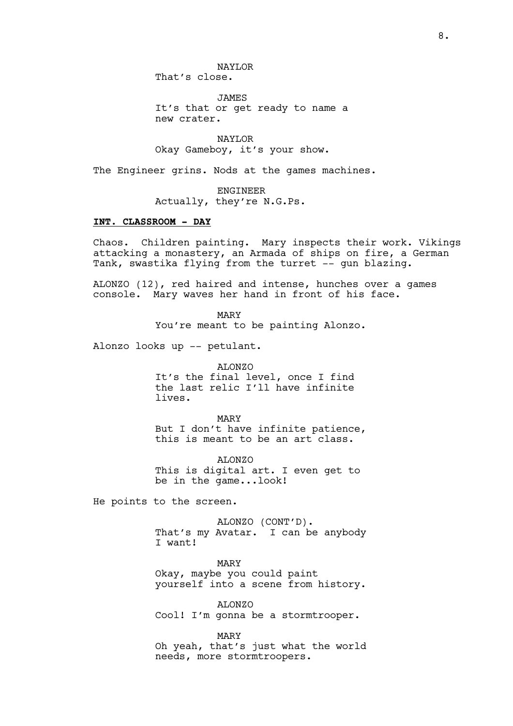NAYLOR That's close.

JAMES It's that or get ready to name a new crater.

NAYLOR Okay Gameboy, it's your show.

The Engineer grins. Nods at the games machines.

ENGINEER Actually, they're N.G.Ps.

## **INT. CLASSROOM – DAY**

Chaos. Children painting. Mary inspects their work. Vikings attacking a monastery, an Armada of ships on fire, a German Tank, swastika flying from the turret -- gun blazing.

ALONZO (12), red haired and intense, hunches over a games console. Mary waves her hand in front of his face.

MARY

You're meant to be painting Alonzo.

Alonzo looks up -- petulant.

#### ALONZO

It's the final level, once I find the last relic I'll have infinite lives.

MARY But I don't have infinite patience, this is meant to be an art class.

ALONZO This is digital art. I even get to be in the game...look!

He points to the screen.

ALONZO (CONT'D). That's my Avatar. I can be anybody I want!

MARY Okay, maybe you could paint yourself into a scene from history.

ALONZO Cool! I'm gonna be a stormtrooper.

MARY

Oh yeah, that's just what the world needs, more stormtroopers.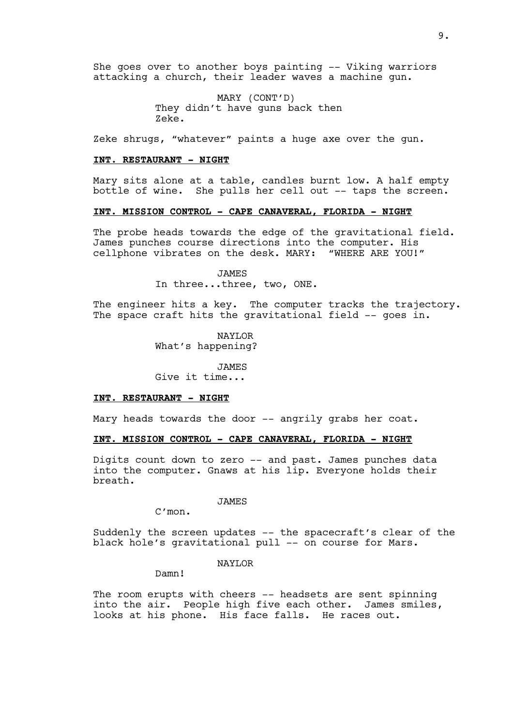She goes over to another boys painting -- Viking warriors attacking a church, their leader waves a machine gun.

> MARY (CONT'D) They didn't have guns back then Zeke.

Zeke shrugs, "whatever" paints a huge axe over the gun.

#### **INT. RESTAURANT - NIGHT**

Mary sits alone at a table, candles burnt low. A half empty bottle of wine. She pulls her cell out -- taps the screen.

## **INT. MISSION CONTROL - CAPE CANAVERAL, FLORIDA - NIGHT**

The probe heads towards the edge of the gravitational field. James punches course directions into the computer. His cellphone vibrates on the desk. MARY: "WHERE ARE YOU!"

> JAMES In three...three, two, ONE.

The engineer hits a key. The computer tracks the trajectory. The space craft hits the gravitational field -- goes in.

> NAYLOR What's happening?

**JAMES** Give it time...

#### **INT. RESTAURANT - NIGHT**

Mary heads towards the door -- angrily grabs her coat.

## **INT. MISSION CONTROL - CAPE CANAVERAL, FLORIDA - NIGHT**

Digits count down to zero -- and past. James punches data into the computer. Gnaws at his lip. Everyone holds their breath.

JAMES

C'mon.

Suddenly the screen updates -- the spacecraft's clear of the black hole's gravitational pull -- on course for Mars.

NAYLOR

Damn!

The room erupts with cheers -- headsets are sent spinning into the air. People high five each other. James smiles, looks at his phone. His face falls. He races out.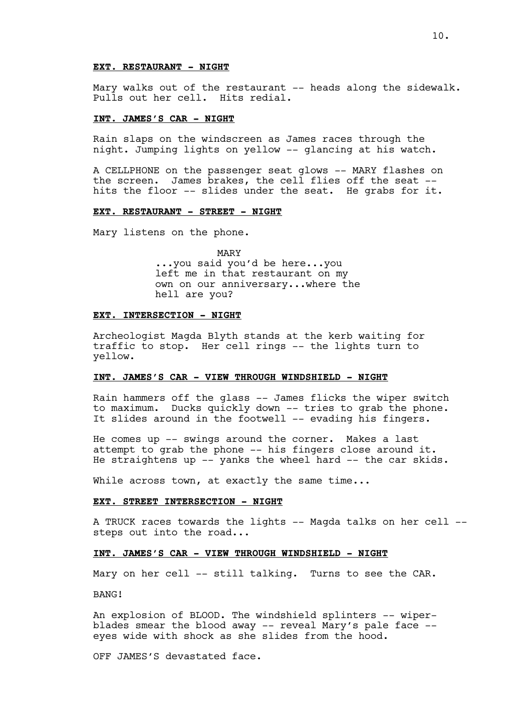# **EXT. RESTAURANT - NIGHT**

Mary walks out of the restaurant -- heads along the sidewalk. Pulls out her cell. Hits redial.

### **INT. JAMES'S CAR - NIGHT**

Rain slaps on the windscreen as James races through the night. Jumping lights on yellow -- glancing at his watch.

A CELLPHONE on the passenger seat glows -- MARY flashes on the screen. James brakes, the cell flies off the seat - hits the floor -- slides under the seat. He grabs for it.

## **EXT. RESTAURANT - STREET - NIGHT**

Mary listens on the phone.

MARY ...you said you'd be here...you left me in that restaurant on my own on our anniversary...where the hell are you?

#### **EXT. INTERSECTION - NIGHT**

Archeologist Magda Blyth stands at the kerb waiting for traffic to stop. Her cell rings -- the lights turn to yellow.

## **INT. JAMES'S CAR - VIEW THROUGH WINDSHIELD - NIGHT**

Rain hammers off the glass -- James flicks the wiper switch to maximum. Ducks quickly down -- tries to grab the phone. It slides around in the footwell -- evading his fingers.

He comes up -- swings around the corner. Makes a last attempt to grab the phone  $--$  his fingers close around it. He straightens up -- yanks the wheel hard -- the car skids.

While across town, at exactly the same time...

#### **EXT. STREET INTERSECTION - NIGHT**

A TRUCK races towards the lights -- Magda talks on her cell - steps out into the road...

# **INT. JAMES'S CAR - VIEW THROUGH WINDSHIELD - NIGHT**

Mary on her cell -- still talking. Turns to see the CAR.

BANG!

An explosion of BLOOD. The windshield splinters -- wiperblades smear the blood away -- reveal Mary's pale face - eyes wide with shock as she slides from the hood.

OFF JAMES'S devastated face.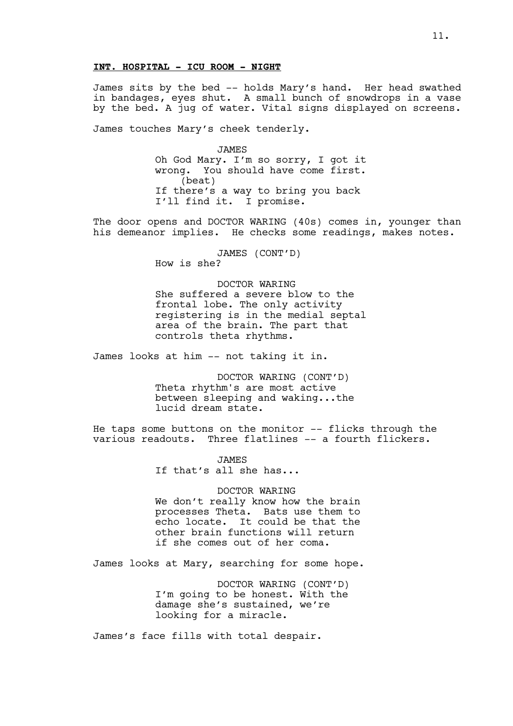## **INT. HOSPITAL - ICU ROOM - NIGHT**

James sits by the bed -- holds Mary's hand. Her head swathed in bandages, eyes shut. A small bunch of snowdrops in a vase by the bed. A jug of water. Vital signs displayed on screens.

James touches Mary's cheek tenderly.

JAMES Oh God Mary. I'm so sorry, I got it wrong. You should have come first. (beat) If there's a way to bring you back I'll find it. I promise.

The door opens and DOCTOR WARING (40s) comes in, younger than his demeanor implies. He checks some readings, makes notes.

> JAMES (CONT'D) How is she?

DOCTOR WARING She suffered a severe blow to the frontal lobe. The only activity registering is in the medial septal area of the brain. The part that controls theta rhythms.

James looks at him -- not taking it in.

DOCTOR WARING (CONT'D) Theta rhythm's are most active between sleeping and waking...the lucid dream state.

He taps some buttons on the monitor -- flicks through the various readouts. Three flatlines -- a fourth flickers.

> **JAMES** If that's all she has...

DOCTOR WARING We don't really know how the brain processes Theta. Bats use them to echo locate. It could be that the other brain functions will return if she comes out of her coma.

James looks at Mary, searching for some hope.

DOCTOR WARING (CONT'D) I'm going to be honest. With the damage she's sustained, we're looking for a miracle.

James's face fills with total despair.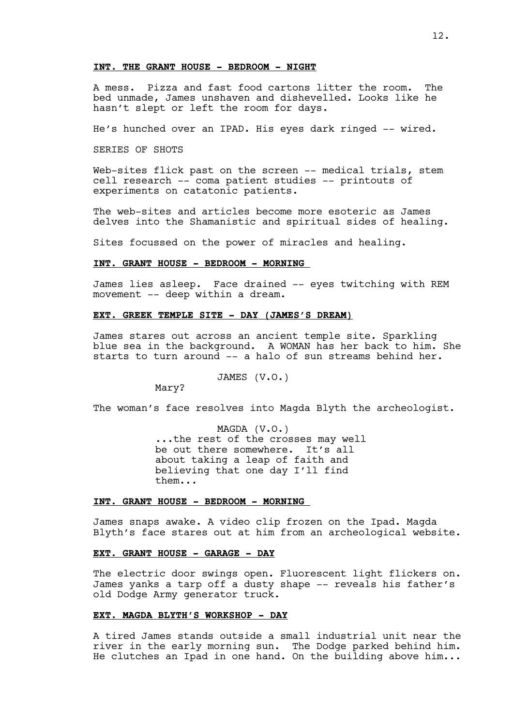# **INT. THE GRANT HOUSE - BEDROOM - NIGHT**

A mess. Pizza and fast food cartons litter the room. The bed unmade, James unshaven and dishevelled. Looks like he hasn't slept or left the room for days.

He's hunched over an IPAD. His eyes dark ringed -- wired.

SERIES OF SHOTS

Web-sites flick past on the screen -- medical trials, stem cell research -- coma patient studies -- printouts of experiments on catatonic patients.

The web-sites and articles become more esoteric as James delves into the Shamanistic and spiritual sides of healing.

Sites focussed on the power of miracles and healing.

### **INT. GRANT HOUSE - BEDROOM - MORNING**

James lies asleep. Face drained -- eyes twitching with REM movement -- deep within a dream.

## **EXT. GREEK TEMPLE SITE - DAY (JAMES'S DREAM)**

James stares out across an ancient temple site. Sparkling blue sea in the background. A WOMAN has her back to him. She starts to turn around -- a halo of sun streams behind her.

### JAMES (V.O.)

Mary?

The woman's face resolves into Magda Blyth the archeologist.

MAGDA (V.O.) ...the rest of the crosses may well be out there somewhere. It's all about taking a leap of faith and believing that one day I'll find them...

### **INT. GRANT HOUSE - BEDROOM - MORNING**

James snaps awake. A video clip frozen on the Ipad. Magda Blyth's face stares out at him from an archeological website.

## **EXT. GRANT HOUSE - GARAGE - DAY**

The electric door swings open. Fluorescent light flickers on. James yanks a tarp off a dusty shape -- reveals his father's old Dodge Army generator truck.

### **EXT. MAGDA BLYTH'S WORKSHOP - DAY**

A tired James stands outside a small industrial unit near the river in the early morning sun. The Dodge parked behind him. He clutches an Ipad in one hand. On the building above him...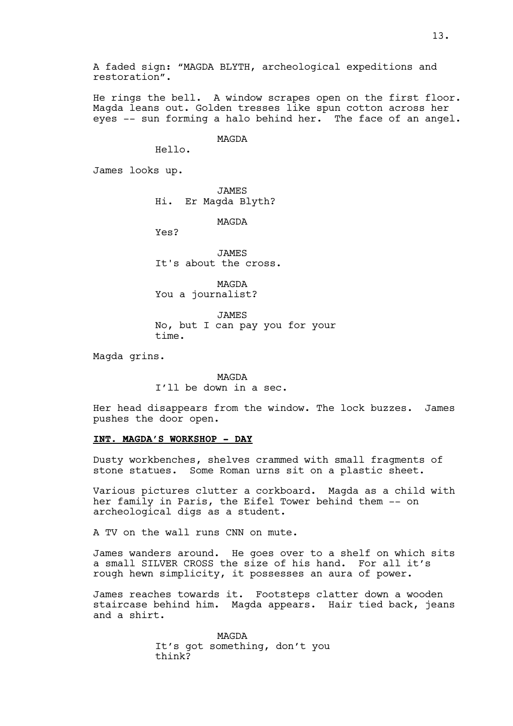A faded sign: "MAGDA BLYTH, archeological expeditions and restoration".

He rings the bell. A window scrapes open on the first floor. Magda leans out. Golden tresses like spun cotton across her eyes -- sun forming a halo behind her. The face of an angel.

MAGDA

Hello.

James looks up.

JAMES Hi. Er Magda Blyth?

MAGDA

Yes?

JAMES It's about the cross.

MAGDA You a journalist?

JAMES No, but I can pay you for your time.

Magda grins.

MAGDA I'll be down in a sec.

Her head disappears from the window. The lock buzzes. James pushes the door open.

# **INT. MAGDA'S WORKSHOP - DAY**

Dusty workbenches, shelves crammed with small fragments of stone statues. Some Roman urns sit on a plastic sheet.

Various pictures clutter a corkboard. Magda as a child with her family in Paris, the Eifel Tower behind them -- on archeological digs as a student.

A TV on the wall runs CNN on mute.

James wanders around. He goes over to a shelf on which sits a small SILVER CROSS the size of his hand. For all it's rough hewn simplicity, it possesses an aura of power.

James reaches towards it. Footsteps clatter down a wooden staircase behind him. Magda appears. Hair tied back, jeans and a shirt.

> MAGDA It's got something, don't you think?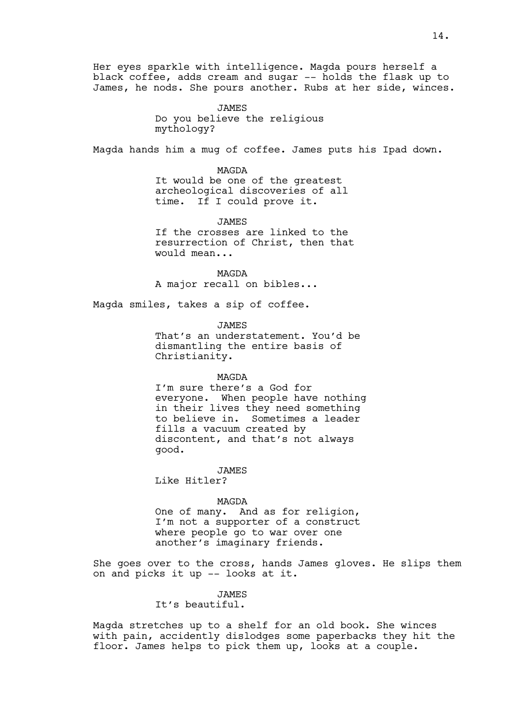Her eyes sparkle with intelligence. Magda pours herself a black coffee, adds cream and sugar -- holds the flask up to James, he nods. She pours another. Rubs at her side, winces.

> JAMES Do you believe the religious mythology?

Magda hands him a mug of coffee. James puts his Ipad down.

MAGDA It would be one of the greatest archeological discoveries of all time. If I could prove it.

JAMES If the crosses are linked to the resurrection of Christ, then that would mean...

MAGDA A major recall on bibles...

Magda smiles, takes a sip of coffee.

JAMES That's an understatement. You'd be dismantling the entire basis of Christianity.

#### MAGDA

I'm sure there's a God for everyone. When people have nothing in their lives they need something to believe in. Sometimes a leader fills a vacuum created by discontent, and that's not always good.

**JAMES** Like Hitler?

## MAGDA

One of many. And as for religion, I'm not a supporter of a construct where people go to war over one another's imaginary friends.

She goes over to the cross, hands James gloves. He slips them on and picks it up -- looks at it.

#### JAMES

It's beautiful.

Magda stretches up to a shelf for an old book. She winces with pain, accidently dislodges some paperbacks they hit the floor. James helps to pick them up, looks at a couple.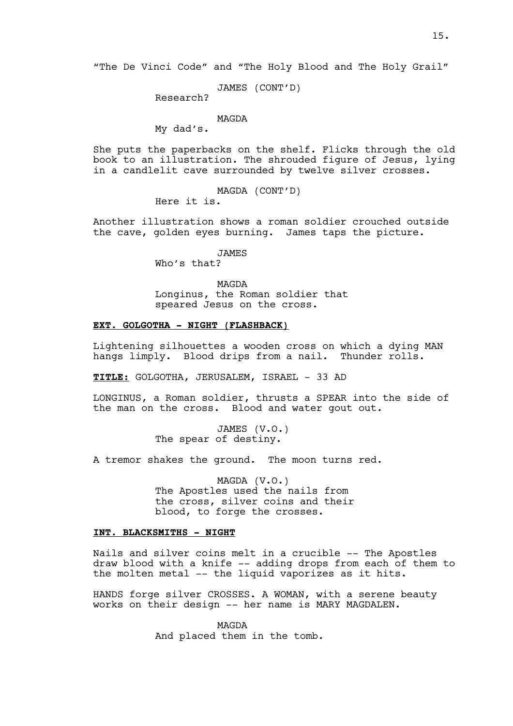"The De Vinci Code" and "The Holy Blood and The Holy Grail"

JAMES (CONT'D)

Research?

MAGDA

My dad's.

She puts the paperbacks on the shelf. Flicks through the old book to an illustration. The shrouded figure of Jesus, lying in a candlelit cave surrounded by twelve silver crosses.

> MAGDA (CONT'D) Here it is.

Another illustration shows a roman soldier crouched outside the cave, golden eyes burning. James taps the picture.

JAMES

Who's that?

MAGDA Longinus, the Roman soldier that speared Jesus on the cross.

## **EXT. GOLGOTHA - NIGHT (FLASHBACK)**

Lightening silhouettes a wooden cross on which a dying MAN hangs limply. Blood drips from a nail. Thunder rolls.

**TITLE:** GOLGOTHA, JERUSALEM, ISRAEL - 33 AD

LONGINUS, a Roman soldier, thrusts a SPEAR into the side of the man on the cross. Blood and water gout out.

> JAMES (V.O.) The spear of destiny.

A tremor shakes the ground. The moon turns red.

MAGDA (V.O.) The Apostles used the nails from the cross, silver coins and their blood, to forge the crosses.

### **INT. BLACKSMITHS - NIGHT**

Nails and silver coins melt in a crucible -- The Apostles draw blood with a knife -- adding drops from each of them to the molten metal -- the liquid vaporizes as it hits.

HANDS forge silver CROSSES. A WOMAN, with a serene beauty works on their design -- her name is MARY MAGDALEN.

> MAGDA And placed them in the tomb.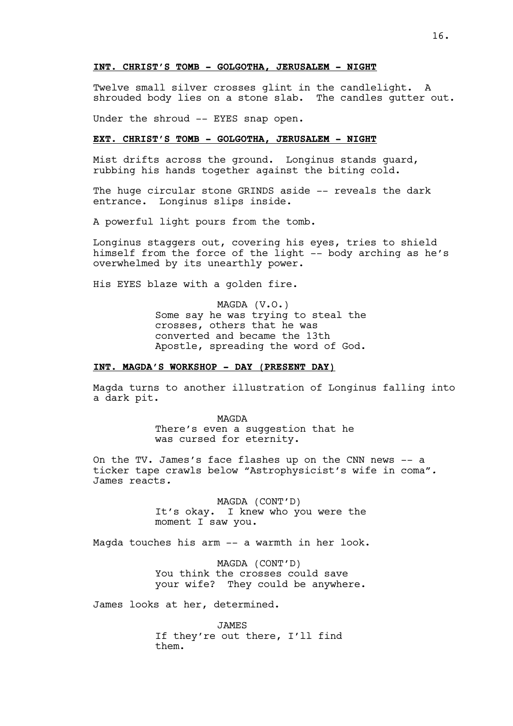## **INT. CHRIST'S TOMB - GOLGOTHA, JERUSALEM - NIGHT**

Twelve small silver crosses glint in the candlelight. A shrouded body lies on a stone slab. The candles gutter out.

Under the shroud -- EYES snap open.

# **EXT. CHRIST'S TOMB - GOLGOTHA, JERUSALEM - NIGHT**

Mist drifts across the ground. Longinus stands guard, rubbing his hands together against the biting cold.

The huge circular stone GRINDS aside -- reveals the dark entrance. Longinus slips inside.

A powerful light pours from the tomb.

Longinus staggers out, covering his eyes, tries to shield himself from the force of the light -- body arching as he's overwhelmed by its unearthly power.

His EYES blaze with a golden fire.

MAGDA (V.O.) Some say he was trying to steal the crosses, others that he was converted and became the 13th Apostle, spreading the word of God.

## **INT. MAGDA'S WORKSHOP - DAY (PRESENT DAY)**

Magda turns to another illustration of Longinus falling into a dark pit.

> MAGDA There's even a suggestion that he was cursed for eternity.

On the TV. James's face flashes up on the CNN news -- a ticker tape crawls below "Astrophysicist's wife in coma"*.* James reacts*.*

> MAGDA (CONT'D) It's okay. I knew who you were the moment I saw you.

Magda touches his arm -- a warmth in her look.

MAGDA (CONT'D) You think the crosses could save your wife? They could be anywhere.

James looks at her, determined.

JAMES If they're out there, I'll find them.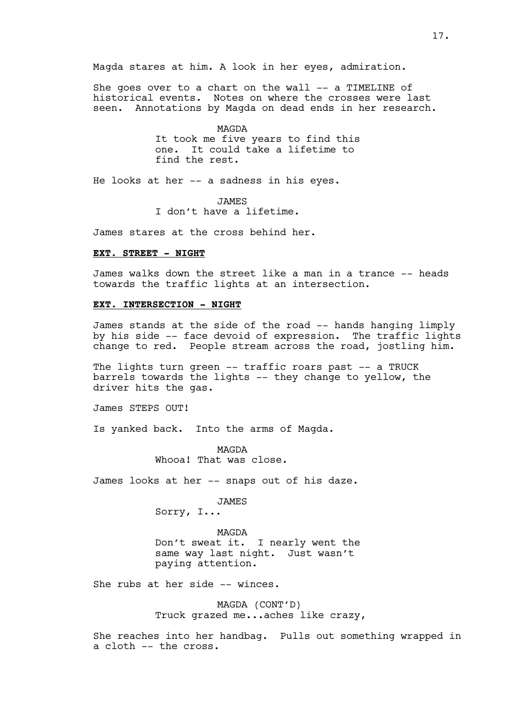Magda stares at him. A look in her eyes, admiration.

She goes over to a chart on the wall -- a TIMELINE of historical events. Notes on where the crosses were last seen. Annotations by Magda on dead ends in her research.

> MAGDA It took me five years to find this one. It could take a lifetime to find the rest.

He looks at her -- a sadness in his eyes.

JAMES I don't have a lifetime.

James stares at the cross behind her.

## **EXT. STREET - NIGHT**

James walks down the street like a man in a trance -- heads towards the traffic lights at an intersection.

### **EXT. INTERSECTION - NIGHT**

James stands at the side of the road -- hands hanging limply by his side -- face devoid of expression. The traffic lights change to red. People stream across the road, jostling him.

The lights turn green -- traffic roars past -- a TRUCK barrels towards the lights -- they change to yellow, the driver hits the gas.

James STEPS OUT!

Is yanked back. Into the arms of Magda.

MAGDA Whooa! That was close.

James looks at her -- snaps out of his daze.

JAMES

Sorry, I...

MAGDA Don't sweat it. I nearly went the same way last night. Just wasn't paying attention.

She rubs at her side -- winces.

MAGDA (CONT'D) Truck grazed me...aches like crazy,

She reaches into her handbag. Pulls out something wrapped in a cloth -- the cross.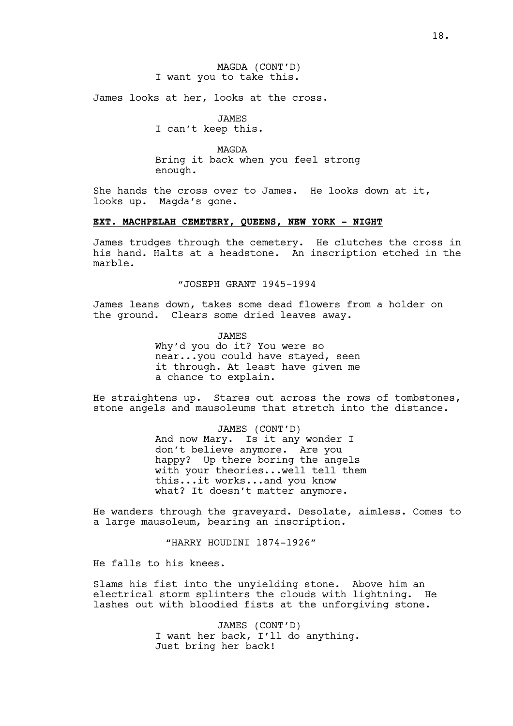MAGDA (CONT'D) I want you to take this.

James looks at her, looks at the cross.

JAMES I can't keep this.

MAGDA Bring it back when you feel strong enough.

She hands the cross over to James. He looks down at it, looks up. Magda's gone.

## **EXT. MACHPELAH CEMETERY, QUEENS, NEW YORK - NIGHT**

James trudges through the cemetery. He clutches the cross in his hand. Halts at a headstone. An inscription etched in the marble.

"JOSEPH GRANT 1945-1994

James leans down, takes some dead flowers from a holder on the ground. Clears some dried leaves away.

> JAMES Why'd you do it? You were so near...you could have stayed, seen it through. At least have given me a chance to explain.

He straightens up. Stares out across the rows of tombstones, stone angels and mausoleums that stretch into the distance.

> JAMES (CONT'D) And now Mary. Is it any wonder I don't believe anymore. Are you happy? Up there boring the angels with your theories...well tell them this...it works...and you know what? It doesn't matter anymore.

He wanders through the graveyard. Desolate, aimless. Comes to a large mausoleum, bearing an inscription.

"HARRY HOUDINI 1874-1926"

He falls to his knees.

Slams his fist into the unyielding stone. Above him an electrical storm splinters the clouds with lightning. He lashes out with bloodied fists at the unforgiving stone.

> JAMES (CONT'D) I want her back, I'll do anything. Just bring her back!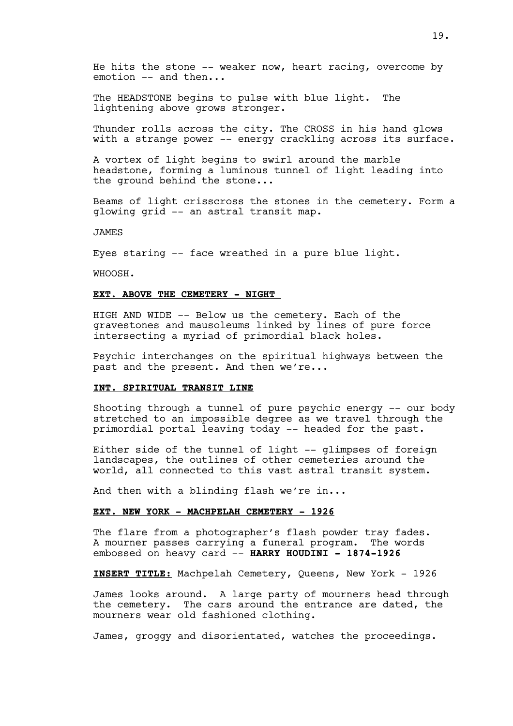He hits the stone -- weaker now, heart racing, overcome by emotion -- and then...

The HEADSTONE begins to pulse with blue light. The lightening above grows stronger.

Thunder rolls across the city. The CROSS in his hand glows with a strange power -- energy crackling across its surface.

A vortex of light begins to swirl around the marble headstone, forming a luminous tunnel of light leading into the ground behind the stone...

Beams of light crisscross the stones in the cemetery. Form a glowing grid -- an astral transit map.

JAMES

Eyes staring -- face wreathed in a pure blue light.

WHOOSH.

#### **EXT. ABOVE THE CEMETERY - NIGHT**

HIGH AND WIDE -- Below us the cemetery. Each of the gravestones and mausoleums linked by lines of pure force intersecting a myriad of primordial black holes.

Psychic interchanges on the spiritual highways between the past and the present. And then we're...

#### **INT. SPIRITUAL TRANSIT LINE**

Shooting through a tunnel of pure psychic energy -- our body stretched to an impossible degree as we travel through the primordial portal leaving today -- headed for the past.

Either side of the tunnel of light -- glimpses of foreign landscapes, the outlines of other cemeteries around the world, all connected to this vast astral transit system.

And then with a blinding flash we're in...

### **EXT. NEW YORK - MACHPELAH CEMETERY - 1926**

The flare from a photographer's flash powder tray fades. A mourner passes carrying a funeral program. The words embossed on heavy card -- **HARRY HOUDINI - 1874-1926**

**INSERT TITLE:** Machpelah Cemetery, Queens, New York - 1926

James looks around. A large party of mourners head through the cemetery. The cars around the entrance are dated, the mourners wear old fashioned clothing.

James, groggy and disorientated, watches the proceedings.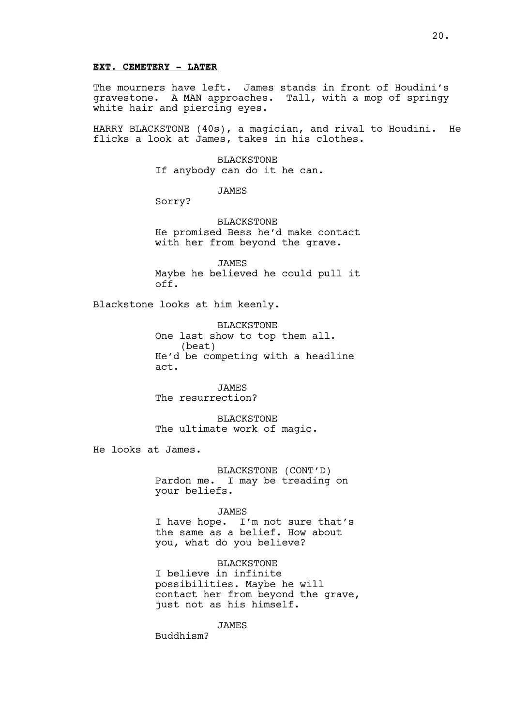### **EXT. CEMETERY - LATER**

The mourners have left. James stands in front of Houdini's gravestone. A MAN approaches. Tall, with a mop of springy white hair and piercing eyes.

HARRY BLACKSTONE (40s), a magician, and rival to Houdini. He flicks a look at James, takes in his clothes.

> BLACKSTONE If anybody can do it he can.

> > JAMES

Sorry?

BLACKSTONE He promised Bess he'd make contact with her from beyond the grave.

JAMES Maybe he believed he could pull it off.

Blackstone looks at him keenly.

BLACKSTONE One last show to top them all. (beat) He'd be competing with a headline act.

JAMES The resurrection?

BLACKSTONE The ultimate work of magic.

He looks at James.

BLACKSTONE (CONT'D) Pardon me. I may be treading on your beliefs.

### JAMES

I have hope. I'm not sure that's the same as a belief. How about you, what do you believe?

## BLACKSTONE

I believe in infinite possibilities. Maybe he will contact her from beyond the grave, just not as his himself.

JAMES

Buddhism?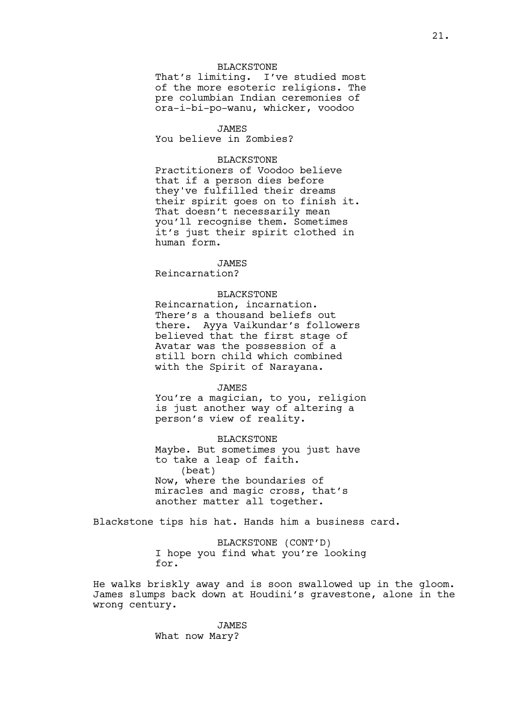## BLACKSTONE

That's limiting. I've studied most of the more esoteric religions. The pre columbian Indian ceremonies of ora-i-bi-po-wanu, whicker, voodoo

### JAMES

You believe in Zombies?

### BLACKSTONE

Practitioners of Voodoo believe that if a person dies before they've fulfilled their dreams their spirit goes on to finish it. That doesn't necessarily mean you'll recognise them. Sometimes it's just their spirit clothed in human form.

## JAMES

Reincarnation?

### BLACKSTONE

Reincarnation, incarnation. There's a thousand beliefs out there. Ayya Vaikundar's followers believed that the first stage of Avatar was the possession of a still born child which combined with the Spirit of Narayana.

#### JAMES

You're a magician, to you, religion is just another way of altering a person's view of reality.

## BLACKSTONE

Maybe. But sometimes you just have to take a leap of faith. (beat) Now, where the boundaries of miracles and magic cross, that's another matter all together.

Blackstone tips his hat. Hands him a business card.

BLACKSTONE (CONT'D) I hope you find what you're looking for.

He walks briskly away and is soon swallowed up in the gloom. James slumps back down at Houdini's gravestone, alone in the wrong century.

> JAMES What now Mary?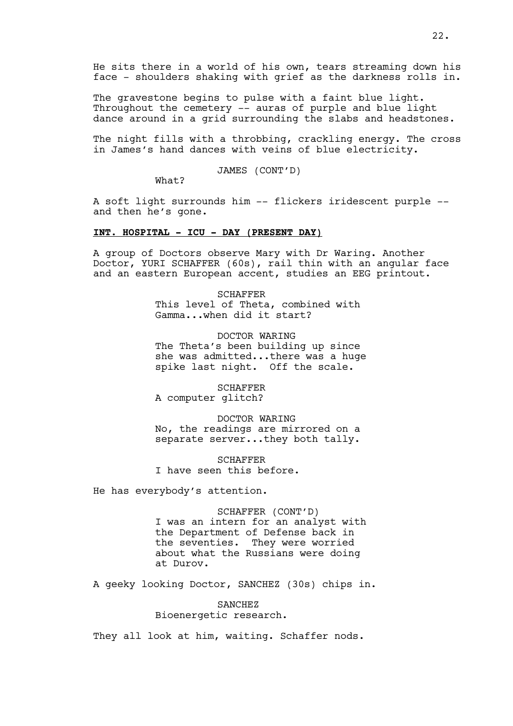He sits there in a world of his own, tears streaming down his face - shoulders shaking with grief as the darkness rolls in.

The gravestone begins to pulse with a faint blue light. Throughout the cemetery -- auras of purple and blue light dance around in a grid surrounding the slabs and headstones.

The night fills with a throbbing, crackling energy. The cross in James's hand dances with veins of blue electricity.

JAMES (CONT'D)

What?

A soft light surrounds him -- flickers iridescent purple - and then he's gone.

## **INT. HOSPITAL - ICU - DAY (PRESENT DAY)**

A group of Doctors observe Mary with Dr Waring. Another Doctor, YURI SCHAFFER (60s), rail thin with an angular face and an eastern European accent, studies an EEG printout.

> SCHAFFER This level of Theta, combined with Gamma...when did it start?

DOCTOR WARING The Theta's been building up since she was admitted...there was a huge spike last night. Off the scale.

SCHAFFER A computer glitch?

DOCTOR WARING No, the readings are mirrored on a separate server...they both tally.

**SCHAFFER** I have seen this before.

He has everybody's attention.

# SCHAFFER (CONT'D)

I was an intern for an analyst with the Department of Defense back in the seventies. They were worried about what the Russians were doing at Durov.

A geeky looking Doctor, SANCHEZ (30s) chips in.

# SANCHEZ Bioenergetic research.

They all look at him, waiting. Schaffer nods.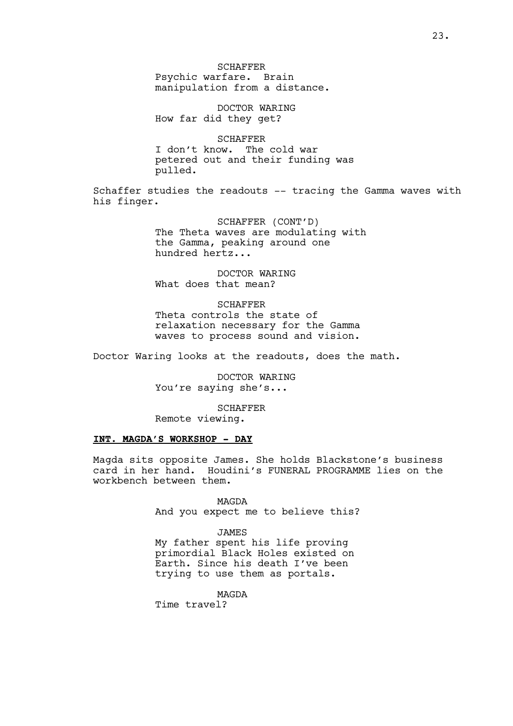SCHAFFER Psychic warfare. Brain manipulation from a distance.

DOCTOR WARING How far did they get?

**SCHAFFER** I don't know. The cold war petered out and their funding was pulled.

Schaffer studies the readouts -- tracing the Gamma waves with his finger.

> SCHAFFER (CONT'D) The Theta waves are modulating with the Gamma, peaking around one hundred hertz...

DOCTOR WARING What does that mean?

SCHAFFER Theta controls the state of relaxation necessary for the Gamma waves to process sound and vision.

Doctor Waring looks at the readouts, does the math.

DOCTOR WARING You're saying she's...

SCHAFFER Remote viewing.

# **INT. MAGDA'S WORKSHOP - DAY**

Magda sits opposite James. She holds Blackstone's business card in her hand. Houdini's FUNERAL PROGRAMME lies on the workbench between them.

> MAGDA And you expect me to believe this?

JAMES My father spent his life proving primordial Black Holes existed on Earth. Since his death I've been trying to use them as portals.

MAGDA

Time travel?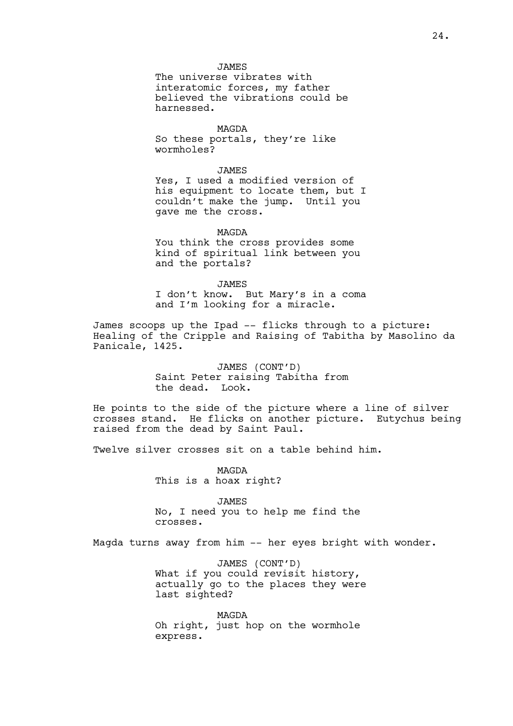MAGDA So these portals, they're like wormholes?

**JAMES** Yes, I used a modified version of his equipment to locate them, but I couldn't make the jump. Until you gave me the cross.

MAGDA You think the cross provides some kind of spiritual link between you and the portals?

JAMES I don't know. But Mary's in a coma and I'm looking for a miracle.

James scoops up the Ipad -- flicks through to a picture: Healing of the Cripple and Raising of Tabitha by Masolino da Panicale, 1425.

> JAMES (CONT'D) Saint Peter raising Tabitha from the dead. Look.

He points to the side of the picture where a line of silver crosses stand. He flicks on another picture. Eutychus being raised from the dead by Saint Paul.

Twelve silver crosses sit on a table behind him.

MAGDA This is a hoax right?

JAMES No, I need you to help me find the crosses.

Magda turns away from him -- her eyes bright with wonder.

JAMES (CONT'D) What if you could revisit history, actually go to the places they were last sighted?

MAGDA Oh right, just hop on the wormhole express.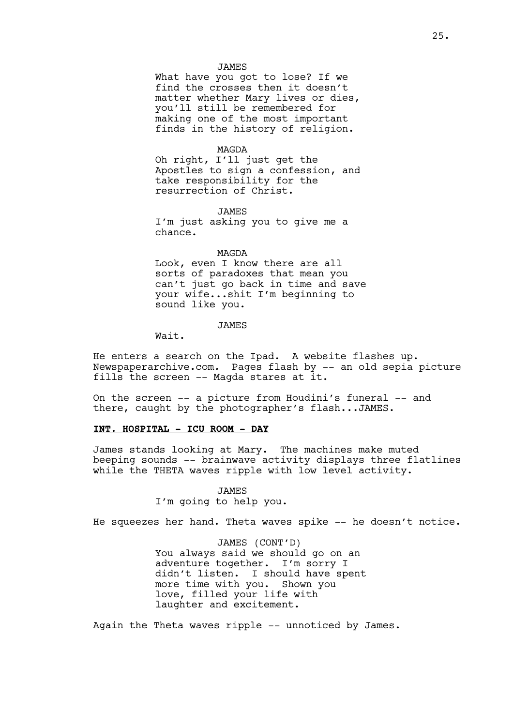#### JAMES

What have you got to lose? If we find the crosses then it doesn't matter whether Mary lives or dies, you'll still be remembered for making one of the most important finds in the history of religion.

#### MAGDA

Oh right, I'll just get the Apostles to sign a confession, and take responsibility for the resurrection of Christ.

JAMES

I'm just asking you to give me a chance.

#### MAGDA

Look, even I know there are all sorts of paradoxes that mean you can't just go back in time and save your wife...shit I'm beginning to sound like you.

### JAMES

Wait.

He enters a search on the Ipad. A website flashes up. Newspaperarchive.com*.* Pages flash by -- an old sepia picture fills the screen -- Magda stares at it.

On the screen -- a picture from Houdini's funeral -- and there, caught by the photographer's flash...JAMES.

### **INT. HOSPITAL - ICU ROOM - DAY**

James stands looking at Mary. The machines make muted beeping sounds -- brainwave activity displays three flatlines while the THETA waves ripple with low level activity.

#### JAMES

I'm going to help you.

He squeezes her hand. Theta waves spike -- he doesn't notice.

JAMES (CONT'D) You always said we should go on an adventure together. I'm sorry I didn't listen. I should have spent more time with you. Shown you love, filled your life with laughter and excitement.

Again the Theta waves ripple -- unnoticed by James.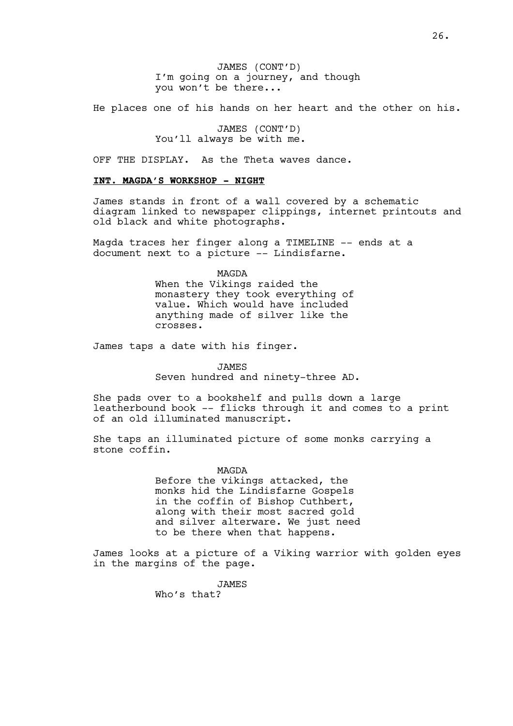JAMES (CONT'D) I'm going on a journey, and though you won't be there...

He places one of his hands on her heart and the other on his.

JAMES (CONT'D) You'll always be with me.

OFF THE DISPLAY. As the Theta waves dance.

### **INT. MAGDA'S WORKSHOP - NIGHT**

James stands in front of a wall covered by a schematic diagram linked to newspaper clippings, internet printouts and old black and white photographs.

Magda traces her finger along a TIMELINE -- ends at a document next to a picture -- Lindisfarne.

> MAGDA When the Vikings raided the monastery they took everything of value. Which would have included anything made of silver like the crosses.

James taps a date with his finger.

JAMES

Seven hundred and ninety-three AD.

She pads over to a bookshelf and pulls down a large leatherbound book -- flicks through it and comes to a print of an old illuminated manuscript.

She taps an illuminated picture of some monks carrying a stone coffin.

> MAGDA Before the vikings attacked, the monks hid the Lindisfarne Gospels in the coffin of Bishop Cuthbert, along with their most sacred gold and silver alterware. We just need to be there when that happens.

James looks at a picture of a Viking warrior with golden eyes in the margins of the page.

JAMES

Who's that?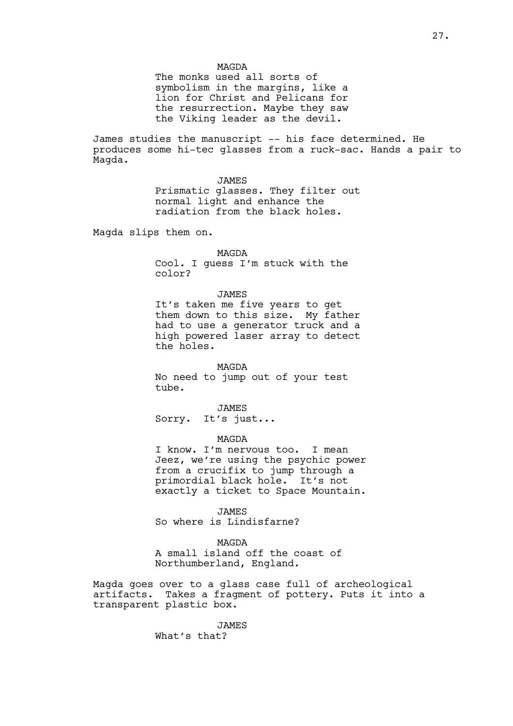The monks used all sorts of symbolism in the margins, like a lion for Christ and Pelicans for the resurrection. Maybe they saw the Viking leader as the devil.

James studies the manuscript -- his face determined. He produces some hi-tec glasses from a ruck-sac. Hands a pair to Magda.

> JAMES Prismatic glasses. They filter out normal light and enhance the radiation from the black holes.

Magda slips them on.

## MAGDA

Cool. I guess I'm stuck with the color?

### JAMES

It's taken me five years to get them down to this size. My father had to use a generator truck and a high powered laser array to detect the holes.

MAGDA No need to jump out of your test tube.

JAMES Sorry. It's just...

#### MAGDA

I know. I'm nervous too. I mean Jeez, we're using the psychic power from a crucifix to jump through a primordial black hole. It's not exactly a ticket to Space Mountain.

JAMES

So where is Lindisfarne?

### MAGDA

A small island off the coast of Northumberland, England.

Magda goes over to a glass case full of archeological artifacts. Takes a fragment of pottery. Puts it into a transparent plastic box.

> JAMES What's that?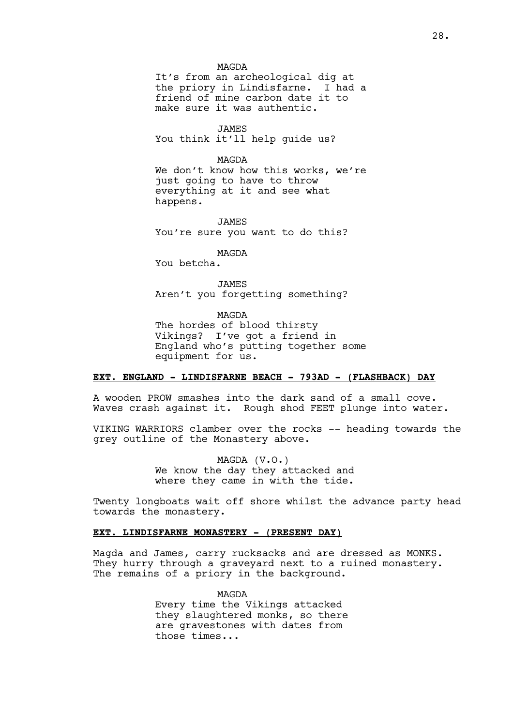#### MAGDA

It's from an archeological dig at the priory in Lindisfarne. I had a friend of mine carbon date it to make sure it was authentic.

JAMES You think it'll help guide us?

#### MAGDA

We don't know how this works, we're just going to have to throw everything at it and see what happens.

JAMES You're sure you want to do this?

MAGDA

You betcha.

**JAMES** Aren't you forgetting something?

MAGDA

The hordes of blood thirsty Vikings? I've got a friend in England who's putting together some equipment for us.

# **EXT. ENGLAND - LINDISFARNE BEACH - 793AD - (FLASHBACK) DAY**

A wooden PROW smashes into the dark sand of a small cove. Waves crash against it. Rough shod FEET plunge into water.

VIKING WARRIORS clamber over the rocks -- heading towards the grey outline of the Monastery above.

> MAGDA (V.O.) We know the day they attacked and where they came in with the tide.

Twenty longboats wait off shore whilst the advance party head towards the monastery.

## **EXT. LINDISFARNE MONASTERY - (PRESENT DAY)**

Magda and James, carry rucksacks and are dressed as MONKS. They hurry through a graveyard next to a ruined monastery. The remains of a priory in the background.

> MAGDA Every time the Vikings attacked they slaughtered monks, so there are gravestones with dates from those times...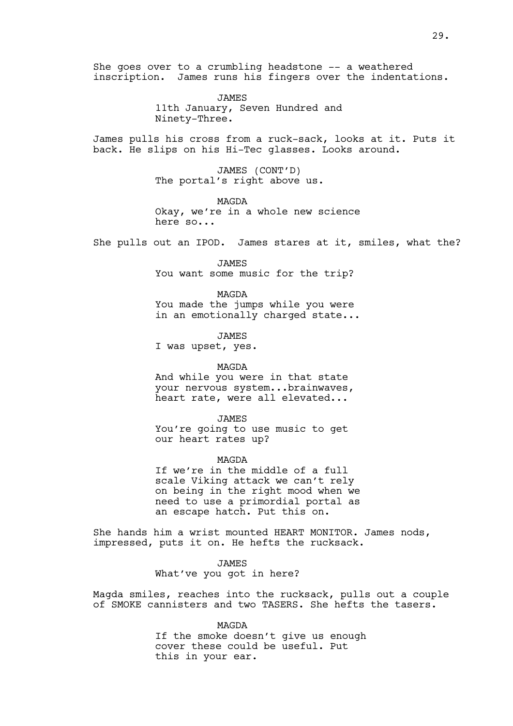She goes over to a crumbling headstone -- a weathered inscription. James runs his fingers over the indentations.

> JAMES 11th January, Seven Hundred and Ninety-Three.

James pulls his cross from a ruck-sack, looks at it. Puts it back. He slips on his Hi-Tec glasses. Looks around.

> JAMES (CONT'D) The portal's right above us.

MAGDA Okay, we're in a whole new science here so...

She pulls out an IPOD. James stares at it, smiles, what the?

JAMES You want some music for the trip?

MAGDA You made the jumps while you were in an emotionally charged state...

JAMES I was upset, yes.

MAGDA

And while you were in that state your nervous system...brainwaves, heart rate, were all elevated...

JAMES

You're going to use music to get our heart rates up?

MAGDA

If we're in the middle of a full scale Viking attack we can't rely on being in the right mood when we need to use a primordial portal as an escape hatch. Put this on.

She hands him a wrist mounted HEART MONITOR. James nods, impressed, puts it on. He hefts the rucksack.

> JAMES What've you got in here?

Magda smiles, reaches into the rucksack, pulls out a couple of SMOKE cannisters and two TASERS. She hefts the tasers.

> MAGDA If the smoke doesn't give us enough cover these could be useful. Put this in your ear.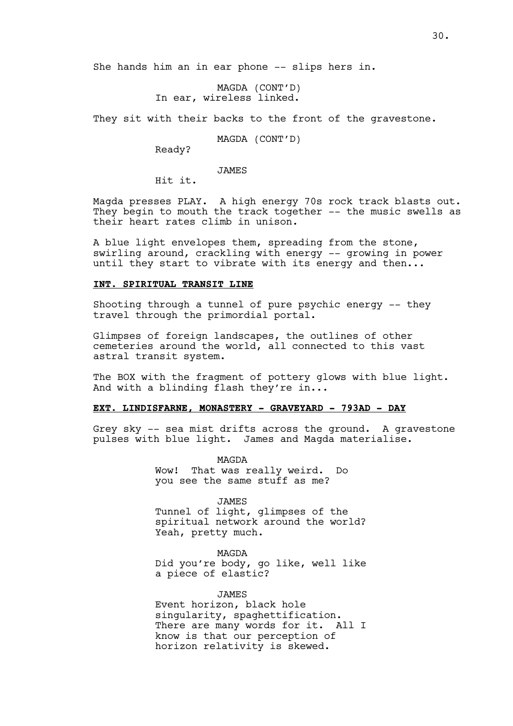She hands him an in ear phone -- slips hers in.

MAGDA (CONT'D) In ear, wireless linked.

They sit with their backs to the front of the gravestone.

MAGDA (CONT'D)

Ready?

JAMES

Hit it.

Magda presses PLAY. A high energy 70s rock track blasts out. They begin to mouth the track together -- the music swells as their heart rates climb in unison.

A blue light envelopes them, spreading from the stone, swirling around, crackling with energy -- growing in power until they start to vibrate with its energy and then...

### **INT. SPIRITUAL TRANSIT LINE**

Shooting through a tunnel of pure psychic energy -- they travel through the primordial portal.

Glimpses of foreign landscapes, the outlines of other cemeteries around the world, all connected to this vast astral transit system.

The BOX with the fragment of pottery glows with blue light. And with a blinding flash they're in...

## **EXT. LINDISFARNE, MONASTERY - GRAVEYARD - 793AD - DAY**

Grey sky -- sea mist drifts across the ground. A gravestone pulses with blue light. James and Magda materialise.

> MAGDA Wow! That was really weird. Do you see the same stuff as me?

> > JAMES

Tunnel of light, glimpses of the spiritual network around the world? Yeah, pretty much.

MAGDA

Did you're body, go like, well like a piece of elastic?

JAMES Event horizon, black hole singularity, spaghettification. There are many words for it. All I know is that our perception of horizon relativity is skewed.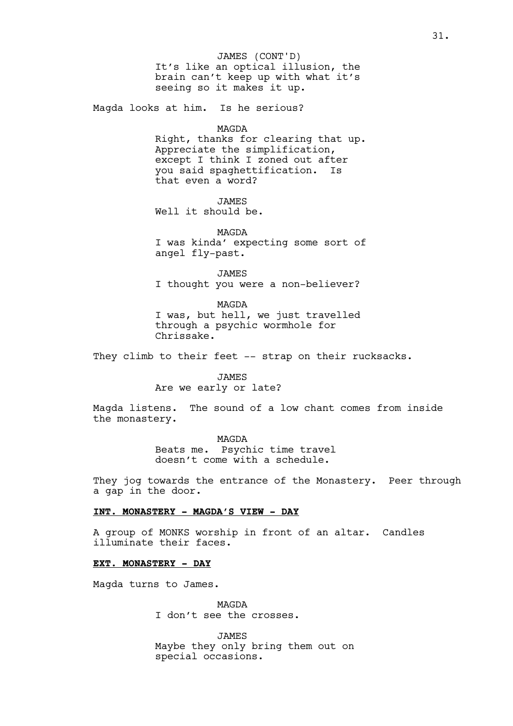It's like an optical illusion, the brain can't keep up with what it's seeing so it makes it up. JAMES (CONT'D)

Magda looks at him. Is he serious?

#### MAGDA

Right, thanks for clearing that up. Appreciate the simplification, except I think I zoned out after you said spaghettification. Is that even a word?

JAMES

Well it should be.

MAGDA I was kinda' expecting some sort of angel fly-past.

JAMES I thought you were a non-believer?

MAGDA I was, but hell, we just travelled through a psychic wormhole for Chrissake.

They climb to their feet -- strap on their rucksacks.

JAMES

Are we early or late?

Magda listens. The sound of a low chant comes from inside the monastery.

> MAGDA Beats me. Psychic time travel doesn't come with a schedule.

They jog towards the entrance of the Monastery. Peer through a gap in the door.

## **INT. MONASTERY - MAGDA'S VIEW - DAY**

A group of MONKS worship in front of an altar. Candles illuminate their faces.

## **EXT. MONASTERY - DAY**

Magda turns to James.

MAGDA I don't see the crosses.

JAMES Maybe they only bring them out on special occasions.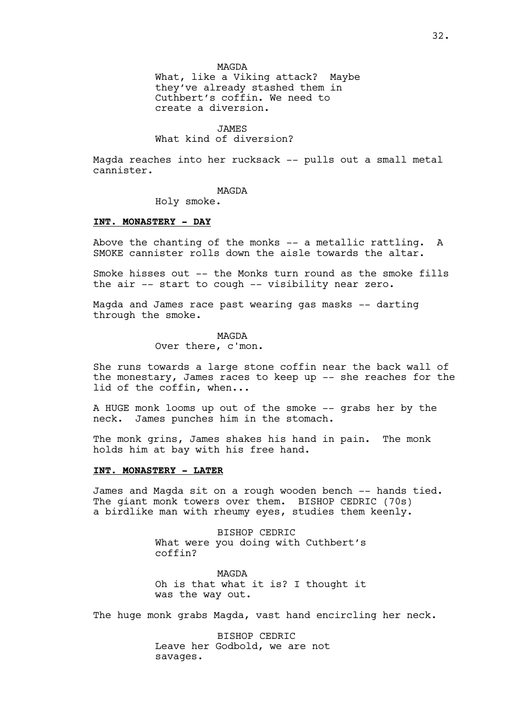MAGDA

What, like a Viking attack? Maybe they've already stashed them in Cuthbert's coffin. We need to create a diversion.

### JAMES

# What kind of diversion?

Magda reaches into her rucksack -- pulls out a small metal cannister.

#### MAGDA

Holy smoke.

### **INT. MONASTERY - DAY**

Above the chanting of the monks -- a metallic rattling. A SMOKE cannister rolls down the aisle towards the altar.

Smoke hisses out -- the Monks turn round as the smoke fills the air -- start to cough -- visibility near zero.

Magda and James race past wearing gas masks -- darting through the smoke.

> MAGDA Over there, c'mon.

She runs towards a large stone coffin near the back wall of the monestary, James races to keep up -- she reaches for the lid of the coffin, when...

A HUGE monk looms up out of the smoke -- grabs her by the neck. James punches him in the stomach.

The monk grins, James shakes his hand in pain. The monk holds him at bay with his free hand.

### **INT. MONASTERY - LATER**

James and Magda sit on a rough wooden bench -- hands tied. The giant monk towers over them. BISHOP CEDRIC (70s) a birdlike man with rheumy eyes, studies them keenly.

> BISHOP CEDRIC What were you doing with Cuthbert's coffin?

> MAGDA Oh is that what it is? I thought it was the way out.

The huge monk grabs Magda, vast hand encircling her neck.

BISHOP CEDRIC Leave her Godbold, we are not savages.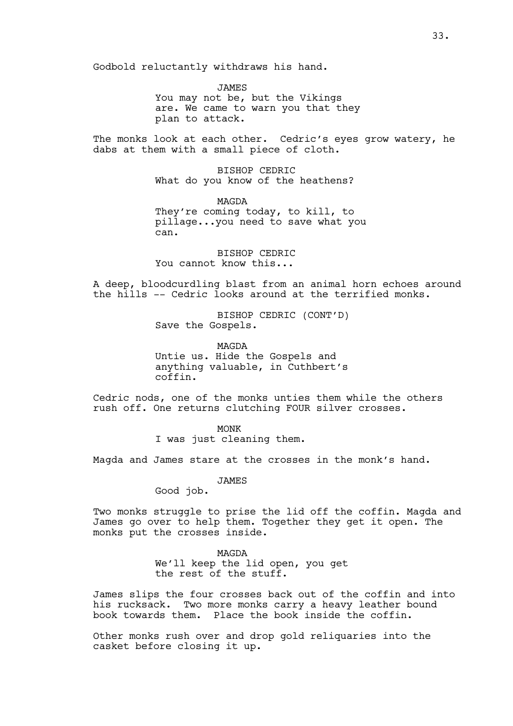Godbold reluctantly withdraws his hand.

JAMES You may not be, but the Vikings are. We came to warn you that they plan to attack.

The monks look at each other. Cedric's eyes grow watery, he dabs at them with a small piece of cloth.

> BISHOP CEDRIC What do you know of the heathens?

MAGDA They're coming today, to kill, to pillage...you need to save what you can.

BISHOP CEDRIC You cannot know this...

A deep, bloodcurdling blast from an animal horn echoes around the hills -- Cedric looks around at the terrified monks.

> BISHOP CEDRIC (CONT'D) Save the Gospels.

> MAGDA Untie us. Hide the Gospels and anything valuable, in Cuthbert's coffin.

Cedric nods, one of the monks unties them while the others rush off. One returns clutching FOUR silver crosses.

> MONK I was just cleaning them.

Magda and James stare at the crosses in the monk's hand.

JAMES

Good job.

Two monks struggle to prise the lid off the coffin. Magda and James go over to help them. Together they get it open. The monks put the crosses inside.

> MAGDA We'll keep the lid open, you get the rest of the stuff.

James slips the four crosses back out of the coffin and into his rucksack. Two more monks carry a heavy leather bound book towards them. Place the book inside the coffin.

Other monks rush over and drop gold reliquaries into the casket before closing it up.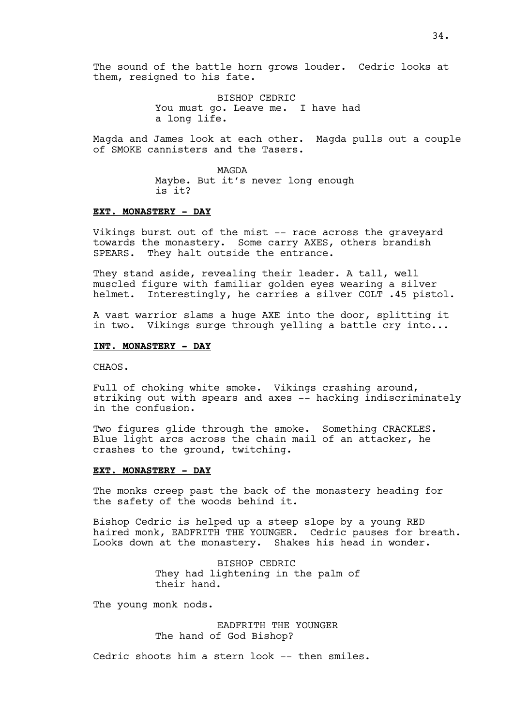BISHOP CEDRIC You must go. Leave me. I have had a long life.

Magda and James look at each other. Magda pulls out a couple of SMOKE cannisters and the Tasers.

> MAGDA Maybe. But it's never long enough is it?

## **EXT. MONASTERY - DAY**

Vikings burst out of the mist -- race across the graveyard towards the monastery. Some carry AXES, others brandish SPEARS. They halt outside the entrance.

They stand aside, revealing their leader. A tall, well muscled figure with familiar golden eyes wearing a silver helmet. Interestingly, he carries a silver COLT .45 pistol.

A vast warrior slams a huge AXE into the door, splitting it in two. Vikings surge through yelling a battle cry into...

### **INT. MONASTERY - DAY**

CHAOS.

Full of choking white smoke. Vikings crashing around, striking out with spears and axes -- hacking indiscriminately in the confusion.

Two figures glide through the smoke. Something CRACKLES. Blue light arcs across the chain mail of an attacker, he crashes to the ground, twitching.

## **EXT. MONASTERY - DAY**

The monks creep past the back of the monastery heading for the safety of the woods behind it.

Bishop Cedric is helped up a steep slope by a young RED haired monk, EADFRITH THE YOUNGER. Cedric pauses for breath. Looks down at the monastery. Shakes his head in wonder.

> BISHOP CEDRIC They had lightening in the palm of their hand.

The young monk nods.

EADFRITH THE YOUNGER The hand of God Bishop?

Cedric shoots him a stern look -- then smiles.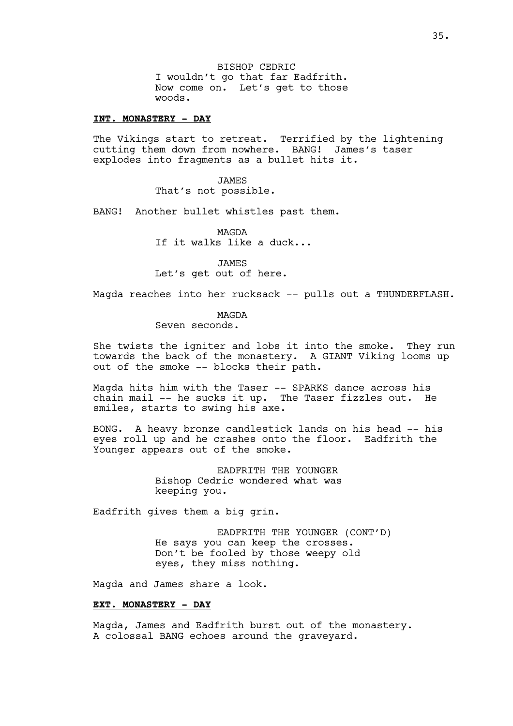BISHOP CEDRIC I wouldn't go that far Eadfrith. Now come on. Let's get to those woods.

### **INT. MONASTERY - DAY**

The Vikings start to retreat. Terrified by the lightening cutting them down from nowhere. BANG! James's taser explodes into fragments as a bullet hits it.

> JAMES That's not possible.

BANG! Another bullet whistles past them.

MAGDA If it walks like a duck...

JAMES Let's get out of here.

Magda reaches into her rucksack -- pulls out a THUNDERFLASH.

#### MAGDA

Seven seconds.

She twists the igniter and lobs it into the smoke. They run towards the back of the monastery. A GIANT Viking looms up out of the smoke -- blocks their path.

Magda hits him with the Taser -- SPARKS dance across his chain mail -- he sucks it up. The Taser fizzles out. He smiles, starts to swing his axe.

BONG. A heavy bronze candlestick lands on his head -- his eyes roll up and he crashes onto the floor. Eadfrith the Younger appears out of the smoke.

> EADFRITH THE YOUNGER Bishop Cedric wondered what was keeping you.

Eadfrith gives them a big grin.

EADFRITH THE YOUNGER (CONT'D) He says you can keep the crosses. Don't be fooled by those weepy old eyes, they miss nothing.

Magda and James share a look.

#### **EXT. MONASTERY - DAY**

Magda, James and Eadfrith burst out of the monastery. A colossal BANG echoes around the graveyard.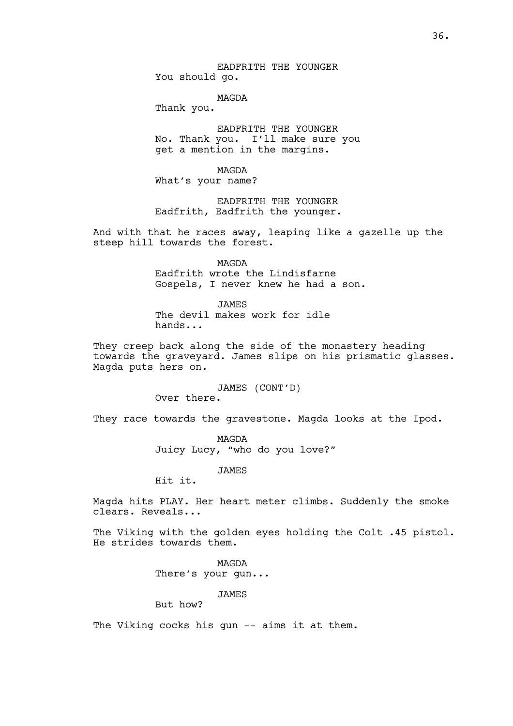EADFRITH THE YOUNGER You should go.

MAGDA

Thank you.

EADFRITH THE YOUNGER No. Thank you. I'll make sure you get a mention in the margins.

MAGDA What's your name?

EADFRITH THE YOUNGER Eadfrith, Eadfrith the younger.

And with that he races away, leaping like a gazelle up the steep hill towards the forest.

> MAGDA Eadfrith wrote the Lindisfarne Gospels, I never knew he had a son.

JAMES The devil makes work for idle hands...

They creep back along the side of the monastery heading towards the graveyard. James slips on his prismatic glasses. Magda puts hers on.

JAMES (CONT'D)

Over there.

They race towards the gravestone. Magda looks at the Ipod.

MAGDA Juicy Lucy, "who do you love?"

JAMES

Hit it.

Magda hits PLAY. Her heart meter climbs. Suddenly the smoke clears. Reveals...

The Viking with the golden eyes holding the Colt .45 pistol. He strides towards them.

> MAGDA There's your gun...

> > JAMES

But how?

The Viking cocks his gun -- aims it at them.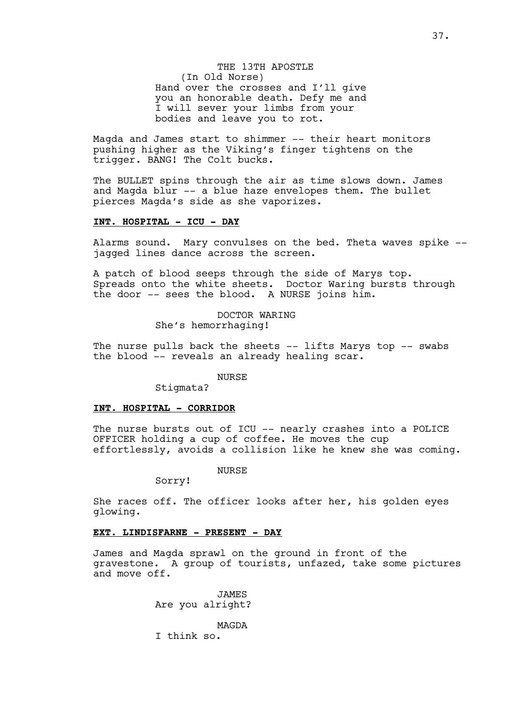THE 13TH APOSTLE (In Old Norse) Hand over the crosses and I'll give you an honorable death. Defy me and I will sever your limbs from your bodies and leave you to rot.

Magda and James start to shimmer -- their heart monitors pushing higher as the Viking's finger tightens on the trigger. BANG! The Colt bucks.

The BULLET spins through the air as time slows down. James and Magda blur -- a blue haze envelopes them. The bullet pierces Magda's side as she vaporizes.

## **INT. HOSPITAL - ICU - DAY**

Alarms sound. Mary convulses on the bed. Theta waves spike - jagged lines dance across the screen.

A patch of blood seeps through the side of Marys top. Spreads onto the white sheets. Doctor Waring bursts through the door -- sees the blood. A NURSE joins him.

> DOCTOR WARING She's hemorrhaging!

The nurse pulls back the sheets -- lifts Marys top -- swabs the blood -- reveals an already healing scar.

NURSE

Stigmata?

### **INT. HOSPITAL - CORRIDOR**

The nurse bursts out of ICU -- nearly crashes into a POLICE OFFICER holding a cup of coffee. He moves the cup effortlessly, avoids a collision like he knew she was coming.

**NURSE** 

Sorry!

She races off. The officer looks after her, his golden eyes glowing.

### **EXT. LINDISFARNE - PRESENT - DAY**

James and Magda sprawl on the ground in front of the gravestone. A group of tourists, unfazed, take some pictures and move off.

> JAMES Are you alright?

MAGDA I think so.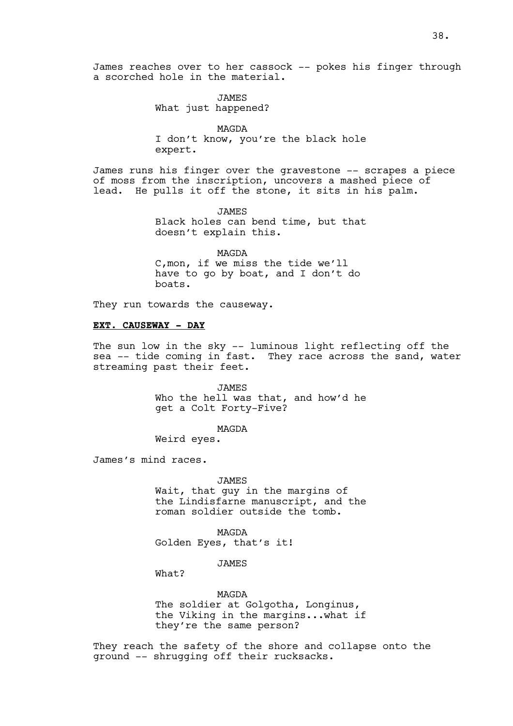JAMES What just happened?

MAGDA I don't know, you're the black hole expert.

James runs his finger over the gravestone -- scrapes a piece of moss from the inscription, uncovers a mashed piece of lead. He pulls it off the stone, it sits in his palm.

> JAMES Black holes can bend time, but that doesn't explain this.

MAGDA C,mon, if we miss the tide we'll have to go by boat, and I don't do boats.

They run towards the causeway.

### **EXT. CAUSEWAY - DAY**

The sun low in the sky -- luminous light reflecting off the sea -- tide coming in fast. They race across the sand, water streaming past their feet.

> JAMES Who the hell was that, and how'd he get a Colt Forty-Five?

> > MAGDA

Weird eyes.

James's mind races.

JAMES Wait, that guy in the margins of the Lindisfarne manuscript, and the roman soldier outside the tomb.

MAGDA Golden Eyes, that's it!

JAMES

 $What?$ 

MAGDA The soldier at Golgotha, Longinus, the Viking in the margins...what if they're the same person?

They reach the safety of the shore and collapse onto the ground -- shrugging off their rucksacks.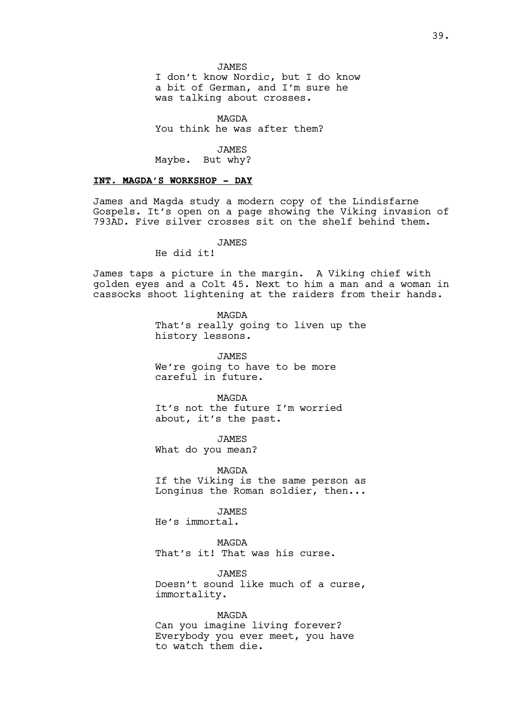JAMES

I don't know Nordic, but I do know a bit of German, and I'm sure he was talking about crosses.

MAGDA You think he was after them?

JAMES Maybe. But why?

#### **INT. MAGDA'S WORKSHOP - DAY**

James and Magda study a modern copy of the Lindisfarne Gospels. It's open on a page showing the Viking invasion of 793AD. Five silver crosses sit on the shelf behind them.

**JAMES** 

He did it!

James taps a picture in the margin. A Viking chief with golden eyes and a Colt 45. Next to him a man and a woman in cassocks shoot lightening at the raiders from their hands.

> MAGDA That's really going to liven up the history lessons.

**JAMES** We're going to have to be more careful in future.

MAGDA It's not the future I'm worried about, it's the past.

JAMES What do you mean?

MAGDA

If the Viking is the same person as Longinus the Roman soldier, then...

JAMES

He's immortal.

MAGDA That's it! That was his curse.

**JAMES** Doesn't sound like much of a curse, immortality.

MAGDA Can you imagine living forever? Everybody you ever meet, you have to watch them die.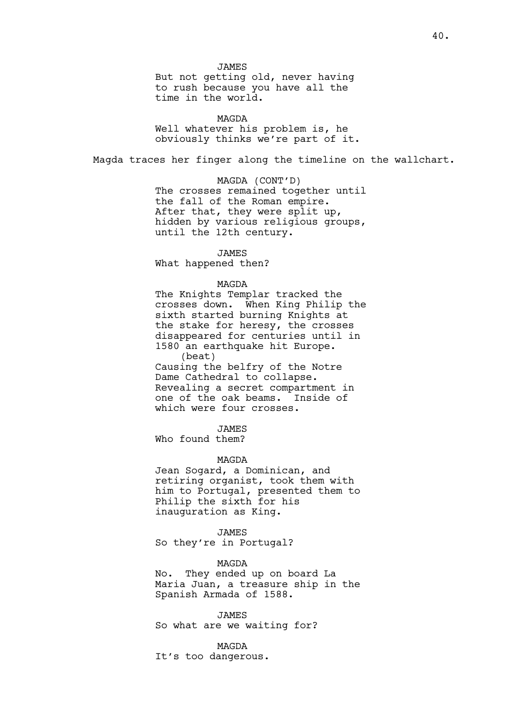JAMES But not getting old, never having to rush because you have all the time in the world.

MAGDA Well whatever his problem is, he obviously thinks we're part of it.

Magda traces her finger along the timeline on the wallchart.

MAGDA (CONT'D) The crosses remained together until the fall of the Roman empire. After that, they were split up, hidden by various religious groups, until the 12th century.

JAMES

What happened then?

#### MAGDA

The Knights Templar tracked the crosses down. When King Philip the sixth started burning Knights at the stake for heresy, the crosses disappeared for centuries until in 1580 an earthquake hit Europe. (beat) Causing the belfry of the Notre Dame Cathedral to collapse. Revealing a secret compartment in

one of the oak beams. Inside of which were four crosses.

JAMES

Who found them?

### MAGDA

Jean Sogard, a Dominican, and retiring organist, took them with him to Portugal, presented them to Philip the sixth for his inauguration as King.

JAMES So they're in Portugal?

MAGDA

No. They ended up on board La Maria Juan, a treasure ship in the Spanish Armada of 1588.

JAMES So what are we waiting for?

#### MAGDA

It's too dangerous.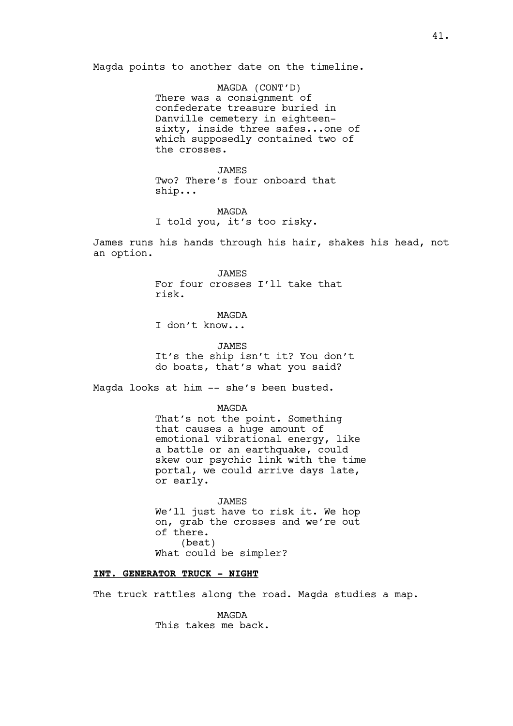Magda points to another date on the timeline.

MAGDA (CONT'D) There was a consignment of confederate treasure buried in Danville cemetery in eighteensixty, inside three safes...one of which supposedly contained two of the crosses.

JAMES Two? There's four onboard that ship...

# MAGDA

I told you, it's too risky.

James runs his hands through his hair, shakes his head, not an option.

> JAMES For four crosses I'll take that risk.

> > MAGDA

I don't know...

JAMES It's the ship isn't it? You don't do boats, that's what you said?

Magda looks at him -- she's been busted.

MAGDA

That's not the point. Something that causes a huge amount of emotional vibrational energy, like a battle or an earthquake, could skew our psychic link with the time portal, we could arrive days late, or early.

JAMES We'll just have to risk it. We hop on, grab the crosses and we're out of there. (beat) What could be simpler?

## **INT. GENERATOR TRUCK - NIGHT**

The truck rattles along the road. Magda studies a map.

MAGDA This takes me back.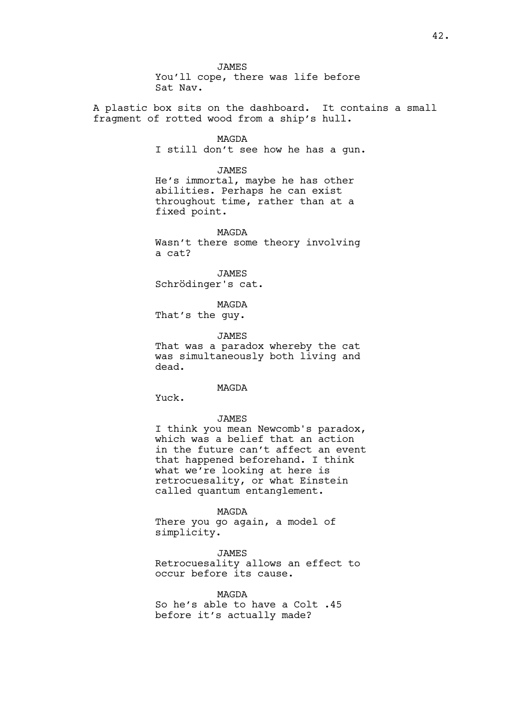JAMES You'll cope, there was life before Sat Nav.

A plastic box sits on the dashboard. It contains a small fragment of rotted wood from a ship's hull.

> MAGDA I still don't see how he has a gun.

JAMES He's immortal, maybe he has other abilities. Perhaps he can exist throughout time, rather than at a fixed point.

MAGDA Wasn't there some theory involving a cat?

JAMES Schrödinger's cat.

MAGDA That's the guy.

JAMES That was a paradox whereby the cat was simultaneously both living and dead.

MAGDA

Yuck.

JAMES

I think you mean Newcomb's paradox, which was a belief that an action in the future can't affect an event that happened beforehand. I think what we're looking at here is retrocuesality, or what Einstein called quantum entanglement.

MAGDA

There you go again, a model of simplicity.

**JAMES** 

Retrocuesality allows an effect to occur before its cause.

MAGDA So he's able to have a Colt .45 before it's actually made?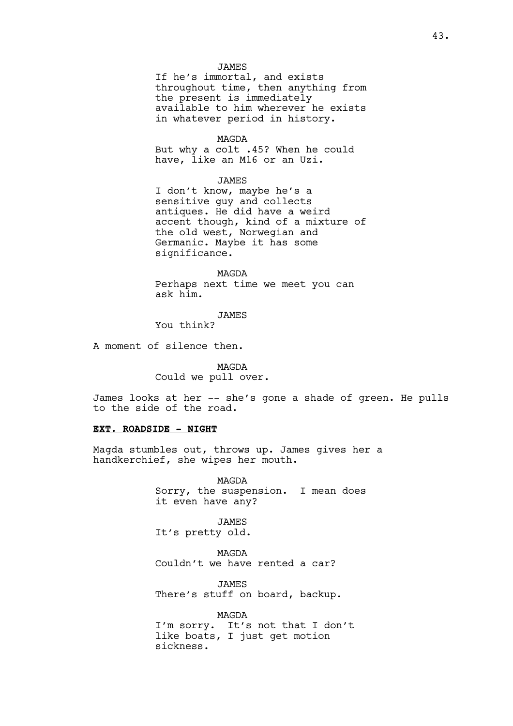### JAMES

If he's immortal, and exists throughout time, then anything from the present is immediately available to him wherever he exists in whatever period in history.

#### MAGDA

But why a colt .45? When he could have, like an M16 or an Uzi.

### JAMES

I don't know, maybe he's a sensitive guy and collects antiques. He did have a weird accent though, kind of a mixture of the old west, Norwegian and Germanic. Maybe it has some significance.

MAGDA Perhaps next time we meet you can ask him.

### JAMES

You think?

A moment of silence then.

MAGDA Could we pull over.

James looks at her -- she's gone a shade of green. He pulls to the side of the road.

### **EXT. ROADSIDE - NIGHT**

Magda stumbles out, throws up. James gives her a handkerchief, she wipes her mouth.

> MAGDA Sorry, the suspension. I mean does it even have any?

JAMES It's pretty old.

MAGDA Couldn't we have rented a car?

JAMES There's stuff on board, backup.

MAGDA I'm sorry. It's not that I don't like boats, I just get motion sickness.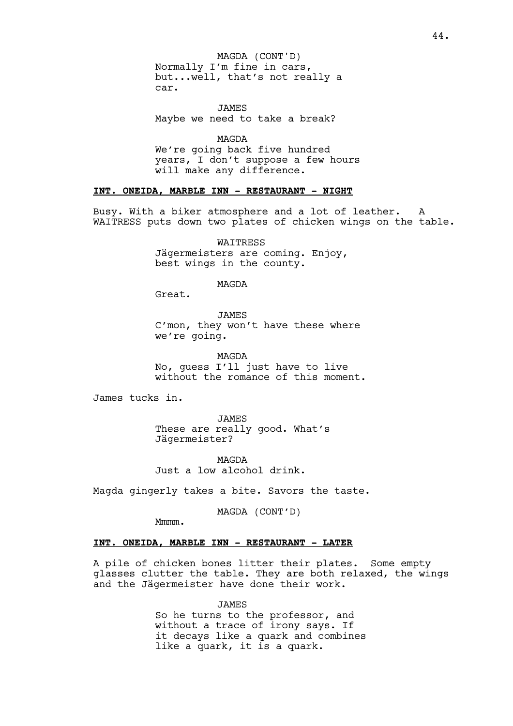Normally I'm fine in cars, but...well, that's not really a car. MAGDA (CONT'D)

JAMES Maybe we need to take a break?

MAGDA We're going back five hundred years, I don't suppose a few hours will make any difference.

#### **INT. ONEIDA, MARBLE INN - RESTAURANT - NIGHT**

Busy. With a biker atmosphere and a lot of leather. A WAITRESS puts down two plates of chicken wings on the table.

> WAITRESS Jägermeisters are coming. Enjoy, best wings in the county.

> > MAGDA

Great.

JAMES

C'mon, they won't have these where we're going.

MAGDA No, guess I'll just have to live without the romance of this moment.

James tucks in.

JAMES These are really good. What's Jägermeister?

MAGDA Just a low alcohol drink.

Magda gingerly takes a bite. Savors the taste.

MAGDA (CONT'D)

Mmmm.

### **INT. ONEIDA, MARBLE INN - RESTAURANT - LATER**

A pile of chicken bones litter their plates. Some empty glasses clutter the table. They are both relaxed, the wings and the Jägermeister have done their work.

> JAMES So he turns to the professor, and without a trace of irony says. If it decays like a quark and combines like a quark, it is a quark.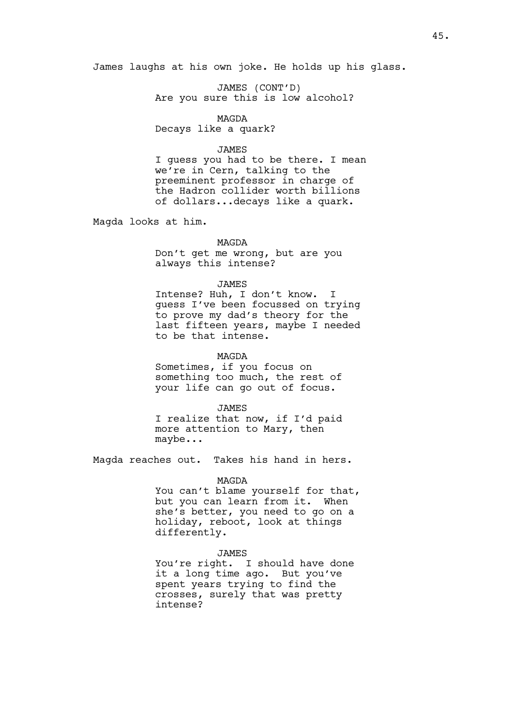James laughs at his own joke. He holds up his glass.

JAMES (CONT'D) Are you sure this is low alcohol?

MAGDA Decays like a quark?

#### JAMES

I guess you had to be there. I mean we're in Cern, talking to the preeminent professor in charge of the Hadron collider worth billions of dollars...decays like a quark.

Magda looks at him.

#### MAGDA

Don't get me wrong, but are you always this intense?

#### JAMES

Intense? Huh, I don't know. I guess I've been focussed on trying to prove my dad's theory for the last fifteen years, maybe I needed to be that intense.

### MAGDA

Sometimes, if you focus on something too much, the rest of your life can go out of focus.

JAMES

I realize that now, if I'd paid more attention to Mary, then maybe...

Magda reaches out. Takes his hand in hers.

#### MAGDA

You can't blame yourself for that, but you can learn from it. When she's better, you need to go on a holiday, reboot, look at things differently.

#### **JAMES**

You're right. I should have done it a long time ago. But you've spent years trying to find the crosses, surely that was pretty intense?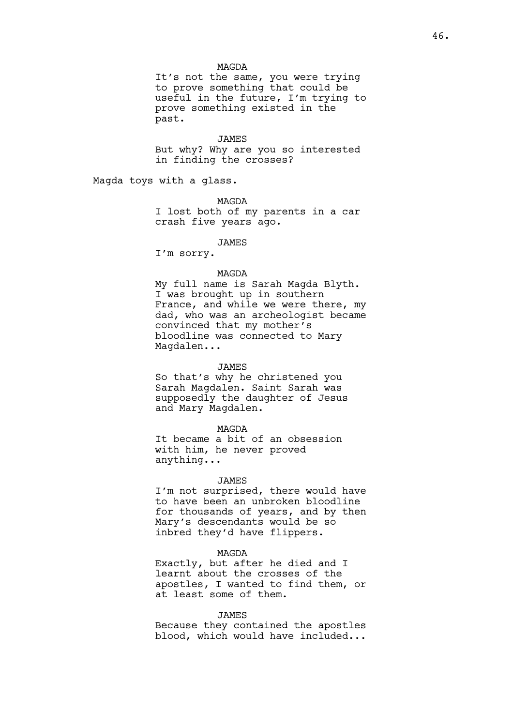#### MAGDA

It's not the same, you were trying to prove something that could be useful in the future, I'm trying to prove something existed in the past.

#### JAMES

But why? Why are you so interested in finding the crosses?

Magda toys with a glass.

MAGDA

I lost both of my parents in a car crash five years ago.

# JAMES

I'm sorry.

#### MAGDA

My full name is Sarah Magda Blyth. I was brought up in southern France, and while we were there, my dad, who was an archeologist became convinced that my mother's bloodline was connected to Mary Magdalen...

#### JAMES

So that's why he christened you Sarah Magdalen. Saint Sarah was supposedly the daughter of Jesus and Mary Magdalen.

#### MAGDA

It became a bit of an obsession with him, he never proved anything...

#### JAMES

I'm not surprised, there would have to have been an unbroken bloodline for thousands of years, and by then Mary's descendants would be so inbred they'd have flippers.

### MAGDA

Exactly, but after he died and I learnt about the crosses of the apostles, I wanted to find them, or at least some of them.

#### JAMES

Because they contained the apostles blood, which would have included...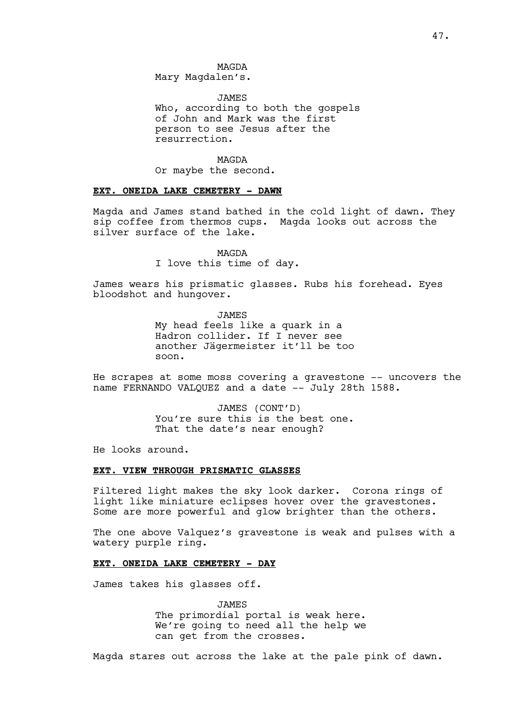MAGDA Mary Magdalen's.

JAMES Who, according to both the gospels of John and Mark was the first person to see Jesus after the resurrection.

MAGDA

Or maybe the second.

#### **EXT. ONEIDA LAKE CEMETERY - DAWN**

Magda and James stand bathed in the cold light of dawn. They sip coffee from thermos cups. Magda looks out across the silver surface of the lake.

MAGDA

I love this time of day.

James wears his prismatic glasses. Rubs his forehead. Eyes bloodshot and hungover.

> JAMES My head feels like a quark in a Hadron collider. If I never see another Jägermeister it'll be too soon.

He scrapes at some moss covering a gravestone -- uncovers the name FERNANDO VALQUEZ and a date -- July 28th 1588.

> JAMES (CONT'D) You're sure this is the best one. That the date's near enough?

He looks around.

## **EXT. VIEW THROUGH PRISMATIC GLASSES**

Filtered light makes the sky look darker. Corona rings of light like miniature eclipses hover over the gravestones. Some are more powerful and glow brighter than the others.

The one above Valquez's gravestone is weak and pulses with a watery purple ring.

### **EXT. ONEIDA LAKE CEMETERY - DAY**

James takes his glasses off.

JAMES The primordial portal is weak here. We're going to need all the help we can get from the crosses.

Magda stares out across the lake at the pale pink of dawn.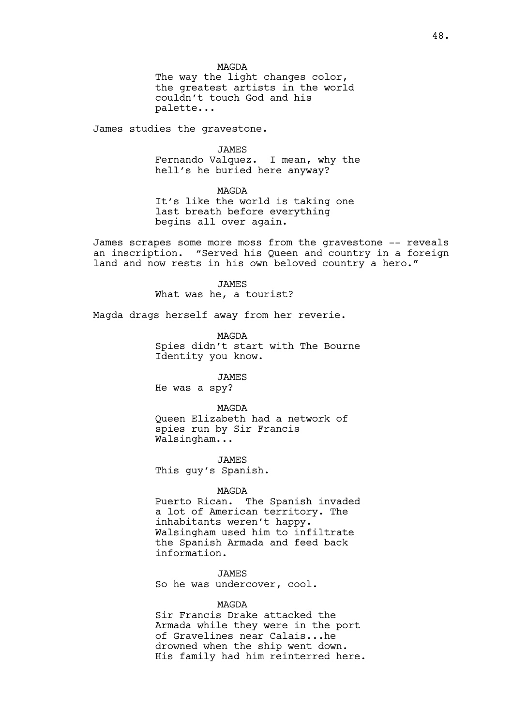MAGDA The way the light changes color, the greatest artists in the world couldn't touch God and his palette...

James studies the gravestone.

JAMES Fernando Valquez. I mean, why the hell's he buried here anyway?

MAGDA It's like the world is taking one last breath before everything begins all over again.

James scrapes some more moss from the gravestone -- reveals an inscription. "Served his Queen and country in a foreign land and now rests in his own beloved country a hero."

> **JAMES** What was he, a tourist?

Magda drags herself away from her reverie.

MAGDA Spies didn't start with The Bourne Identity you know.

JAMES He was a spy?

MAGDA Queen Elizabeth had a network of spies run by Sir Francis Walsingham...

JAMES This guy's Spanish.

## MAGDA

Puerto Rican. The Spanish invaded a lot of American territory. The inhabitants weren't happy. Walsingham used him to infiltrate the Spanish Armada and feed back information.

JAMES So he was undercover, cool.

## MAGDA

Sir Francis Drake attacked the Armada while they were in the port of Gravelines near Calais...he drowned when the ship went down. His family had him reinterred here.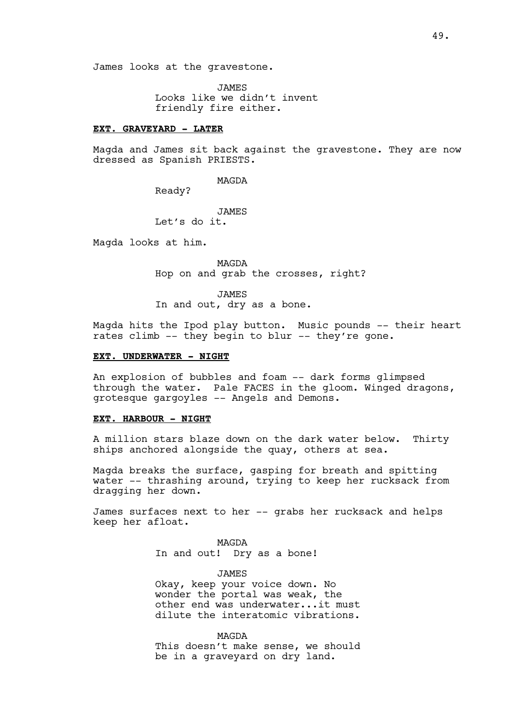JAMES Looks like we didn't invent friendly fire either.

#### **EXT. GRAVEYARD - LATER**

Magda and James sit back against the gravestone. They are now dressed as Spanish PRIESTS.

MAGDA

Ready?

JAMES Let's do it.

Magda looks at him.

MAGDA Hop on and grab the crosses, right?

JAMES

In and out, dry as a bone.

Magda hits the Ipod play button. Music pounds -- their heart rates climb -- they begin to blur -- they're gone.

# **EXT. UNDERWATER - NIGHT**

An explosion of bubbles and foam -- dark forms glimpsed through the water. Pale FACES in the gloom. Winged dragons, grotesque gargoyles -- Angels and Demons.

### **EXT. HARBOUR - NIGHT**

A million stars blaze down on the dark water below. Thirty ships anchored alongside the quay, others at sea.

Magda breaks the surface, gasping for breath and spitting water -- thrashing around, trying to keep her rucksack from dragging her down.

James surfaces next to her -- grabs her rucksack and helps keep her afloat.

> MAGDA In and out! Dry as a bone!

> > **JAMES**

Okay, keep your voice down. No wonder the portal was weak, the other end was underwater...it must dilute the interatomic vibrations.

**MAGDA** 

This doesn't make sense, we should be in a graveyard on dry land.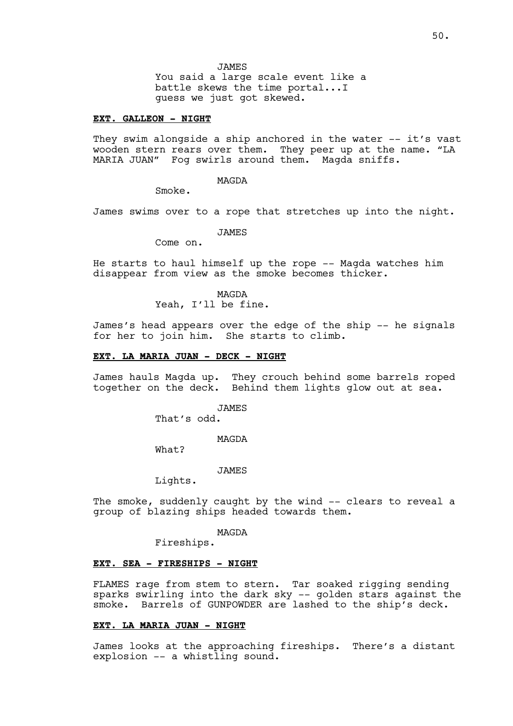JAMES You said a large scale event like a battle skews the time portal...I guess we just got skewed.

#### **EXT. GALLEON - NIGHT**

They swim alongside a ship anchored in the water -- it's vast wooden stern rears over them. They peer up at the name. "LA MARIA JUAN" Fog swirls around them. Magda sniffs.

MAGDA

Smoke.

James swims over to a rope that stretches up into the night.

JAMES

Come on.

He starts to haul himself up the rope -- Magda watches him disappear from view as the smoke becomes thicker.

> MAGDA Yeah, I'll be fine.

James's head appears over the edge of the ship -- he signals for her to join him. She starts to climb.

### **EXT. LA MARIA JUAN - DECK - NIGHT**

James hauls Magda up. They crouch behind some barrels roped together on the deck. Behind them lights glow out at sea.

> JAMES That's odd.

> > MAGDA

What?

**JAMES** 

Lights.

The smoke, suddenly caught by the wind -- clears to reveal a group of blazing ships headed towards them.

MAGDA

Fireships.

### **EXT. SEA - FIRESHIPS - NIGHT**

FLAMES rage from stem to stern. Tar soaked rigging sending sparks swirling into the dark sky -- golden stars against the smoke. Barrels of GUNPOWDER are lashed to the ship's deck.

### **EXT. LA MARIA JUAN - NIGHT**

James looks at the approaching fireships. There's a distant explosion -- a whistling sound.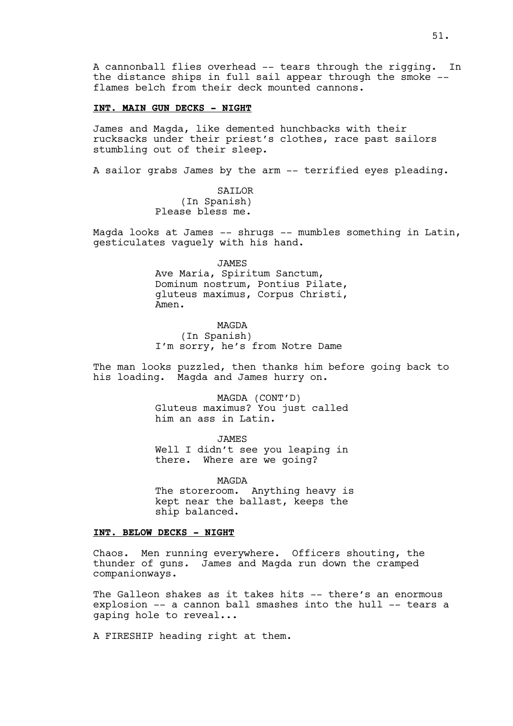A cannonball flies overhead -- tears through the rigging. In the distance ships in full sail appear through the smoke - flames belch from their deck mounted cannons.

## **INT. MAIN GUN DECKS - NIGHT**

James and Magda, like demented hunchbacks with their rucksacks under their priest's clothes, race past sailors stumbling out of their sleep.

A sailor grabs James by the arm -- terrified eyes pleading.

SAILOR (In Spanish) Please bless me.

Magda looks at James -- shrugs -- mumbles something in Latin, gesticulates vaguely with his hand.

> JAMES Ave Maria, Spiritum Sanctum, Dominum nostrum, Pontius Pilate, gluteus maximus, Corpus Christi, Amen.

MAGDA (In Spanish) I'm sorry, he's from Notre Dame

The man looks puzzled, then thanks him before going back to his loading. Magda and James hurry on.

> MAGDA (CONT'D) Gluteus maximus? You just called him an ass in Latin.

> JAMES Well I didn't see you leaping in there. Where are we going?

MAGDA The storeroom. Anything heavy is kept near the ballast, keeps the ship balanced.

### **INT. BELOW DECKS - NIGHT**

Chaos. Men running everywhere. Officers shouting, the thunder of guns. James and Magda run down the cramped companionways.

The Galleon shakes as it takes hits -- there's an enormous explosion -- a cannon ball smashes into the hull -- tears a gaping hole to reveal...

A FIRESHIP heading right at them.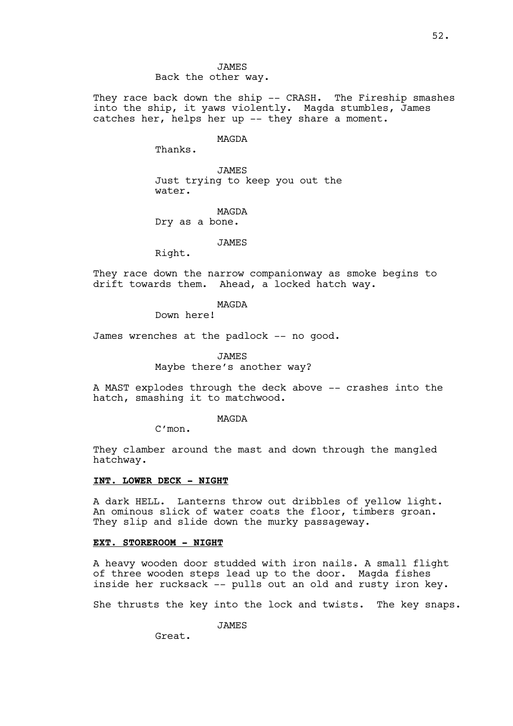JAMES Back the other way.

They race back down the ship -- CRASH. The Fireship smashes into the ship, it yaws violently. Magda stumbles, James catches her, helps her up -- they share a moment.

MAGDA

Thanks.

JAMES Just trying to keep you out the water.

MAGDA Dry as a bone.

**JAMES** 

Right.

They race down the narrow companionway as smoke begins to drift towards them. Ahead, a locked hatch way.

## MAGDA

Down here!

James wrenches at the padlock -- no good.

**JAMES** Maybe there's another way?

A MAST explodes through the deck above -- crashes into the hatch, smashing it to matchwood.

#### MAGDA

C'mon.

They clamber around the mast and down through the mangled hatchway.

### **INT. LOWER DECK - NIGHT**

A dark HELL. Lanterns throw out dribbles of yellow light. An ominous slick of water coats the floor, timbers groan. They slip and slide down the murky passageway.

### **EXT. STOREROOM - NIGHT**

A heavy wooden door studded with iron nails. A small flight of three wooden steps lead up to the door. Magda fishes inside her rucksack -- pulls out an old and rusty iron key.

She thrusts the key into the lock and twists. The key snaps.

JAMES

Great.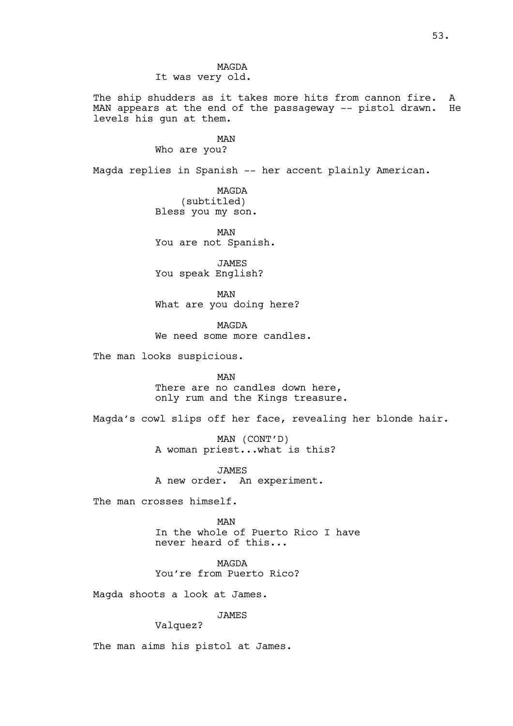MAGDA It was very old.

The ship shudders as it takes more hits from cannon fire. A MAN appears at the end of the passageway -- pistol drawn. He levels his gun at them.

MAN

Who are you?

Magda replies in Spanish -- her accent plainly American.

MAGDA (subtitled) Bless you my son.

MAN You are not Spanish.

JAMES You speak English?

MAN What are you doing here?

MAGDA We need some more candles.

The man looks suspicious.

MAN There are no candles down here, only rum and the Kings treasure.

Magda's cowl slips off her face, revealing her blonde hair.

MAN (CONT'D) A woman priest...what is this?

JAMES A new order. An experiment.

The man crosses himself.

MAN In the whole of Puerto Rico I have never heard of this...

MAGDA You're from Puerto Rico?

Magda shoots a look at James.

JAMES

Valquez?

The man aims his pistol at James.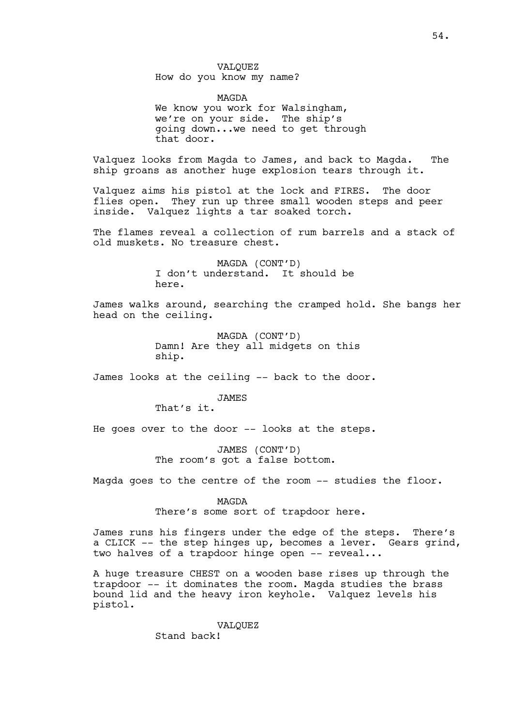## VALQUEZ How do you know my name?

MAGDA We know you work for Walsingham, we're on your side. The ship's going down...we need to get through that door.

Valquez looks from Magda to James, and back to Magda. The ship groans as another huge explosion tears through it.

Valquez aims his pistol at the lock and FIRES. The door flies open. They run up three small wooden steps and peer inside. Valquez lights a tar soaked torch.

The flames reveal a collection of rum barrels and a stack of old muskets. No treasure chest.

> MAGDA (CONT'D) I don't understand. It should be here.

James walks around, searching the cramped hold. She bangs her head on the ceiling.

> MAGDA (CONT'D) Damn! Are they all midgets on this ship.

James looks at the ceiling -- back to the door.

JAMES That's it.

He goes over to the door -- looks at the steps.

JAMES (CONT'D) The room's got a false bottom.

Magda goes to the centre of the room -- studies the floor.

MAGDA There's some sort of trapdoor here.

James runs his fingers under the edge of the steps. There's a CLICK -- the step hinges up, becomes a lever. Gears grind, two halves of a trapdoor hinge open -- reveal...

A huge treasure CHEST on a wooden base rises up through the trapdoor -- it dominates the room. Magda studies the brass bound lid and the heavy iron keyhole. Valquez levels his pistol.

> VALQUEZ Stand back!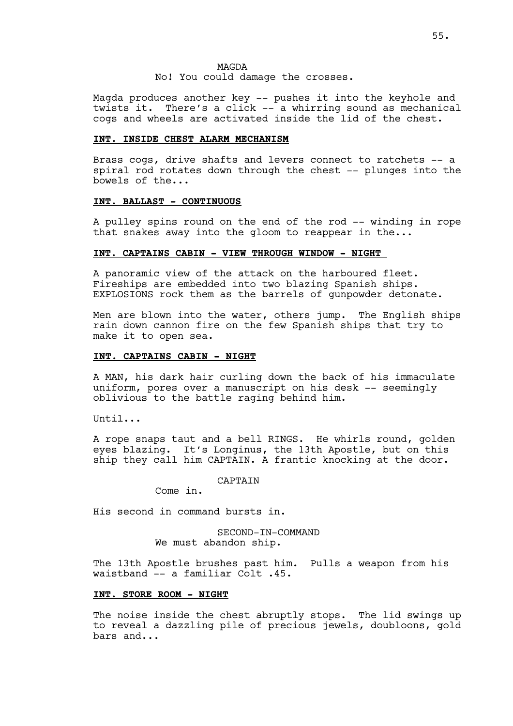MAGDA No! You could damage the crosses.

Magda produces another key -- pushes it into the keyhole and twists it. There's a click -- a whirring sound as mechanical cogs and wheels are activated inside the lid of the chest.

## **INT. INSIDE CHEST ALARM MECHANISM**

Brass cogs, drive shafts and levers connect to ratchets -- a spiral rod rotates down through the chest -- plunges into the bowels of the...

#### **INT. BALLAST - CONTINUOUS**

A pulley spins round on the end of the rod -- winding in rope that snakes away into the gloom to reappear in the...

# **INT. CAPTAINS CABIN - VIEW THROUGH WINDOW - NIGHT**

A panoramic view of the attack on the harboured fleet. Fireships are embedded into two blazing Spanish ships. EXPLOSIONS rock them as the barrels of gunpowder detonate.

Men are blown into the water, others jump. The English ships rain down cannon fire on the few Spanish ships that try to make it to open sea.

### **INT. CAPTAINS CABIN - NIGHT**

A MAN, his dark hair curling down the back of his immaculate uniform, pores over a manuscript on his desk -- seemingly oblivious to the battle raging behind him.

Until...

A rope snaps taut and a bell RINGS. He whirls round, golden eyes blazing. It's Longinus, the 13th Apostle, but on this ship they call him CAPTAIN. A frantic knocking at the door.

CAPTAIN

Come in.

His second in command bursts in.

SECOND-IN-COMMAND We must abandon ship.

The 13th Apostle brushes past him. Pulls a weapon from his waistband -- a familiar Colt .45.

## **INT. STORE ROOM - NIGHT**

The noise inside the chest abruptly stops. The lid swings up to reveal a dazzling pile of precious jewels, doubloons, gold bars and...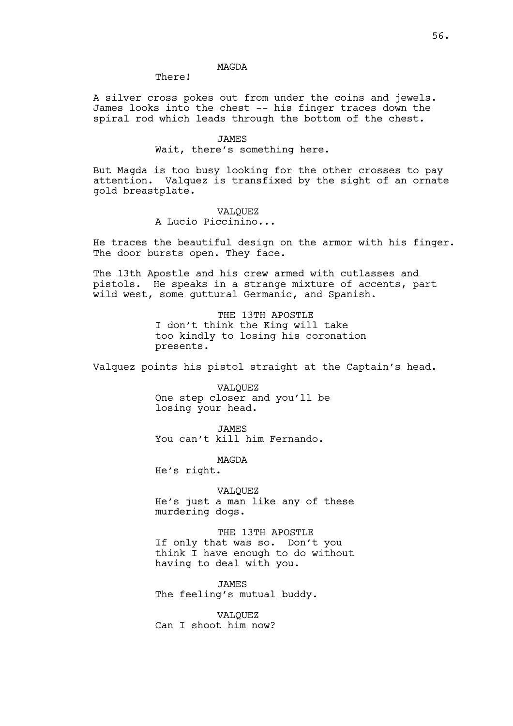## MAGDA

There!

A silver cross pokes out from under the coins and jewels. James looks into the chest -- his finger traces down the spiral rod which leads through the bottom of the chest.

> JAMES Wait, there's something here.

But Magda is too busy looking for the other crosses to pay attention. Valquez is transfixed by the sight of an ornate gold breastplate.

> VALQUEZ A Lucio Piccinino...

He traces the beautiful design on the armor with his finger. The door bursts open. They face.

The 13th Apostle and his crew armed with cutlasses and pistols. He speaks in a strange mixture of accents, part wild west, some guttural Germanic, and Spanish.

> THE 13TH APOSTLE I don't think the King will take too kindly to losing his coronation presents.

Valquez points his pistol straight at the Captain's head.

VALQUEZ One step closer and you'll be losing your head.

JAMES You can't kill him Fernando.

MAGDA He's right.

VALQUEZ He's just a man like any of these murdering dogs.

THE 13TH APOSTLE If only that was so. Don't you think I have enough to do without having to deal with you.

JAMES The feeling's mutual buddy.

VALQUEZ Can I shoot him now?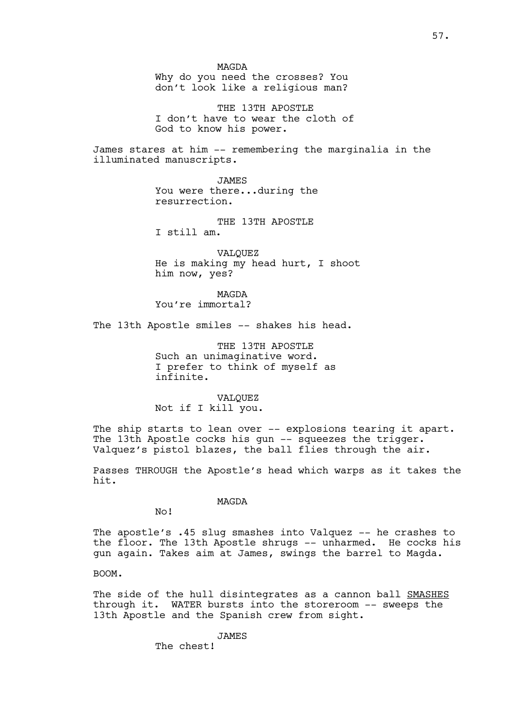Why do you need the crosses? You don't look like a religious man?

THE 13TH APOSTLE I don't have to wear the cloth of God to know his power.

James stares at him -- remembering the marginalia in the illuminated manuscripts.

> JAMES You were there...during the resurrection.

THE 13TH APOSTLE I still am.

VALQUEZ He is making my head hurt, I shoot him now, yes?

MAGDA You're immortal?

The 13th Apostle smiles -- shakes his head.

THE 13TH APOSTLE Such an unimaginative word. I prefer to think of myself as infinite.

VALQUEZ Not if I kill you.

The ship starts to lean over -- explosions tearing it apart. The 13th Apostle cocks his gun -- squeezes the trigger. Valquez's pistol blazes, the ball flies through the air.

Passes THROUGH the Apostle's head which warps as it takes the hit.

MAGDA

No!

The apostle's .45 slug smashes into Valquez -- he crashes to the floor. The 13th Apostle shrugs -- unharmed. He cocks his gun again. Takes aim at James, swings the barrel to Magda.

BOOM.

The side of the hull disintegrates as a cannon ball SMASHES through it. WATER bursts into the storeroom -- sweeps the 13th Apostle and the Spanish crew from sight.

JAMES

The chest!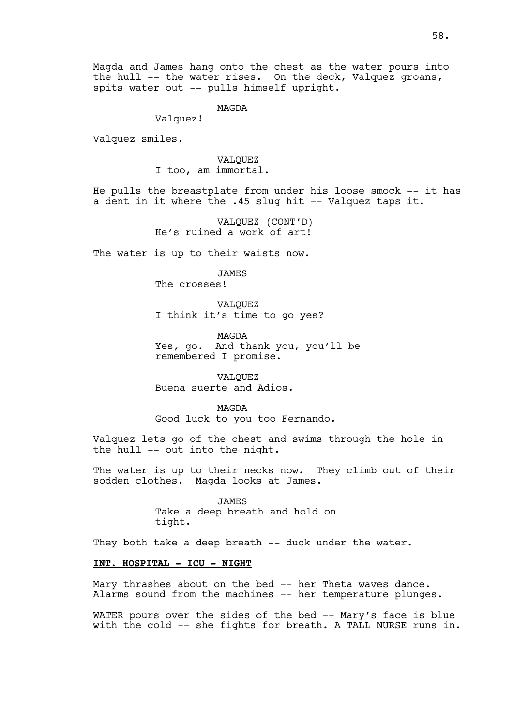Magda and James hang onto the chest as the water pours into the hull -- the water rises. On the deck, Valquez groans, spits water out -- pulls himself upright.

MAGDA

Valquez!

Valquez smiles.

VALQUEZ I too, am immortal.

He pulls the breastplate from under his loose smock -- it has a dent in it where the .45 slug hit -- Valquez taps it.

> VALQUEZ (CONT'D) He's ruined a work of art!

The water is up to their waists now.

JAMES The crosses!

VALQUEZ I think it's time to go yes?

MAGDA Yes, go. And thank you, you'll be remembered I promise.

VALQUEZ Buena suerte and Adios.

MAGDA Good luck to you too Fernando.

Valquez lets go of the chest and swims through the hole in the hull -- out into the night.

The water is up to their necks now. They climb out of their sodden clothes. Magda looks at James.

> JAMES Take a deep breath and hold on tight.

They both take a deep breath -- duck under the water.

### **INT. HOSPITAL - ICU - NIGHT**

Mary thrashes about on the bed -- her Theta waves dance. Alarms sound from the machines -- her temperature plunges.

WATER pours over the sides of the bed -- Mary's face is blue with the cold -- she fights for breath. A TALL NURSE runs in.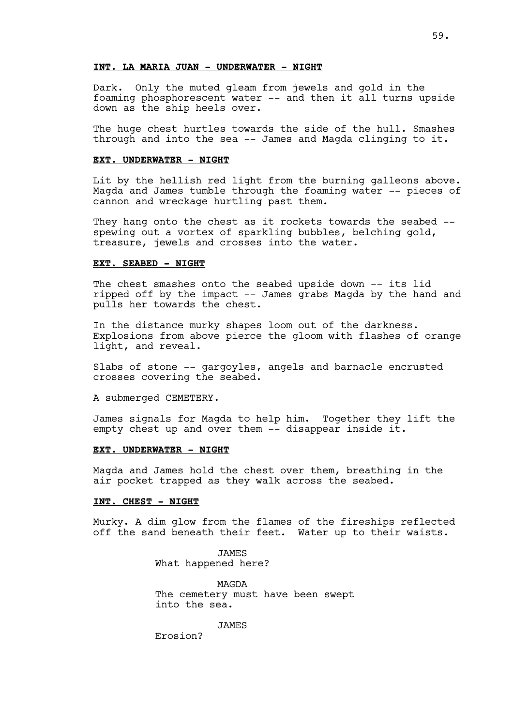## **INT. LA MARIA JUAN - UNDERWATER - NIGHT**

Dark. Only the muted gleam from jewels and gold in the foaming phosphorescent water -- and then it all turns upside down as the ship heels over.

The huge chest hurtles towards the side of the hull. Smashes through and into the sea -- James and Magda clinging to it.

#### **EXT. UNDERWATER - NIGHT**

Lit by the hellish red light from the burning galleons above. Magda and James tumble through the foaming water -- pieces of cannon and wreckage hurtling past them.

They hang onto the chest as it rockets towards the seabed -spewing out a vortex of sparkling bubbles, belching gold, treasure, jewels and crosses into the water.

### **EXT. SEABED - NIGHT**

The chest smashes onto the seabed upside down -- its lid ripped off by the impact -- James grabs Magda by the hand and pulls her towards the chest.

In the distance murky shapes loom out of the darkness. Explosions from above pierce the gloom with flashes of orange light, and reveal.

Slabs of stone -- gargoyles, angels and barnacle encrusted crosses covering the seabed.

A submerged CEMETERY.

James signals for Magda to help him. Together they lift the empty chest up and over them -- disappear inside it.

### **EXT. UNDERWATER - NIGHT**

Magda and James hold the chest over them, breathing in the air pocket trapped as they walk across the seabed.

#### **INT. CHEST - NIGHT**

Murky. A dim glow from the flames of the fireships reflected off the sand beneath their feet. Water up to their waists.

> **JAMES** What happened here?

MAGDA The cemetery must have been swept into the sea.

JAMES

Erosion?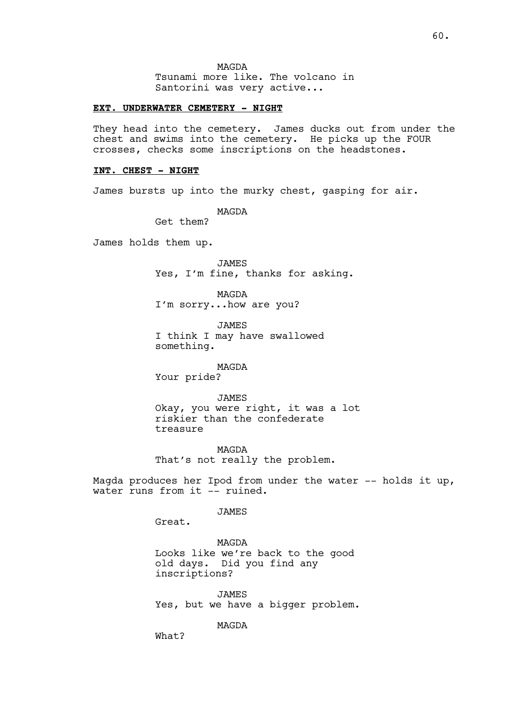MAGDA

Tsunami more like. The volcano in Santorini was very active...

### **EXT. UNDERWATER CEMETERY - NIGHT**

They head into the cemetery. James ducks out from under the chest and swims into the cemetery. He picks up the FOUR crosses, checks some inscriptions on the headstones.

#### **INT. CHEST - NIGHT**

James bursts up into the murky chest, gasping for air.

MAGDA

Get them?

James holds them up.

JAMES Yes, I'm fine, thanks for asking.

MAGDA I'm sorry...how are you?

JAMES I think I may have swallowed something.

MAGDA Your pride?

JAMES Okay, you were right, it was a lot riskier than the confederate treasure

MAGDA That's not really the problem.

Magda produces her Ipod from under the water  $--$  holds it up, water runs from it -- ruined.

JAMES

Great.

MAGDA Looks like we're back to the good old days. Did you find any inscriptions?

JAMES Yes, but we have a bigger problem.

MAGDA

What?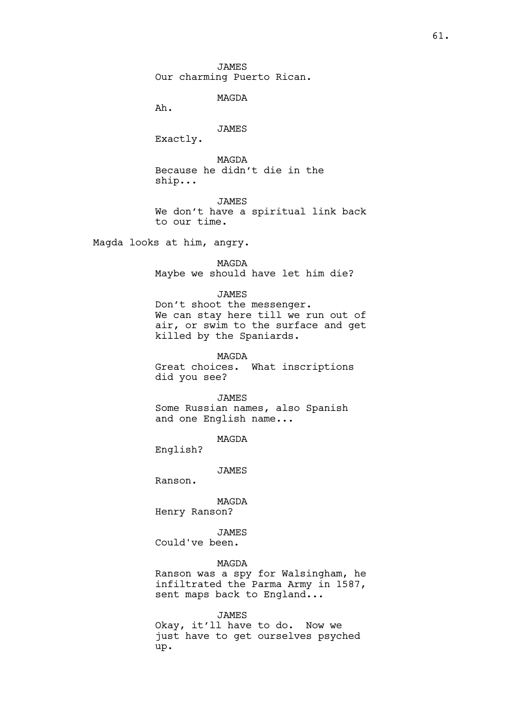JAMES Our charming Puerto Rican.

MAGDA

Ah.

# JAMES

Exactly.

MAGDA Because he didn't die in the ship...

JAMES We don't have a spiritual link back to our time.

Magda looks at him, angry.

MAGDA Maybe we should have let him die?

### JAMES

Don't shoot the messenger. We can stay here till we run out of air, or swim to the surface and get killed by the Spaniards.

MAGDA

Great choices. What inscriptions did you see?

JAMES

Some Russian names, also Spanish and one English name...

MAGDA

English?

JAMES

Ranson.

MAGDA Henry Ranson?

JAMES Could've been.

#### MAGDA

Ranson was a spy for Walsingham, he infiltrated the Parma Army in 1587, sent maps back to England...

JAMES

Okay, it'll have to do. Now we just have to get ourselves psyched up.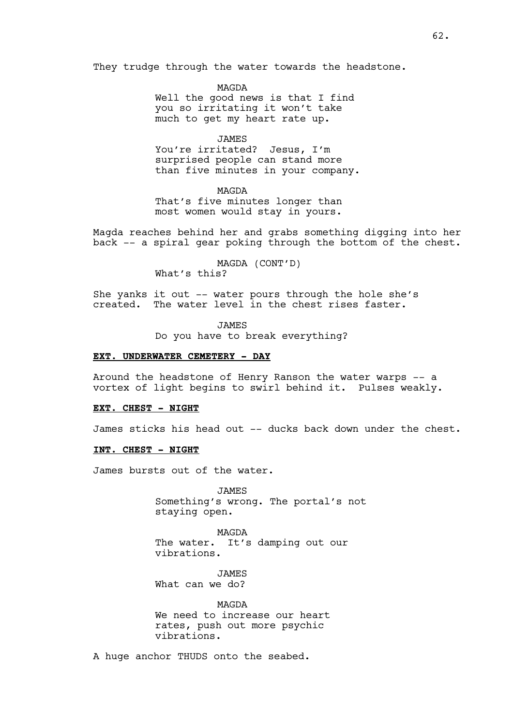They trudge through the water towards the headstone.

MAGDA Well the good news is that I find you so irritating it won't take much to get my heart rate up.

JAMES You're irritated? Jesus, I'm surprised people can stand more than five minutes in your company.

MAGDA That's five minutes longer than most women would stay in yours.

Magda reaches behind her and grabs something digging into her back -- a spiral gear poking through the bottom of the chest.

> MAGDA (CONT'D) What's this?

She yanks it out -- water pours through the hole she's created. The water level in the chest rises faster.

JAMES

Do you have to break everything?

### **EXT. UNDERWATER CEMETERY - DAY**

Around the headstone of Henry Ranson the water warps -- a vortex of light begins to swirl behind it. Pulses weakly.

### **EXT. CHEST - NIGHT**

James sticks his head out -- ducks back down under the chest.

#### **INT. CHEST - NIGHT**

James bursts out of the water.

JAMES Something's wrong. The portal's not staying open.

MAGDA The water. It's damping out our vibrations.

JAMES What can we do?

MAGDA We need to increase our heart rates, push out more psychic vibrations.

A huge anchor THUDS onto the seabed.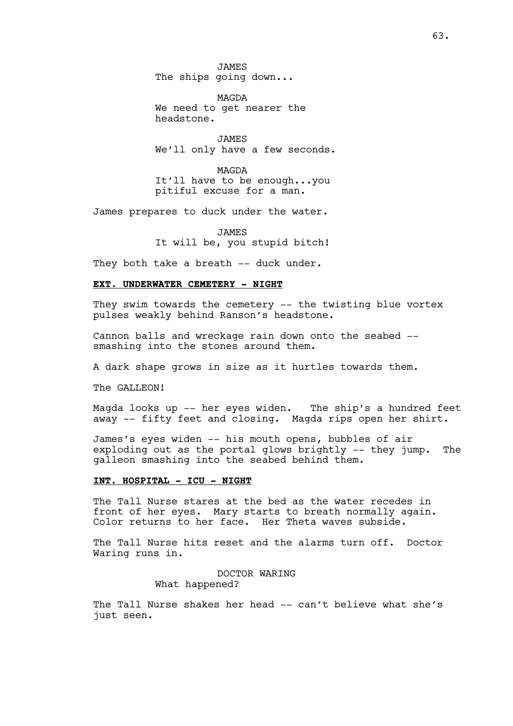JAMES The ships going down...

MAGDA We need to get nearer the headstone.

JAMES We'll only have a few seconds.

MAGDA It'll have to be enough...you pitiful excuse for a man.

James prepares to duck under the water.

JAMES It will be, you stupid bitch!

They both take a breath -- duck under.

### **EXT. UNDERWATER CEMETERY - NIGHT**

They swim towards the cemetery -- the twisting blue vortex pulses weakly behind Ranson's headstone.

Cannon balls and wreckage rain down onto the seabed - smashing into the stones around them.

A dark shape grows in size as it hurtles towards them.

The GALLEON!

Magda looks up -- her eyes widen. The ship's a hundred feet away -- fifty feet and closing. Magda rips open her shirt.

James's eyes widen -- his mouth opens, bubbles of air exploding out as the portal glows brightly -- they jump. The galleon smashing into the seabed behind them.

### **INT. HOSPITAL - ICU - NIGHT**

The Tall Nurse stares at the bed as the water recedes in front of her eyes. Mary starts to breath normally again. Color returns to her face. Her Theta waves subside.

The Tall Nurse hits reset and the alarms turn off. Doctor Waring runs in.

> DOCTOR WARING What happened?

The Tall Nurse shakes her head -- can't believe what she's just seen.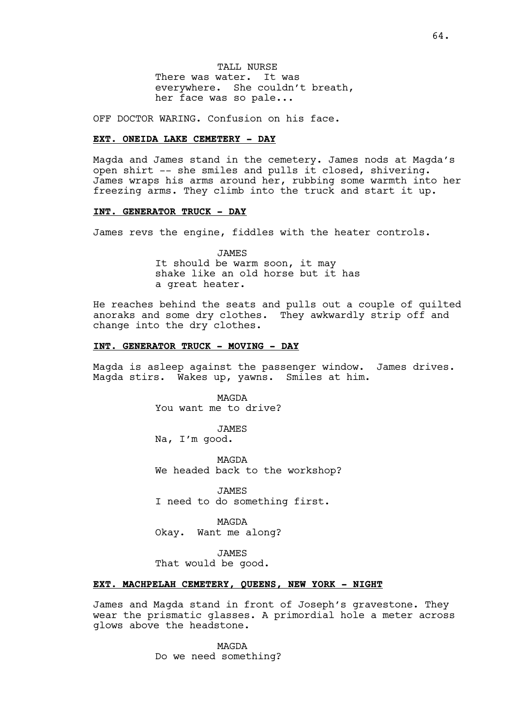TALL NURSE There was water. It was everywhere. She couldn't breath, her face was so pale...

OFF DOCTOR WARING. Confusion on his face.

## **EXT. ONEIDA LAKE CEMETERY - DAY**

Magda and James stand in the cemetery. James nods at Magda's open shirt -- she smiles and pulls it closed, shivering. James wraps his arms around her, rubbing some warmth into her freezing arms. They climb into the truck and start it up.

## **INT. GENERATOR TRUCK - DAY**

James revs the engine, fiddles with the heater controls.

JAMES It should be warm soon, it may shake like an old horse but it has a great heater.

He reaches behind the seats and pulls out a couple of quilted anoraks and some dry clothes. They awkwardly strip off and change into the dry clothes.

### **INT. GENERATOR TRUCK - MOVING - DAY**

Magda is asleep against the passenger window. James drives. Magda stirs. Wakes up, yawns. Smiles at him.

> MAGDA You want me to drive?

JAMES Na, I'm good.

MAGDA We headed back to the workshop?

JAMES I need to do something first.

MAGDA Okay. Want me along?

**JAMES** That would be good.

### **EXT. MACHPELAH CEMETERY, QUEENS, NEW YORK - NIGHT**

James and Magda stand in front of Joseph's gravestone. They wear the prismatic glasses. A primordial hole a meter across glows above the headstone.

> MAGDA Do we need something?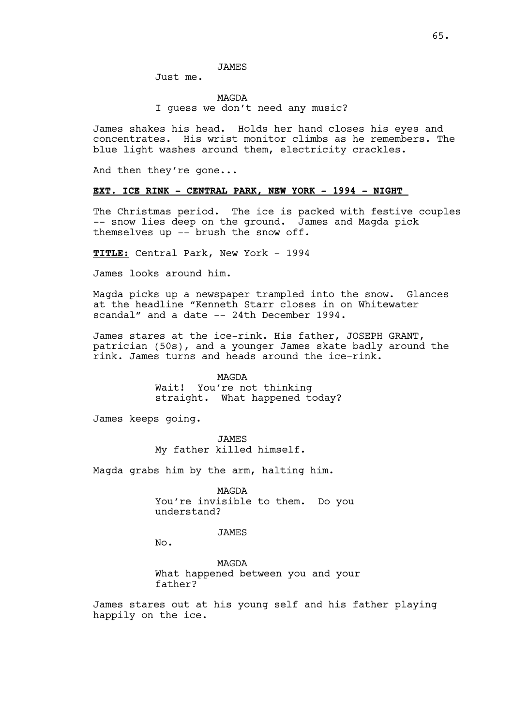### JAMES

Just me.

MAGDA I guess we don't need any music?

James shakes his head. Holds her hand closes his eyes and concentrates. His wrist monitor climbs as he remembers. The blue light washes around them, electricity crackles.

And then they're gone...

### **EXT. ICE RINK - CENTRAL PARK, NEW YORK - 1994 - NIGHT**

The Christmas period. The ice is packed with festive couples -- snow lies deep on the ground. James and Magda pick themselves up -- brush the snow off.

**TITLE:** Central Park, New York - 1994

James looks around him.

Magda picks up a newspaper trampled into the snow. Glances at the headline "Kenneth Starr closes in on Whitewater scandal" and a date -- 24th December 1994.

James stares at the ice-rink. His father, JOSEPH GRANT, patrician (50s), and a younger James skate badly around the rink. James turns and heads around the ice-rink.

> MAGDA Wait! You're not thinking straight. What happened today?

James keeps going.

JAMES My father killed himself.

Magda grabs him by the arm, halting him.

MAGDA You're invisible to them. Do you understand?

JAMES

No.

MAGDA What happened between you and your father?

James stares out at his young self and his father playing happily on the ice.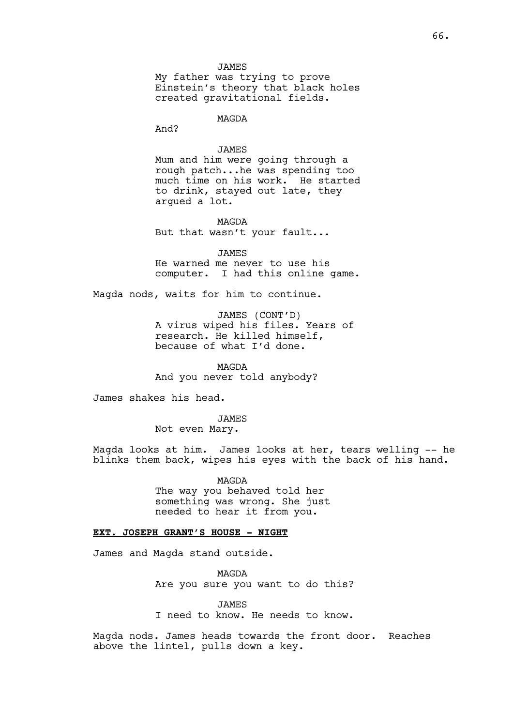My father was trying to prove Einstein's theory that black holes created gravitational fields.

MAGDA

And?

## JAMES

Mum and him were going through a rough patch...he was spending too much time on his work. He started to drink, stayed out late, they argued a lot.

MAGDA

But that wasn't your fault...

JAMES He warned me never to use his computer. I had this online game.

Magda nods, waits for him to continue.

JAMES (CONT'D) A virus wiped his files. Years of research. He killed himself, because of what I'd done.

MAGDA And you never told anybody?

James shakes his head.

JAMES

Not even Mary.

Magda looks at him. James looks at her, tears welling -- he blinks them back, wipes his eyes with the back of his hand.

> MAGDA The way you behaved told her something was wrong. She just needed to hear it from you.

## **EXT. JOSEPH GRANT'S HOUSE - NIGHT**

James and Magda stand outside.

MAGDA Are you sure you want to do this?

**JAMES** I need to know. He needs to know.

Magda nods. James heads towards the front door. Reaches above the lintel, pulls down a key.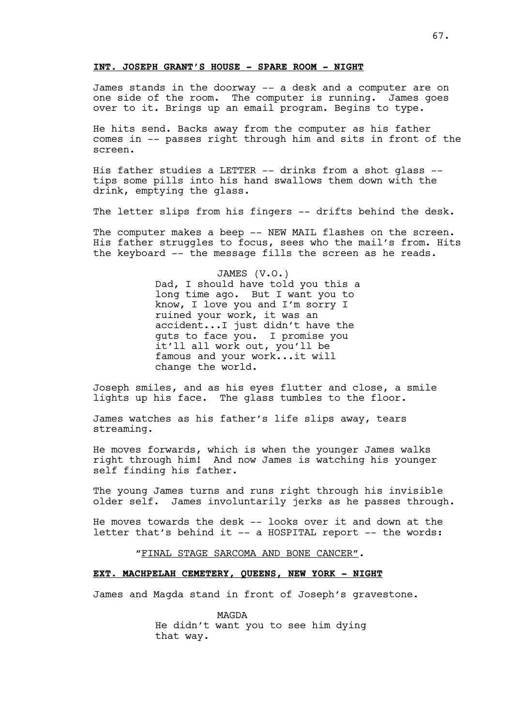## **INT. JOSEPH GRANT'S HOUSE - SPARE ROOM - NIGHT**

James stands in the doorway -- a desk and a computer are on one side of the room. The computer is running. James goes over to it. Brings up an email program. Begins to type.

He hits send. Backs away from the computer as his father comes in -- passes right through him and sits in front of the screen.

His father studies a LETTER -- drinks from a shot glass - tips some pills into his hand swallows them down with the drink, emptying the glass.

The letter slips from his fingers -- drifts behind the desk.

The computer makes a beep -- NEW MAIL flashes on the screen. His father struggles to focus, sees who the mail's from. Hits the keyboard -- the message fills the screen as he reads.

> JAMES (V.O.) Dad, I should have told you this a long time ago. But I want you to know, I love you and I'm sorry I ruined your work, it was an accident...I just didn't have the guts to face you. I promise you it'll all work out, you'll be famous and your work...it will change the world.

Joseph smiles, and as his eyes flutter and close, a smile lights up his face. The glass tumbles to the floor.

James watches as his father's life slips away, tears streaming.

He moves forwards, which is when the younger James walks right through him! And now James is watching his younger self finding his father.

The young James turns and runs right through his invisible older self. James involuntarily jerks as he passes through.

He moves towards the desk -- looks over it and down at the letter that's behind it -- a HOSPITAL report -- the words:

"FINAL STAGE SARCOMA AND BONE CANCER".

## **EXT. MACHPELAH CEMETERY, QUEENS, NEW YORK - NIGHT**

James and Magda stand in front of Joseph's gravestone.

MAGDA He didn't want you to see him dying that way.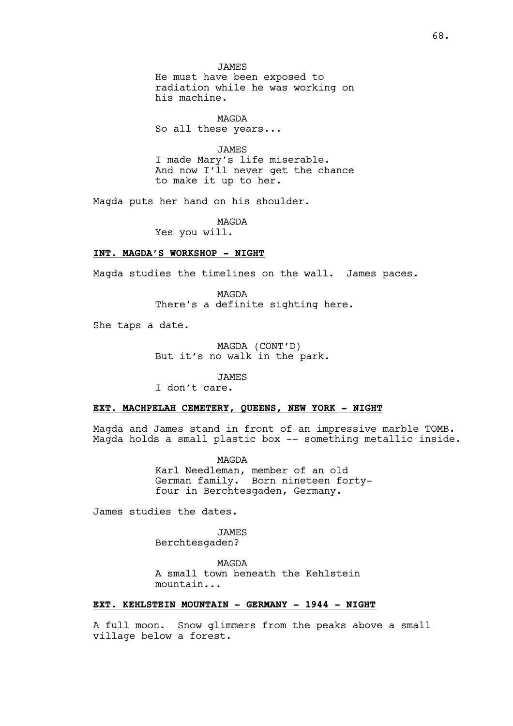JAMES He must have been exposed to radiation while he was working on his machine.

MAGDA So all these years...

JAMES I made Mary's life miserable. And now I'll never get the chance to make it up to her.

Magda puts her hand on his shoulder.

MAGDA

Yes you will.

## **INT. MAGDA'S WORKSHOP - NIGHT**

Magda studies the timelines on the wall. James paces.

MAGDA There's a definite sighting here.

She taps a date.

MAGDA (CONT'D) But it's no walk in the park.

JAMES

I don't care.

### **EXT. MACHPELAH CEMETERY, QUEENS, NEW YORK - NIGHT**

Magda and James stand in front of an impressive marble TOMB. Magda holds a small plastic box -- something metallic inside.

> MAGDA Karl Needleman, member of an old German family. Born nineteen fortyfour in Berchtesgaden, Germany.

James studies the dates.

JAMES Berchtesgaden?

MAGDA A small town beneath the Kehlstein mountain...

## **EXT. KEHLSTEIN MOUNTAIN - GERMANY - 1944 - NIGHT**

A full moon. Snow glimmers from the peaks above a small village below a forest.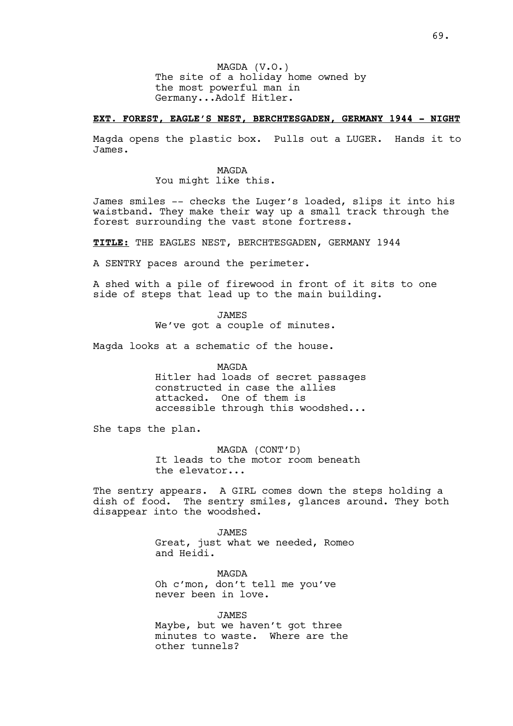MAGDA (V.O.) The site of a holiday home owned by the most powerful man in Germany...Adolf Hitler.

### **EXT. FOREST, EAGLE'S NEST, BERCHTESGADEN, GERMANY 1944 – NIGHT**

Magda opens the plastic box. Pulls out a LUGER. Hands it to James.

> MAGDA You might like this.

James smiles -- checks the Luger's loaded, slips it into his waistband. They make their way up a small track through the forest surrounding the vast stone fortress.

**TITLE:** THE EAGLES NEST, BERCHTESGADEN, GERMANY 1944

A SENTRY paces around the perimeter.

A shed with a pile of firewood in front of it sits to one side of steps that lead up to the main building.

JAMES

We've got a couple of minutes.

Magda looks at a schematic of the house.

MAGDA

Hitler had loads of secret passages constructed in case the allies attacked. One of them is accessible through this woodshed...

She taps the plan.

MAGDA (CONT'D) It leads to the motor room beneath the elevator...

The sentry appears. A GIRL comes down the steps holding a dish of food. The sentry smiles, glances around. They both disappear into the woodshed.

> JAMES Great, just what we needed, Romeo and Heidi.

MAGDA Oh c'mon, don't tell me you've never been in love.

JAMES Maybe, but we haven't got three minutes to waste. Where are the other tunnels?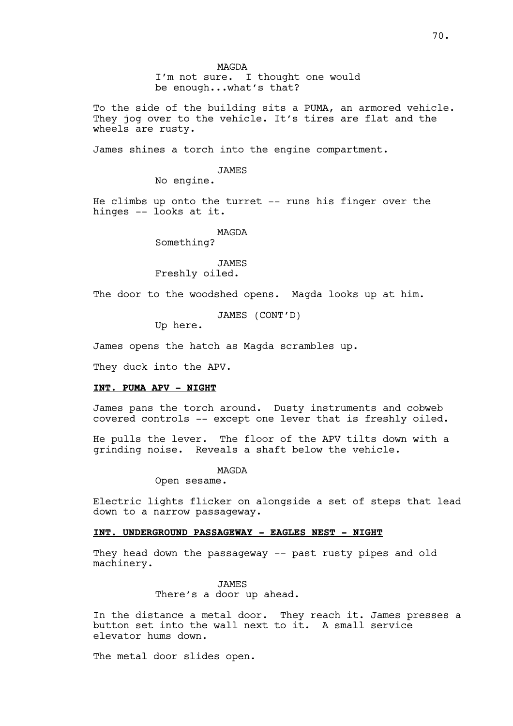I'm not sure. I thought one would be enough...what's that?

To the side of the building sits a PUMA, an armored vehicle. They jog over to the vehicle. It's tires are flat and the wheels are rusty.

James shines a torch into the engine compartment.

#### JAMES

No engine.

He climbs up onto the turret -- runs his finger over the hinges -- looks at it.

#### MAGDA

Something?

### JAMES Freshly oiled.

The door to the woodshed opens. Magda looks up at him.

JAMES (CONT'D)

Up here.

James opens the hatch as Magda scrambles up.

They duck into the APV.

#### **INT. PUMA APV - NIGHT**

James pans the torch around. Dusty instruments and cobweb covered controls -- except one lever that is freshly oiled.

He pulls the lever. The floor of the APV tilts down with a grinding noise. Reveals a shaft below the vehicle.

MAGDA

Open sesame.

Electric lights flicker on alongside a set of steps that lead down to a narrow passageway.

## **INT. UNDERGROUND PASSAGEWAY - EAGLES NEST - NIGHT**

They head down the passageway -- past rusty pipes and old machinery.

> JAMES There's a door up ahead.

In the distance a metal door. They reach it. James presses a button set into the wall next to it. A small service elevator hums down.

The metal door slides open.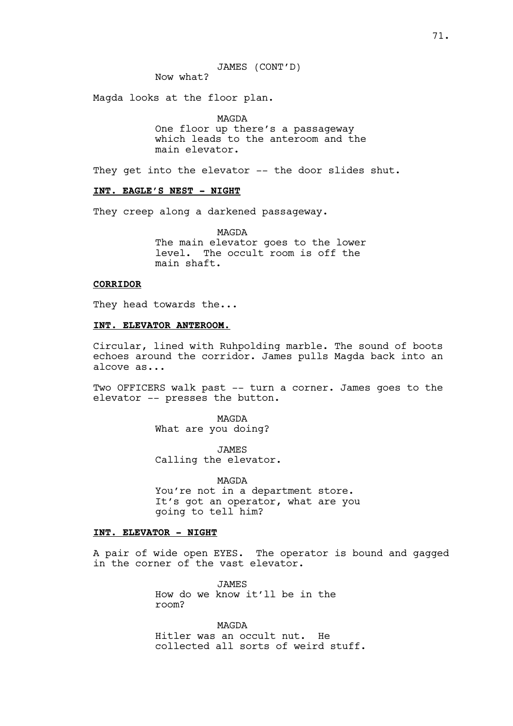Now what?

Magda looks at the floor plan.

MAGDA One floor up there's a passageway which leads to the anteroom and the main elevator.

They get into the elevator -- the door slides shut.

### **INT. EAGLE'S NEST – NIGHT**

They creep along a darkened passageway.

MAGDA The main elevator goes to the lower level. The occult room is off the main shaft.

### **CORRIDOR**

They head towards the...

# **INT. ELEVATOR ANTEROOM.**

Circular, lined with Ruhpolding marble. The sound of boots echoes around the corridor. James pulls Magda back into an alcove as...

Two OFFICERS walk past -- turn a corner. James goes to the elevator -- presses the button.

> MAGDA What are you doing?

JAMES Calling the elevator.

MAGDA You're not in a department store. It's got an operator, what are you going to tell him?

## **INT. ELEVATOR - NIGHT**

A pair of wide open EYES. The operator is bound and gagged in the corner of the vast elevator.

> JAMES How do we know it'll be in the room?

MAGDA Hitler was an occult nut. He collected all sorts of weird stuff.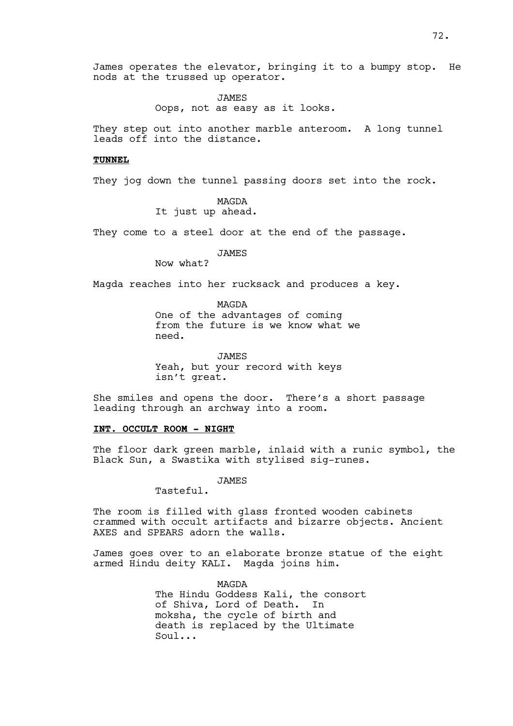James operates the elevator, bringing it to a bumpy stop. He nods at the trussed up operator.

> JAMES Oops, not as easy as it looks.

They step out into another marble anteroom. A long tunnel leads off into the distance.

## **TUNNEL**

They jog down the tunnel passing doors set into the rock.

MAGDA It just up ahead.

They come to a steel door at the end of the passage.

JAMES

Now what?

Magda reaches into her rucksack and produces a key.

MAGDA One of the advantages of coming from the future is we know what we need.

JAMES Yeah, but your record with keys isn't great.

She smiles and opens the door. There's a short passage leading through an archway into a room.

# **INT. OCCULT ROOM - NIGHT**

The floor dark green marble, inlaid with a runic symbol, the Black Sun, a Swastika with stylised sig-runes.

JAMES

Tasteful.

The room is filled with glass fronted wooden cabinets crammed with occult artifacts and bizarre objects. Ancient AXES and SPEARS adorn the walls.

James goes over to an elaborate bronze statue of the eight armed Hindu deity KALI. Magda joins him.

> MAGDA The Hindu Goddess Kali, the consort of Shiva, Lord of Death. In moksha, the cycle of birth and death is replaced by the Ultimate Soul...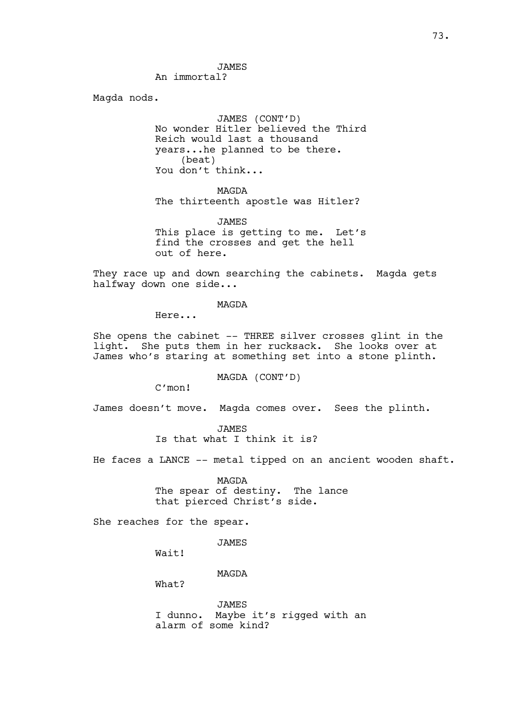JAMES An immortal?

Magda nods.

JAMES (CONT'D) No wonder Hitler believed the Third Reich would last a thousand years...he planned to be there. (beat) You don't think...

MAGDA The thirteenth apostle was Hitler?

JAMES This place is getting to me. Let's find the crosses and get the hell out of here.

They race up and down searching the cabinets. Magda gets halfway down one side...

MAGDA

Here...

She opens the cabinet -- THREE silver crosses glint in the light. She puts them in her rucksack. She looks over at James who's staring at something set into a stone plinth.

MAGDA (CONT'D)

C'mon!

James doesn't move. Magda comes over. Sees the plinth.

JAMES Is that what I think it is?

He faces a LANCE -- metal tipped on an ancient wooden shaft.

MAGDA The spear of destiny. The lance that pierced Christ's side.

She reaches for the spear.

**JAMES** 

Wait!

MAGDA

What?

JAMES I dunno. Maybe it's rigged with an alarm of some kind?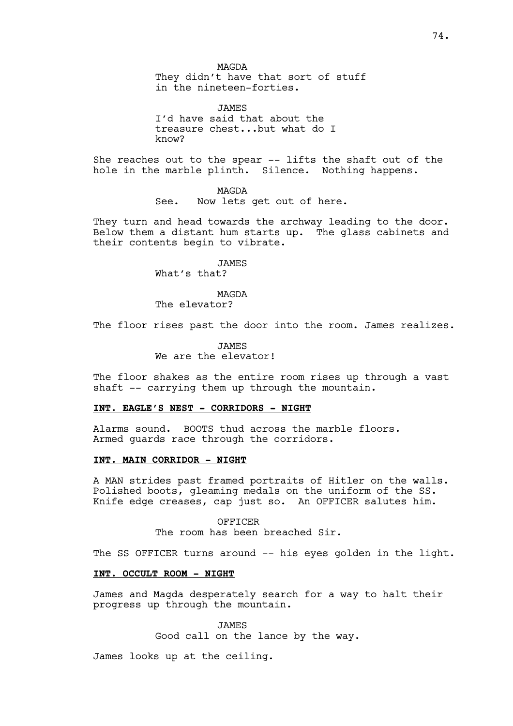MAGDA They didn't have that sort of stuff in the nineteen-forties.

JAMES I'd have said that about the treasure chest...but what do I know?

She reaches out to the spear -- lifts the shaft out of the hole in the marble plinth. Silence. Nothing happens.

> MAGDA See. Now lets get out of here.

They turn and head towards the archway leading to the door. Below them a distant hum starts up. The glass cabinets and their contents begin to vibrate.

JAMES

What's that?

MAGDA

The elevator?

The floor rises past the door into the room. James realizes.

**JAMES** We are the elevator!

The floor shakes as the entire room rises up through a vast shaft -- carrying them up through the mountain.

## **INT. EAGLE'S NEST - CORRIDORS – NIGHT**

Alarms sound. BOOTS thud across the marble floors. Armed guards race through the corridors.

## **INT. MAIN CORRIDOR - NIGHT**

A MAN strides past framed portraits of Hitler on the walls. Polished boots, gleaming medals on the uniform of the SS. Knife edge creases, cap just so. An OFFICER salutes him.

> OFFICER The room has been breached Sir.

The SS OFFICER turns around -- his eyes golden in the light.

## **INT. OCCULT ROOM - NIGHT**

James and Magda desperately search for a way to halt their progress up through the mountain.

> JAMES Good call on the lance by the way.

James looks up at the ceiling.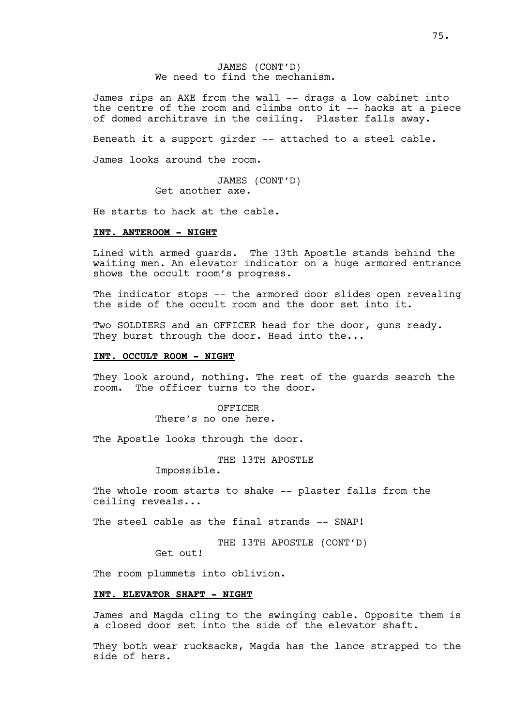JAMES (CONT'D) We need to find the mechanism.

James rips an AXE from the wall -- drags a low cabinet into the centre of the room and climbs onto it -- hacks at a piece of domed architrave in the ceiling. Plaster falls away.

Beneath it a support girder -- attached to a steel cable.

James looks around the room.

JAMES (CONT'D) Get another axe.

He starts to hack at the cable.

#### **INT. ANTEROOM - NIGHT**

Lined with armed guards. The 13th Apostle stands behind the waiting men. An elevator indicator on a huge armored entrance shows the occult room's progress.

The indicator stops -- the armored door slides open revealing the side of the occult room and the door set into it.

Two SOLDIERS and an OFFICER head for the door, guns ready. They burst through the door. Head into the...

# **INT. OCCULT ROOM - NIGHT**

They look around, nothing. The rest of the guards search the room. The officer turns to the door.

> OFFICER There's no one here.

The Apostle looks through the door.

THE 13TH APOSTLE Impossible.

The whole room starts to shake -- plaster falls from the ceiling reveals...

The steel cable as the final strands -- SNAP!

THE 13TH APOSTLE (CONT'D)

Get out!

The room plummets into oblivion.

## **INT. ELEVATOR SHAFT - NIGHT**

James and Magda cling to the swinging cable. Opposite them is a closed door set into the side of the elevator shaft.

They both wear rucksacks, Magda has the lance strapped to the side of hers.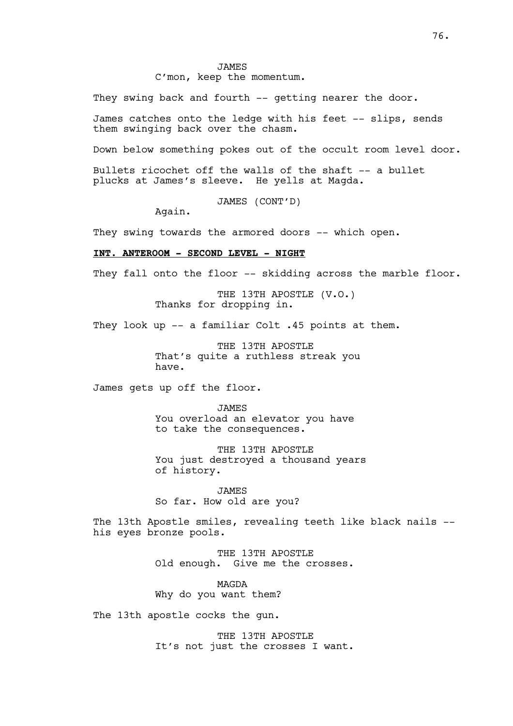C'mon, keep the momentum.

They swing back and fourth -- getting nearer the door.

James catches onto the ledge with his feet -- slips, sends them swinging back over the chasm.

Down below something pokes out of the occult room level door.

Bullets ricochet off the walls of the shaft -- a bullet plucks at James's sleeve. He yells at Magda.

JAMES (CONT'D)

Again.

They swing towards the armored doors -- which open.

# **INT. ANTEROOM - SECOND LEVEL - NIGHT**

They fall onto the floor -- skidding across the marble floor.

THE 13TH APOSTLE (V.O.) Thanks for dropping in.

They look up -- a familiar Colt .45 points at them.

THE 13TH APOSTLE That's quite a ruthless streak you have.

James gets up off the floor.

JAMES You overload an elevator you have to take the consequences.

THE 13TH APOSTLE You just destroyed a thousand years of history.

JAMES So far. How old are you?

The 13th Apostle smiles, revealing teeth like black nails -his eyes bronze pools.

> THE 13TH APOSTLE Old enough. Give me the crosses.

MAGDA Why do you want them?

The 13th apostle cocks the gun.

THE 13TH APOSTLE It's not just the crosses I want.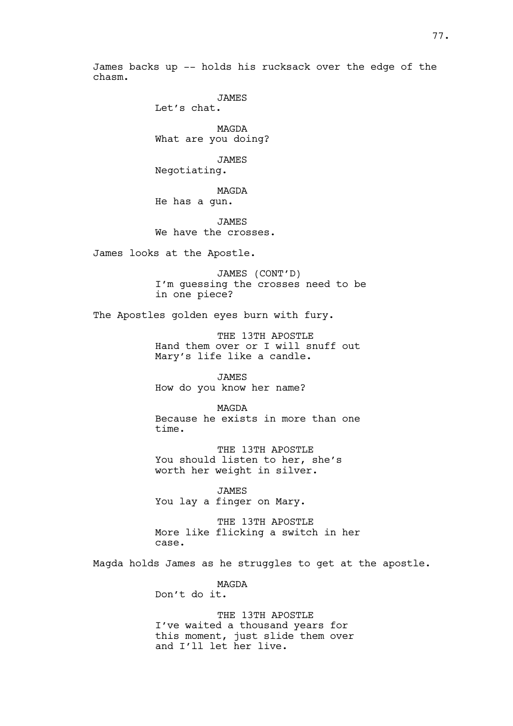James backs up -- holds his rucksack over the edge of the chasm.

JAMES

Let's chat.

MAGDA What are you doing?

JAMES Negotiating.

MAGDA He has a gun.

JAMES We have the crosses.

James looks at the Apostle.

JAMES (CONT'D) I'm guessing the crosses need to be in one piece?

The Apostles golden eyes burn with fury.

THE 13TH APOSTLE Hand them over or I will snuff out Mary's life like a candle.

JAMES How do you know her name?

MAGDA Because he exists in more than one time.

THE 13TH APOSTLE You should listen to her, she's worth her weight in silver.

JAMES You lay a finger on Mary.

THE 13TH APOSTLE More like flicking a switch in her case.

Magda holds James as he struggles to get at the apostle.

MAGDA Don't do it.

THE 13TH APOSTLE I've waited a thousand years for this moment, just slide them over and I'll let her live.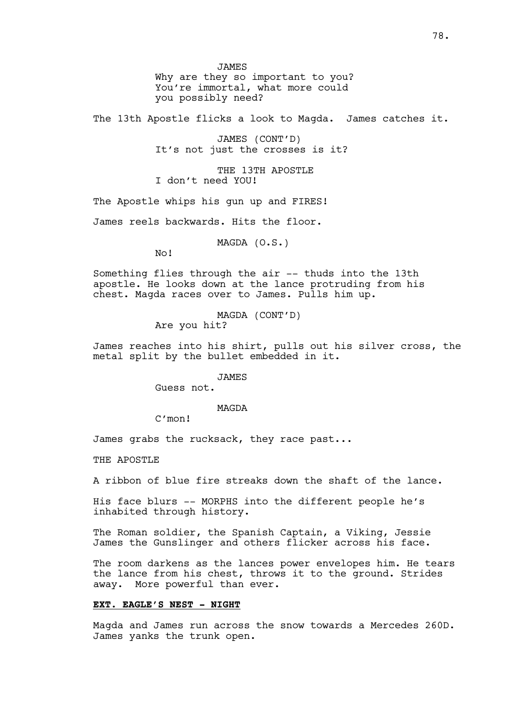JAMES Why are they so important to you? You're immortal, what more could you possibly need?

The 13th Apostle flicks a look to Magda. James catches it.

JAMES (CONT'D) It's not just the crosses is it?

THE 13TH APOSTLE I don't need YOU!

The Apostle whips his gun up and FIRES!

James reels backwards. Hits the floor.

MAGDA (O.S.)

No!

Something flies through the air -- thuds into the 13th apostle. He looks down at the lance protruding from his chest. Magda races over to James. Pulls him up.

> MAGDA (CONT'D) Are you hit?

James reaches into his shirt, pulls out his silver cross, the metal split by the bullet embedded in it.

JAMES

Guess not.

MAGDA

C'mon!

James grabs the rucksack, they race past...

THE APOSTLE

A ribbon of blue fire streaks down the shaft of the lance.

His face blurs -- MORPHS into the different people he's inhabited through history.

The Roman soldier, the Spanish Captain, a Viking, Jessie James the Gunslinger and others flicker across his face.

The room darkens as the lances power envelopes him. He tears the lance from his chest, throws it to the ground. Strides away. More powerful than ever.

## **EXT. EAGLE'S NEST – NIGHT**

Magda and James run across the snow towards a Mercedes 260D. James yanks the trunk open.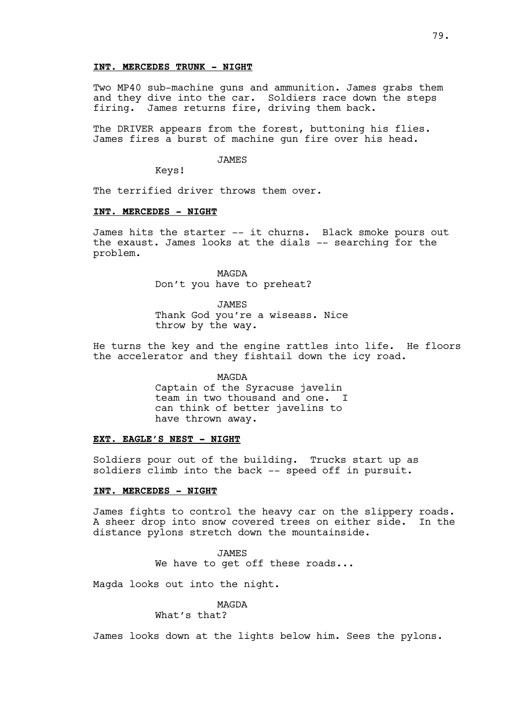## **INT. MERCEDES TRUNK - NIGHT**

Two MP40 sub-machine guns and ammunition. James grabs them and they dive into the car. Soldiers race down the steps firing. James returns fire, driving them back.

The DRIVER appears from the forest, buttoning his flies. James fires a burst of machine gun fire over his head.

#### **JAMES**

Keys!

The terrified driver throws them over.

## **INT. MERCEDES - NIGHT**

James hits the starter -- it churns. Black smoke pours out the exaust. James looks at the dials -- searching for the problem.

> MAGDA Don't you have to preheat?

JAMES Thank God you're a wiseass. Nice throw by the way.

He turns the key and the engine rattles into life. He floors the accelerator and they fishtail down the icy road.

> MAGDA Captain of the Syracuse javelin team in two thousand and one. I can think of better javelins to have thrown away.

## **EXT. EAGLE'S NEST – NIGHT**

Soldiers pour out of the building. Trucks start up as soldiers climb into the back -- speed off in pursuit.

#### **INT. MERCEDES - NIGHT**

James fights to control the heavy car on the slippery roads. A sheer drop into snow covered trees on either side. In the distance pylons stretch down the mountainside.

> **JAMES** We have to get off these roads...

Magda looks out into the night.

MAGDA

What's that?

James looks down at the lights below him. Sees the pylons.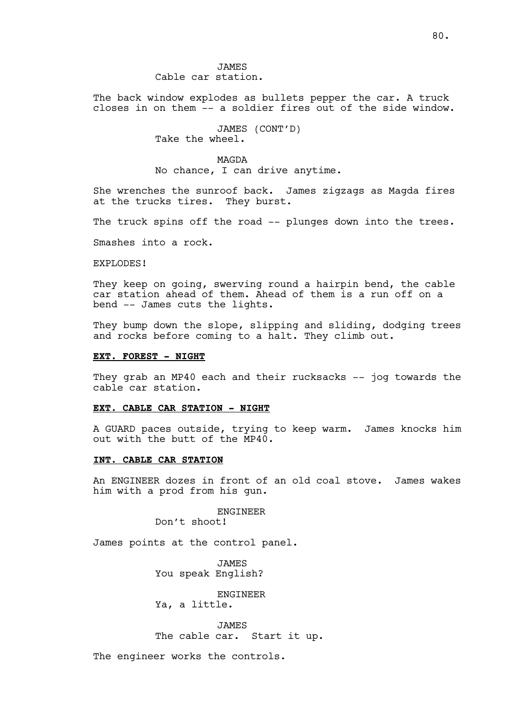**JAMES** Cable car station.

The back window explodes as bullets pepper the car. A truck closes in on them -- a soldier fires out of the side window.

> JAMES (CONT'D) Take the wheel.

## MAGDA

No chance, I can drive anytime.

She wrenches the sunroof back. James zigzags as Magda fires at the trucks tires. They burst.

The truck spins off the road -- plunges down into the trees.

Smashes into a rock.

## EXPLODES!

They keep on going, swerving round a hairpin bend, the cable car station ahead of them. Ahead of them is a run off on a bend -- James cuts the lights.

They bump down the slope, slipping and sliding, dodging trees and rocks before coming to a halt. They climb out.

## **EXT. FOREST - NIGHT**

They grab an MP40 each and their rucksacks -- jog towards the cable car station.

#### **EXT. CABLE CAR STATION - NIGHT**

A GUARD paces outside, trying to keep warm. James knocks him out with the butt of the MP40.

## **INT. CABLE CAR STATION**

An ENGINEER dozes in front of an old coal stove. James wakes him with a prod from his gun.

#### ENGINEER

Don't shoot!

James points at the control panel.

JAMES You speak English?

ENGINEER

Ya, a little.

JAMES The cable car. Start it up.

The engineer works the controls.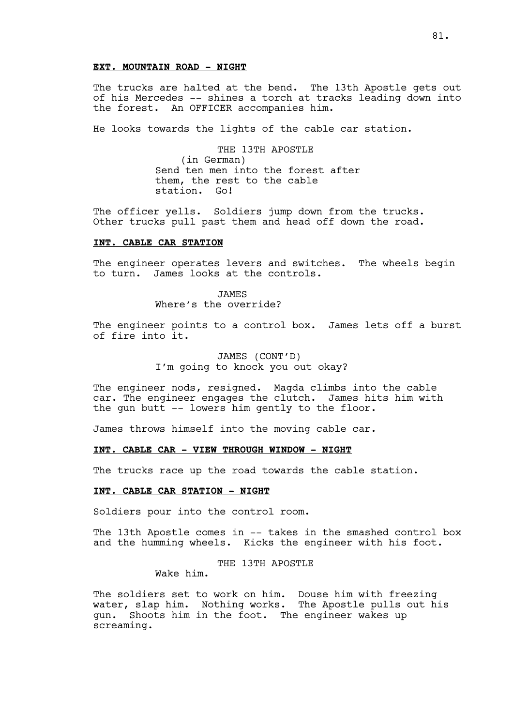# **EXT. MOUNTAIN ROAD - NIGHT**

The trucks are halted at the bend. The 13th Apostle gets out of his Mercedes -- shines a torch at tracks leading down into the forest. An OFFICER accompanies him.

He looks towards the lights of the cable car station.

THE 13TH APOSTLE (in German) Send ten men into the forest after them, the rest to the cable station. Go!

The officer yells. Soldiers jump down from the trucks. Other trucks pull past them and head off down the road.

#### **INT. CABLE CAR STATION**

The engineer operates levers and switches. The wheels begin to turn. James looks at the controls.

> JAMES Where's the override?

The engineer points to a control box. James lets off a burst of fire into it.

> JAMES (CONT'D) I'm going to knock you out okay?

The engineer nods, resigned. Magda climbs into the cable car. The engineer engages the clutch. James hits him with the gun butt -- lowers him gently to the floor.

James throws himself into the moving cable car.

## **INT. CABLE CAR - VIEW THROUGH WINDOW - NIGHT**

The trucks race up the road towards the cable station.

#### **INT. CABLE CAR STATION - NIGHT**

Soldiers pour into the control room.

The 13th Apostle comes in -- takes in the smashed control box and the humming wheels. Kicks the engineer with his foot.

THE 13TH APOSTLE

Wake him.

The soldiers set to work on him. Douse him with freezing water, slap him. Nothing works. The Apostle pulls out his gun. Shoots him in the foot. The engineer wakes up screaming.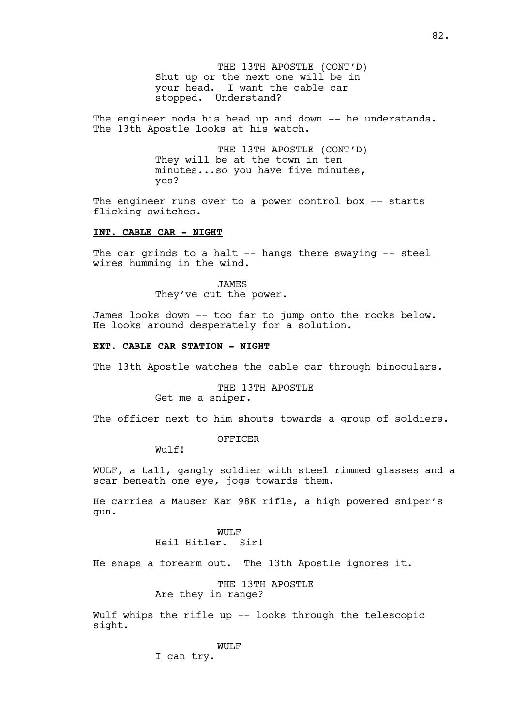THE 13TH APOSTLE (CONT'D) Shut up or the next one will be in your head. I want the cable car stopped. Understand?

The engineer nods his head up and down -- he understands. The 13th Apostle looks at his watch.

> THE 13TH APOSTLE (CONT'D) They will be at the town in ten minutes...so you have five minutes, yes?

The engineer runs over to a power control box -- starts flicking switches.

## **INT. CABLE CAR - NIGHT**

The car grinds to a halt -- hangs there swaying -- steel wires humming in the wind.

> JAMES They've cut the power.

James looks down -- too far to jump onto the rocks below. He looks around desperately for a solution.

#### **EXT. CABLE CAR STATION - NIGHT**

The 13th Apostle watches the cable car through binoculars.

THE 13TH APOSTLE Get me a sniper.

The officer next to him shouts towards a group of soldiers.

OFFICER

Wulf!

WULF, a tall, gangly soldier with steel rimmed glasses and a scar beneath one eye, jogs towards them.

He carries a Mauser Kar 98K rifle, a high powered sniper's gun.

> WULF Heil Hitler. Sir!

He snaps a forearm out. The 13th Apostle ignores it.

THE 13TH APOSTLE Are they in range?

Wulf whips the rifle up -- looks through the telescopic sight.

WULF

I can try.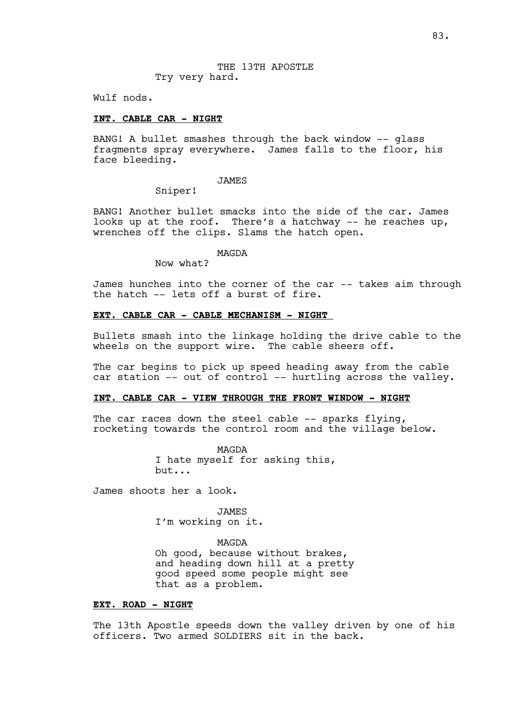Wulf nods.

#### **INT. CABLE CAR - NIGHT**

BANG! A bullet smashes through the back window -- glass fragments spray everywhere. James falls to the floor, his face bleeding.

#### JAMES

Sniper!

BANG! Another bullet smacks into the side of the car. James looks up at the roof. There's a hatchway -- he reaches up, wrenches off the clips. Slams the hatch open.

#### MAGDA

Now what?

James hunches into the corner of the car -- takes aim through the hatch -- lets off a burst of fire.

#### **EXT. CABLE CAR - CABLE MECHANISM - NIGHT**

Bullets smash into the linkage holding the drive cable to the wheels on the support wire. The cable sheers off.

The car begins to pick up speed heading away from the cable car station -- out of control -- hurtling across the valley.

#### **INT. CABLE CAR – VIEW THROUGH THE FRONT WINDOW - NIGHT**

The car races down the steel cable -- sparks flying, rocketing towards the control room and the village below.

> MAGDA I hate myself for asking this, but...

James shoots her a look.

JAMES I'm working on it.

#### MAGDA

Oh good, because without brakes, and heading down hill at a pretty good speed some people might see that as a problem.

#### **EXT. ROAD – NIGHT**

The 13th Apostle speeds down the valley driven by one of his officers. Two armed SOLDIERS sit in the back.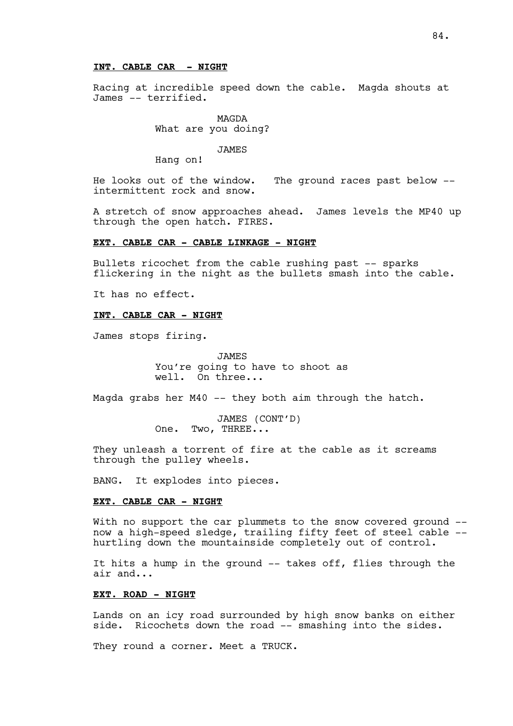### **INT. CABLE CAR - NIGHT**

Racing at incredible speed down the cable. Magda shouts at James –- terrified.

> MAGDA What are you doing?

> > JAMES

Hang on!

He looks out of the window. The ground races past below - intermittent rock and snow.

A stretch of snow approaches ahead. James levels the MP40 up through the open hatch. FIRES.

#### **EXT. CABLE CAR - CABLE LINKAGE - NIGHT**

Bullets ricochet from the cable rushing past -- sparks flickering in the night as the bullets smash into the cable.

It has no effect.

## **INT. CABLE CAR - NIGHT**

James stops firing.

**JAMES** You're going to have to shoot as well. On three...

Magda grabs her M40 -- they both aim through the hatch.

JAMES (CONT'D) One. Two, THREE...

They unleash a torrent of fire at the cable as it screams through the pulley wheels.

BANG. It explodes into pieces.

### **EXT. CABLE CAR – NIGHT**

With no support the car plummets to the snow covered ground -now a high-speed sledge, trailing fifty feet of steel cable – hurtling down the mountainside completely out of control.

It hits a hump in the ground -- takes off, flies through the air and...

# **EXT. ROAD - NIGHT**

Lands on an icy road surrounded by high snow banks on either side. Ricochets down the road -- smashing into the sides.

They round a corner. Meet a TRUCK.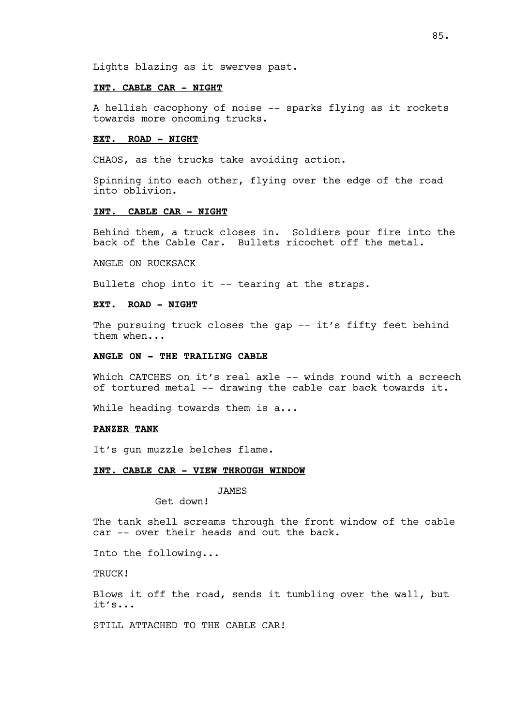Lights blazing as it swerves past.

## **INT. CABLE CAR – NIGHT**

A hellish cacophony of noise -- sparks flying as it rockets towards more oncoming trucks.

## **EXT. ROAD – NIGHT**

CHAOS, as the trucks take avoiding action.

Spinning into each other, flying over the edge of the road into oblivion.

## **INT. CABLE CAR – NIGHT**

Behind them, a truck closes in. Soldiers pour fire into the back of the Cable Car. Bullets ricochet off the metal.

ANGLE ON RUCKSACK

Bullets chop into it -- tearing at the straps.

### **EXT. ROAD – NIGHT**

The pursuing truck closes the gap -- it's fifty feet behind them when...

## **ANGLE ON - THE TRAILING CABLE**

Which CATCHES on it's real axle -- winds round with a screech of tortured metal -- drawing the cable car back towards it.

While heading towards them is a...

## **PANZER TANK**

It's gun muzzle belches flame.

#### **INT. CABLE CAR - VIEW THROUGH WINDOW**

JAMES

Get down!

The tank shell screams through the front window of the cable car -- over their heads and out the back.

Into the following...

TRUCK!

Blows it off the road, sends it tumbling over the wall, but it's...

STILL ATTACHED TO THE CABLE CAR!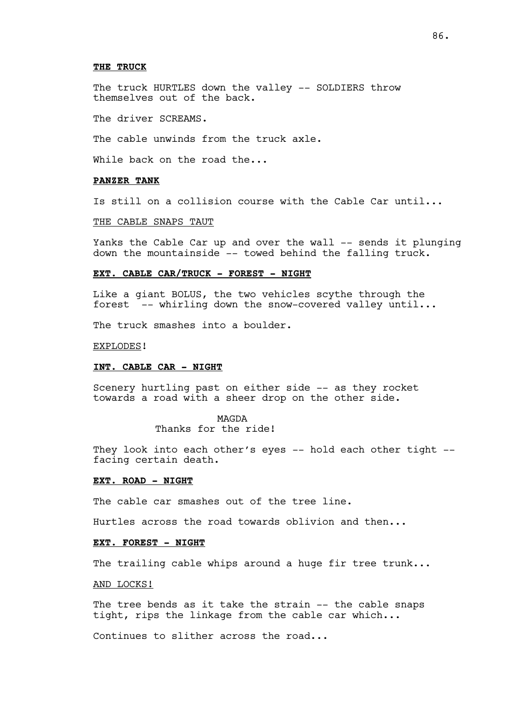#### **THE TRUCK**

The truck HURTLES down the valley -- SOLDIERS throw themselves out of the back.

The driver SCREAMS.

The cable unwinds from the truck axle.

While back on the road the...

# **PANZER TANK**

Is still on a collision course with the Cable Car until...

THE CABLE SNAPS TAUT

Yanks the Cable Car up and over the wall -- sends it plunging down the mountainside -- towed behind the falling truck.

### **EXT. CABLE CAR/TRUCK – FOREST - NIGHT**

Like a giant BOLUS, the two vehicles scythe through the forest -- whirling down the snow-covered valley until...

The truck smashes into a boulder.

#### EXPLODES!

#### **INT. CABLE CAR – NIGHT**

Scenery hurtling past on either side -- as they rocket towards a road with a sheer drop on the other side.

#### MAGDA

Thanks for the ride!

They look into each other's eyes -- hold each other tight -facing certain death.

#### **EXT. ROAD – NIGHT**

The cable car smashes out of the tree line.

Hurtles across the road towards oblivion and then...

# **EXT. FOREST – NIGHT**

The trailing cable whips around a huge fir tree trunk...

AND LOCKS!

The tree bends as it take the strain -- the cable snaps tight, rips the linkage from the cable car which...

Continues to slither across the road...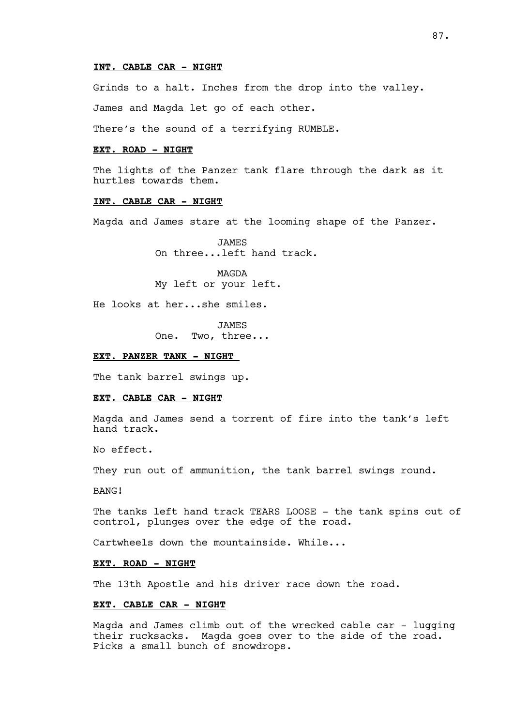#### **INT. CABLE CAR – NIGHT**

Grinds to a halt. Inches from the drop into the valley.

James and Magda let go of each other.

There's the sound of a terrifying RUMBLE.

#### **EXT. ROAD - NIGHT**

The lights of the Panzer tank flare through the dark as it hurtles towards them.

#### **INT. CABLE CAR - NIGHT**

Magda and James stare at the looming shape of the Panzer.

**JAMES** On three...left hand track.

MAGDA My left or your left.

He looks at her...she smiles.

JAMES One. Two, three...

## **EXT. PANZER TANK - NIGHT**

The tank barrel swings up.

#### **EXT. CABLE CAR - NIGHT**

Magda and James send a torrent of fire into the tank's left hand track.

No effect.

They run out of ammunition, the tank barrel swings round.

BANG!

The tanks left hand track TEARS LOOSE – the tank spins out of control, plunges over the edge of the road.

Cartwheels down the mountainside. While...

## **EXT. ROAD – NIGHT**

The 13th Apostle and his driver race down the road.

#### **EXT. CABLE CAR – NIGHT**

Magda and James climb out of the wrecked cable car – lugging their rucksacks. Magda goes over to the side of the road. Picks a small bunch of snowdrops.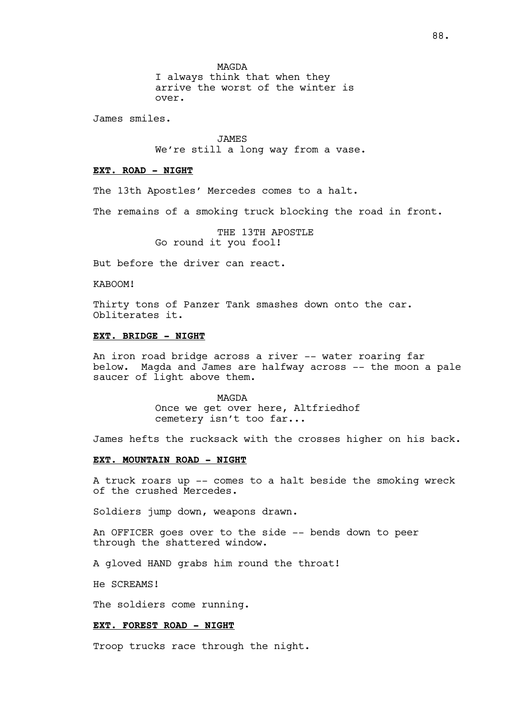MAGDA I always think that when they arrive the worst of the winter is over.

James smiles.

JAMES We're still a long way from a vase.

#### **EXT. ROAD – NIGHT**

The 13th Apostles' Mercedes comes to a halt.

The remains of a smoking truck blocking the road in front.

THE 13TH APOSTLE Go round it you fool!

But before the driver can react.

KABOOM!

Thirty tons of Panzer Tank smashes down onto the car. Obliterates it.

## **EXT. BRIDGE - NIGHT**

An iron road bridge across a river -- water roaring far below. Magda and James are halfway across -- the moon a pale saucer of light above them.

> MAGDA Once we get over here, Altfriedhof cemetery isn't too far...

James hefts the rucksack with the crosses higher on his back.

## **EXT. MOUNTAIN ROAD - NIGHT**

A truck roars up -- comes to a halt beside the smoking wreck of the crushed Mercedes.

Soldiers jump down, weapons drawn.

An OFFICER goes over to the side -- bends down to peer through the shattered window.

A gloved HAND grabs him round the throat!

He SCREAMS!

The soldiers come running.

## **EXT. FOREST ROAD - NIGHT**

Troop trucks race through the night.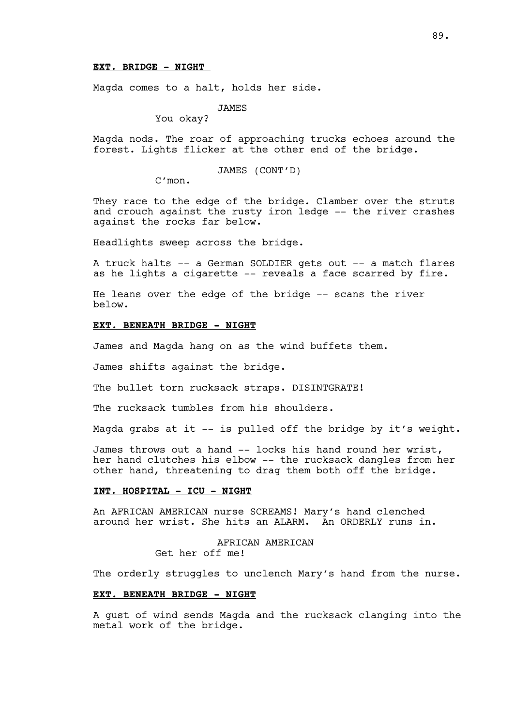Magda comes to a halt, holds her side.

JAMES

You okay?

Magda nods. The roar of approaching trucks echoes around the forest. Lights flicker at the other end of the bridge.

JAMES (CONT'D)

C'mon.

They race to the edge of the bridge. Clamber over the struts and crouch against the rusty iron ledge -- the river crashes against the rocks far below.

Headlights sweep across the bridge.

A truck halts -- a German SOLDIER gets out -- a match flares as he lights a cigarette -- reveals a face scarred by fire.

He leans over the edge of the bridge -- scans the river below.

## **EXT. BENEATH BRIDGE - NIGHT**

James and Magda hang on as the wind buffets them.

James shifts against the bridge.

The bullet torn rucksack straps. DISINTGRATE!

The rucksack tumbles from his shoulders.

Magda grabs at it -- is pulled off the bridge by it's weight.

James throws out a hand -- locks his hand round her wrist, her hand clutches his elbow -- the rucksack dangles from her other hand, threatening to drag them both off the bridge.

#### **INT. HOSPITAL - ICU - NIGHT**

An AFRICAN AMERICAN nurse SCREAMS! Mary's hand clenched around her wrist. She hits an ALARM. An ORDERLY runs in.

> AFRICAN AMERICAN Get her off me!

The orderly struggles to unclench Mary's hand from the nurse.

## **EXT. BENEATH BRIDGE - NIGHT**

A gust of wind sends Magda and the rucksack clanging into the metal work of the bridge.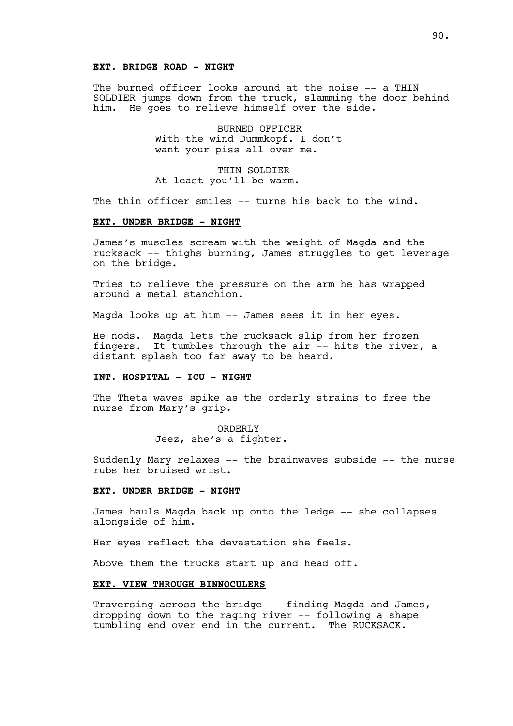# **EXT. BRIDGE ROAD - NIGHT**

The burned officer looks around at the noise -- a THIN SOLDIER jumps down from the truck, slamming the door behind him. He goes to relieve himself over the side.

> BURNED OFFICER With the wind Dummkopf. I don't want your piss all over me.

THIN SOLDIER At least you'll be warm.

The thin officer smiles -- turns his back to the wind.

#### **EXT. UNDER BRIDGE - NIGHT**

James's muscles scream with the weight of Magda and the rucksack -- thighs burning, James struggles to get leverage on the bridge.

Tries to relieve the pressure on the arm he has wrapped around a metal stanchion.

Magda looks up at him -- James sees it in her eyes.

He nods. Magda lets the rucksack slip from her frozen fingers. It tumbles through the air -- hits the river, a distant splash too far away to be heard.

## **INT. HOSPITAL - ICU - NIGHT**

The Theta waves spike as the orderly strains to free the nurse from Mary's grip.

> ORDERLY Jeez, she's a fighter.

Suddenly Mary relaxes -- the brainwaves subside -- the nurse rubs her bruised wrist.

#### **EXT. UNDER BRIDGE - NIGHT**

James hauls Magda back up onto the ledge -- she collapses alongside of him.

Her eyes reflect the devastation she feels.

Above them the trucks start up and head off.

## **EXT. VIEW THROUGH BINNOCULERS**

Traversing across the bridge -- finding Magda and James, dropping down to the raging river -- following a shape tumbling end over end in the current. The RUCKSACK.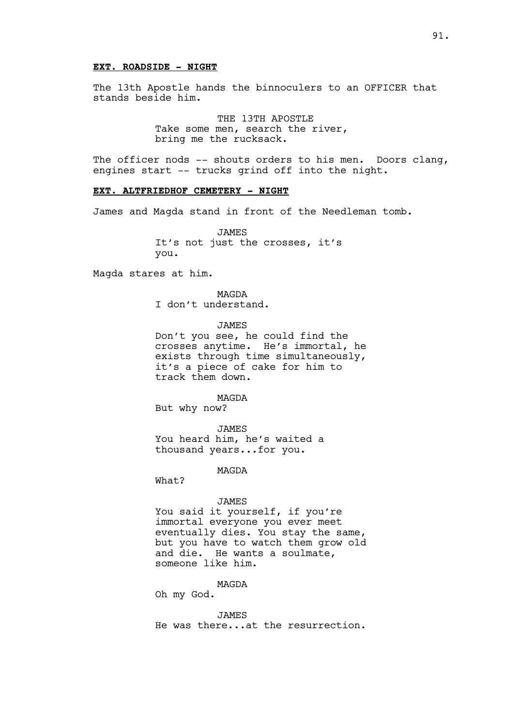## **EXT. ROADSIDE - NIGHT**

The 13th Apostle hands the binnoculers to an OFFICER that stands beside him.

> THE 13TH APOSTLE Take some men, search the river, bring me the rucksack.

The officer nods -- shouts orders to his men. Doors clang, engines start -- trucks grind off into the night.

#### **EXT. ALTFRIEDHOF CEMETERY - NIGHT**

James and Magda stand in front of the Needleman tomb.

JAMES It's not just the crosses, it's you.

Magda stares at him.

MAGDA I don't understand.

JAMES

Don't you see, he could find the crosses anytime. He's immortal, he exists through time simultaneously, it's a piece of cake for him to track them down.

MAGDA

But why now?

JAMES You heard him, he's waited a thousand years...for you.

MAGDA

What?

#### JAMES

You said it yourself, if you're immortal everyone you ever meet eventually dies. You stay the same, but you have to watch them grow old and die. He wants a soulmate, someone like him.

## MAGDA

Oh my God.

#### **JAMES**

He was there...at the resurrection.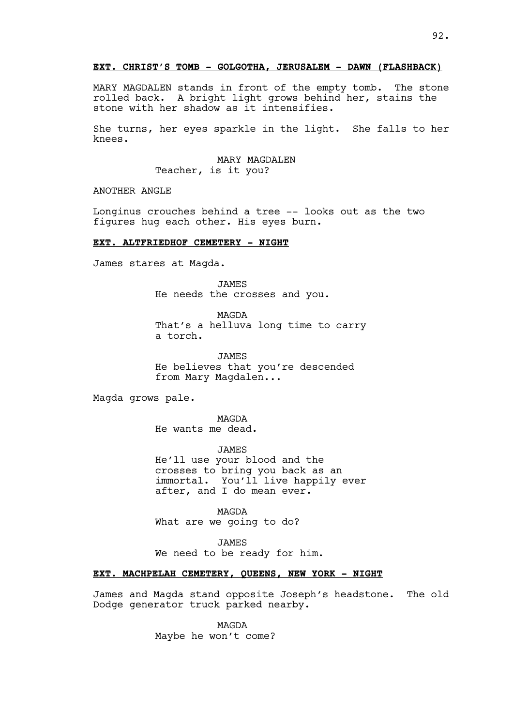## **EXT. CHRIST'S TOMB - GOLGOTHA, JERUSALEM - DAWN (FLASHBACK)**

MARY MAGDALEN stands in front of the empty tomb. The stone rolled back. A bright light grows behind her, stains the stone with her shadow as it intensifies.

She turns, her eyes sparkle in the light. She falls to her knees.

## MARY MAGDALEN Teacher, is it you?

ANOTHER ANGLE

Longinus crouches behind a tree -- looks out as the two figures hug each other. His eyes burn.

#### **EXT. ALTFRIEDHOF CEMETERY - NIGHT**

James stares at Magda.

JAMES He needs the crosses and you.

MAGDA That's a helluva long time to carry a torch.

**JAMES** He believes that you're descended from Mary Magdalen...

Magda grows pale.

MAGDA He wants me dead.

JAMES

He'll use your blood and the crosses to bring you back as an immortal. You'll live happily ever after, and I do mean ever.

MAGDA What are we going to do?

**JAMES** We need to be ready for him.

## **EXT. MACHPELAH CEMETERY, QUEENS, NEW YORK - NIGHT**

James and Magda stand opposite Joseph's headstone. The old Dodge generator truck parked nearby.

> MAGDA Maybe he won't come?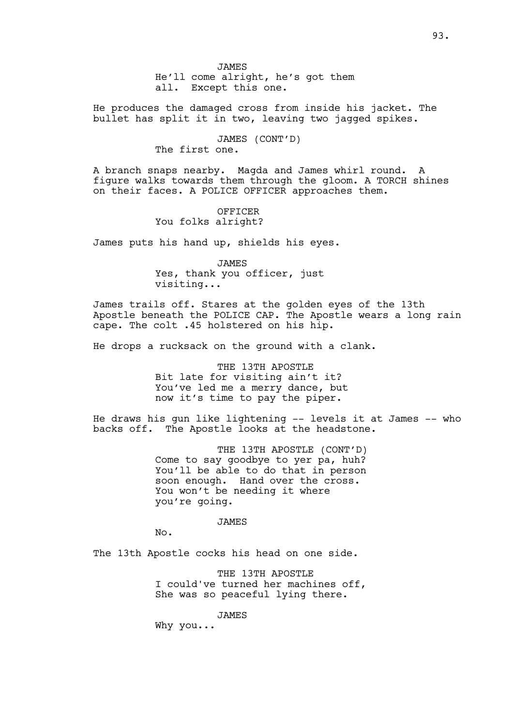He produces the damaged cross from inside his jacket. The bullet has split it in two, leaving two jagged spikes.

# JAMES (CONT'D)

The first one.

A branch snaps nearby. Magda and James whirl round. A figure walks towards them through the gloom. A TORCH shines on their faces. A POLICE OFFICER approaches them.

# OFFICER You folks alright?

James puts his hand up, shields his eyes.

JAMES Yes, thank you officer, just visiting...

James trails off. Stares at the golden eyes of the 13th Apostle beneath the POLICE CAP. The Apostle wears a long rain cape. The colt .45 holstered on his hip.

He drops a rucksack on the ground with a clank.

THE 13TH APOSTLE Bit late for visiting ain't it? You've led me a merry dance, but now it's time to pay the piper.

He draws his gun like lightening -- levels it at James -- who backs off. The Apostle looks at the headstone.

> THE 13TH APOSTLE (CONT'D) Come to say goodbye to yer pa, huh? You'll be able to do that in person soon enough. Hand over the cross. You won't be needing it where you're going.

> > JAMES

No.

The 13th Apostle cocks his head on one side.

THE 13TH APOSTLE I could've turned her machines off, She was so peaceful lying there.

JAMES

Why you...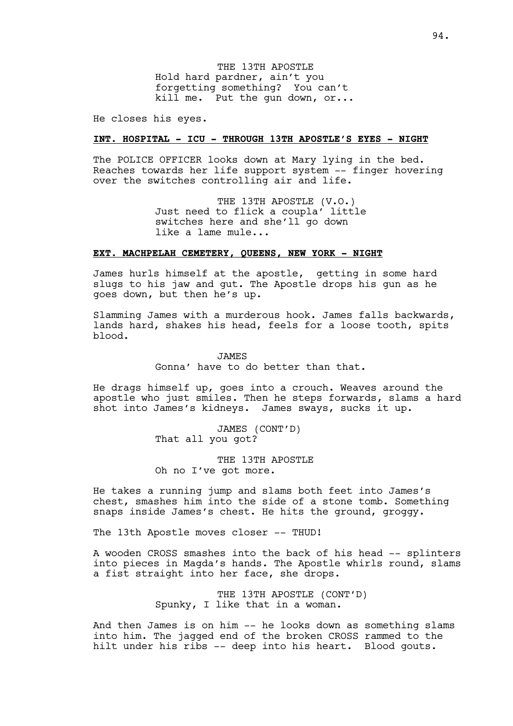THE 13TH APOSTLE Hold hard pardner, ain't you forgetting something? You can't kill me. Put the gun down, or...

He closes his eyes.

## **INT. HOSPITAL - ICU - THROUGH 13TH APOSTLE'S EYES - NIGHT**

The POLICE OFFICER looks down at Mary lying in the bed. Reaches towards her life support system -- finger hovering over the switches controlling air and life.

> THE 13TH APOSTLE (V.O.) Just need to flick a coupla' little switches here and she'll go down like a lame mule...

## **EXT. MACHPELAH CEMETERY, QUEENS, NEW YORK - NIGHT**

James hurls himself at the apostle, getting in some hard slugs to his jaw and gut. The Apostle drops his gun as he goes down, but then he's up.

Slamming James with a murderous hook. James falls backwards, lands hard, shakes his head, feels for a loose tooth, spits blood.

**JAMES** 

Gonna' have to do better than that.

He drags himself up, goes into a crouch. Weaves around the apostle who just smiles. Then he steps forwards, slams a hard shot into James's kidneys. James sways, sucks it up.

> JAMES (CONT'D) That all you got?

THE 13TH APOSTLE Oh no I've got more.

He takes a running jump and slams both feet into James's chest, smashes him into the side of a stone tomb. Something snaps inside James's chest. He hits the ground, groggy.

The 13th Apostle moves closer -- THUD!

A wooden CROSS smashes into the back of his head -- splinters into pieces in Magda's hands. The Apostle whirls round, slams a fist straight into her face, she drops.

> THE 13TH APOSTLE (CONT'D) Spunky, I like that in a woman.

And then James is on him -- he looks down as something slams into him. The jagged end of the broken CROSS rammed to the hilt under his ribs -- deep into his heart. Blood gouts.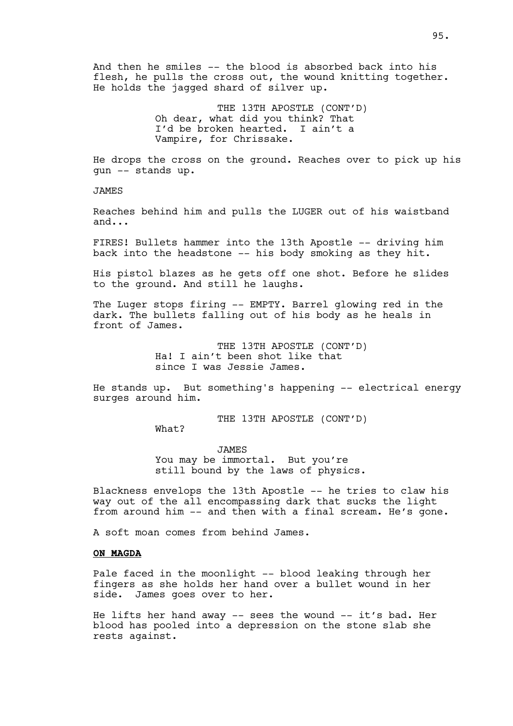And then he smiles -- the blood is absorbed back into his flesh, he pulls the cross out, the wound knitting together. He holds the jagged shard of silver up.

> THE 13TH APOSTLE (CONT'D) Oh dear, what did you think? That I'd be broken hearted. I ain't a Vampire, for Chrissake.

He drops the cross on the ground. Reaches over to pick up his gun -- stands up.

JAMES

Reaches behind him and pulls the LUGER out of his waistband and...

FIRES! Bullets hammer into the 13th Apostle -- driving him back into the headstone -- his body smoking as they hit.

His pistol blazes as he gets off one shot. Before he slides to the ground. And still he laughs.

The Luger stops firing -- EMPTY. Barrel glowing red in the dark. The bullets falling out of his body as he heals in front of James.

> THE 13TH APOSTLE (CONT'D) Ha! I ain't been shot like that since I was Jessie James.

He stands up. But something's happening -- electrical energy surges around him.

THE 13TH APOSTLE (CONT'D)

What?

JAMES You may be immortal. But you're still bound by the laws of physics.

Blackness envelops the 13th Apostle -- he tries to claw his way out of the all encompassing dark that sucks the light from around him -- and then with a final scream. He's gone.

A soft moan comes from behind James.

# **ON MAGDA**

Pale faced in the moonlight -- blood leaking through her fingers as she holds her hand over a bullet wound in her side. James goes over to her.

He lifts her hand away -- sees the wound -- it's bad. Her blood has pooled into a depression on the stone slab she rests against.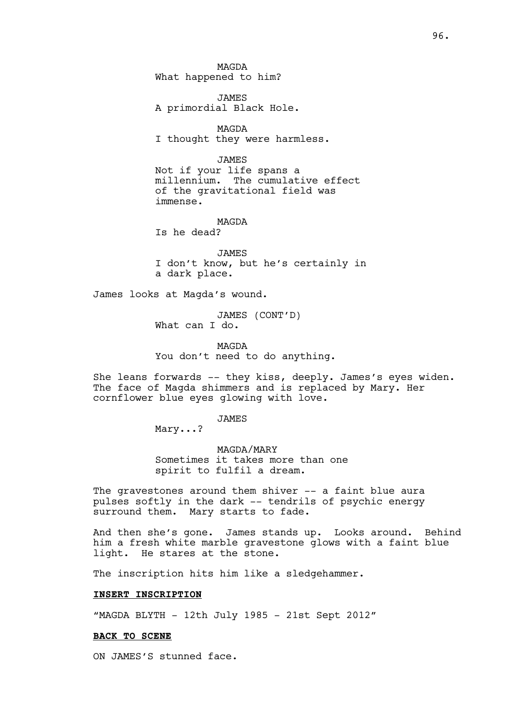MAGDA What happened to him?

JAMES A primordial Black Hole.

MAGDA I thought they were harmless.

JAMES

Not if your life spans a millennium. The cumulative effect of the gravitational field was immense.

MAGDA

Is he dead?

**JAMES** I don't know, but he's certainly in a dark place.

James looks at Magda's wound.

JAMES (CONT'D) What can I do.

MAGDA You don't need to do anything.

She leans forwards -- they kiss, deeply. James's eyes widen. The face of Magda shimmers and is replaced by Mary. Her cornflower blue eyes glowing with love.

JAMES

Mary...?

MAGDA/MARY Sometimes it takes more than one spirit to fulfil a dream.

The gravestones around them shiver -- a faint blue aura pulses softly in the dark -- tendrils of psychic energy surround them. Mary starts to fade.

And then she's gone. James stands up. Looks around. Behind him a fresh white marble gravestone glows with a faint blue light. He stares at the stone.

The inscription hits him like a sledgehammer.

## **INSERT INSCRIPTION**

"MAGDA BLYTH - 12th July 1985 - 21st Sept 2012"

#### **BACK TO SCENE**

ON JAMES'S stunned face.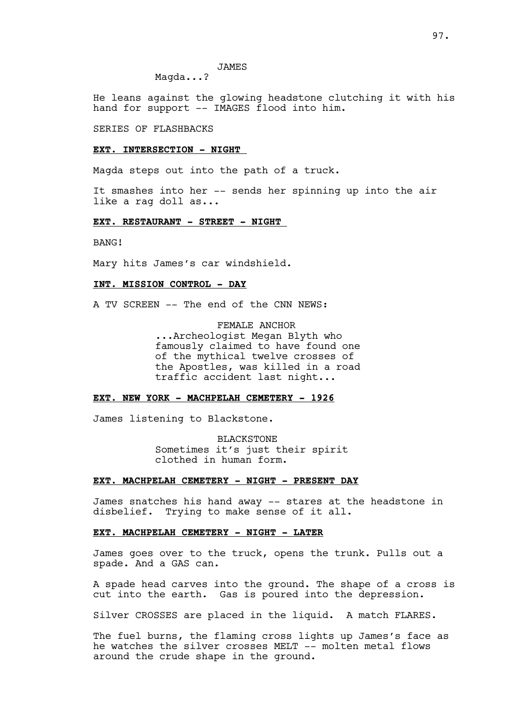# JAMES

Magda...?

He leans against the glowing headstone clutching it with his hand for support -- IMAGES flood into him.

SERIES OF FLASHBACKS

### **EXT. INTERSECTION - NIGHT**

Magda steps out into the path of a truck.

It smashes into her -- sends her spinning up into the air like a rag doll as...

## **EXT. RESTAURANT - STREET - NIGHT**

BANG!

Mary hits James's car windshield.

## **INT. MISSION CONTROL - DAY**

A TV SCREEN -- The end of the CNN NEWS:

FEMALE ANCHOR ...Archeologist Megan Blyth who famously claimed to have found one of the mythical twelve crosses of the Apostles, was killed in a road traffic accident last night...

#### **EXT. NEW YORK - MACHPELAH CEMETERY - 1926**

James listening to Blackstone.

BLACKSTONE Sometimes it's just their spirit clothed in human form.

## **EXT. MACHPELAH CEMETERY - NIGHT - PRESENT DAY**

James snatches his hand away -- stares at the headstone in disbelief. Trying to make sense of it all.

# **EXT. MACHPELAH CEMETERY - NIGHT - LATER**

James goes over to the truck, opens the trunk. Pulls out a spade. And a GAS can.

A spade head carves into the ground. The shape of a cross is cut into the earth. Gas is poured into the depression.

Silver CROSSES are placed in the liquid. A match FLARES.

The fuel burns, the flaming cross lights up James's face as he watches the silver crosses MELT -- molten metal flows around the crude shape in the ground.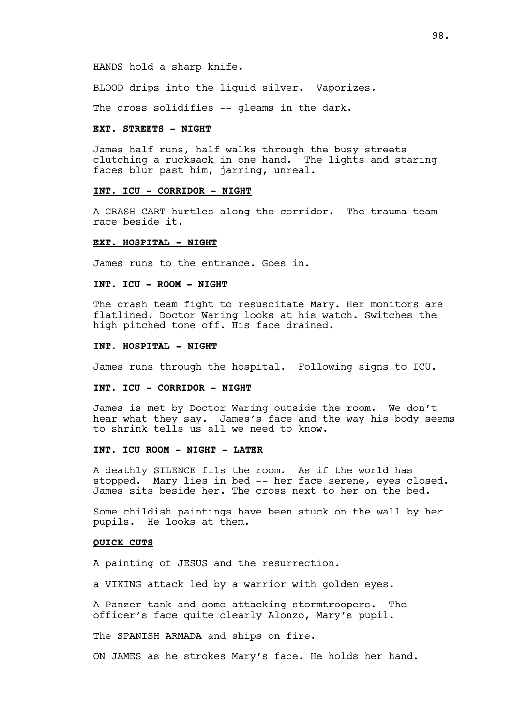BLOOD drips into the liquid silver. Vaporizes.

The cross solidifies -- gleams in the dark.

#### **EXT. STREETS - NIGHT**

James half runs, half walks through the busy streets clutching a rucksack in one hand. The lights and staring faces blur past him, jarring, unreal.

#### **INT. ICU - CORRIDOR - NIGHT**

A CRASH CART hurtles along the corridor. The trauma team race beside it.

#### **EXT. HOSPITAL - NIGHT**

James runs to the entrance. Goes in.

## **INT. ICU - ROOM - NIGHT**

The crash team fight to resuscitate Mary. Her monitors are flatlined. Doctor Waring looks at his watch. Switches the high pitched tone off. His face drained.

#### **INT. HOSPITAL - NIGHT**

James runs through the hospital. Following signs to ICU.

#### **INT. ICU - CORRIDOR - NIGHT**

James is met by Doctor Waring outside the room. We don't hear what they say. James's face and the way his body seems to shrink tells us all we need to know.

## **INT. ICU ROOM - NIGHT - LATER**

A deathly SILENCE fils the room. As if the world has stopped. Mary lies in bed -- her face serene, eyes closed. James sits beside her. The cross next to her on the bed.

Some childish paintings have been stuck on the wall by her pupils. He looks at them.

## **QUICK CUTS**

A painting of JESUS and the resurrection.

a VIKING attack led by a warrior with golden eyes.

A Panzer tank and some attacking stormtroopers. The officer's face quite clearly Alonzo, Mary's pupil.

The SPANISH ARMADA and ships on fire.

ON JAMES as he strokes Mary's face. He holds her hand.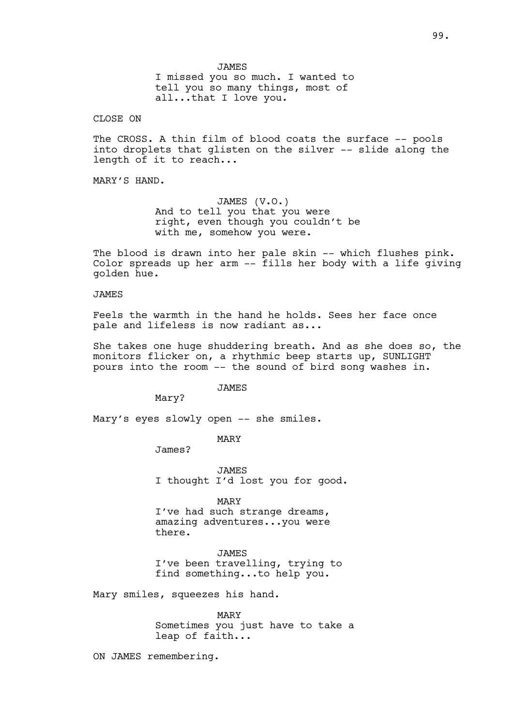JAMES I missed you so much. I wanted to tell you so many things, most of all...that I love you.

## CLOSE ON

The CROSS. A thin film of blood coats the surface -- pools into droplets that glisten on the silver -- slide along the length of it to reach...

MARY'S HAND.

JAMES (V.O.) And to tell you that you were right, even though you couldn't be with me, somehow you were.

The blood is drawn into her pale skin -- which flushes pink. Color spreads up her arm -- fills her body with a life giving golden hue.

#### JAMES

Feels the warmth in the hand he holds. Sees her face once pale and lifeless is now radiant as...

She takes one huge shuddering breath. And as she does so, the monitors flicker on, a rhythmic beep starts up, SUNLIGHT pours into the room -- the sound of bird song washes in.

JAMES

Mary?

Mary's eyes slowly open -- she smiles.

MARY

James?

JAMES I thought I'd lost you for good.

MARY

I've had such strange dreams, amazing adventures...you were there.

**JAMES** I've been travelling, trying to find something...to help you.

Mary smiles, squeezes his hand.

MARY Sometimes you just have to take a leap of faith...

ON JAMES remembering.